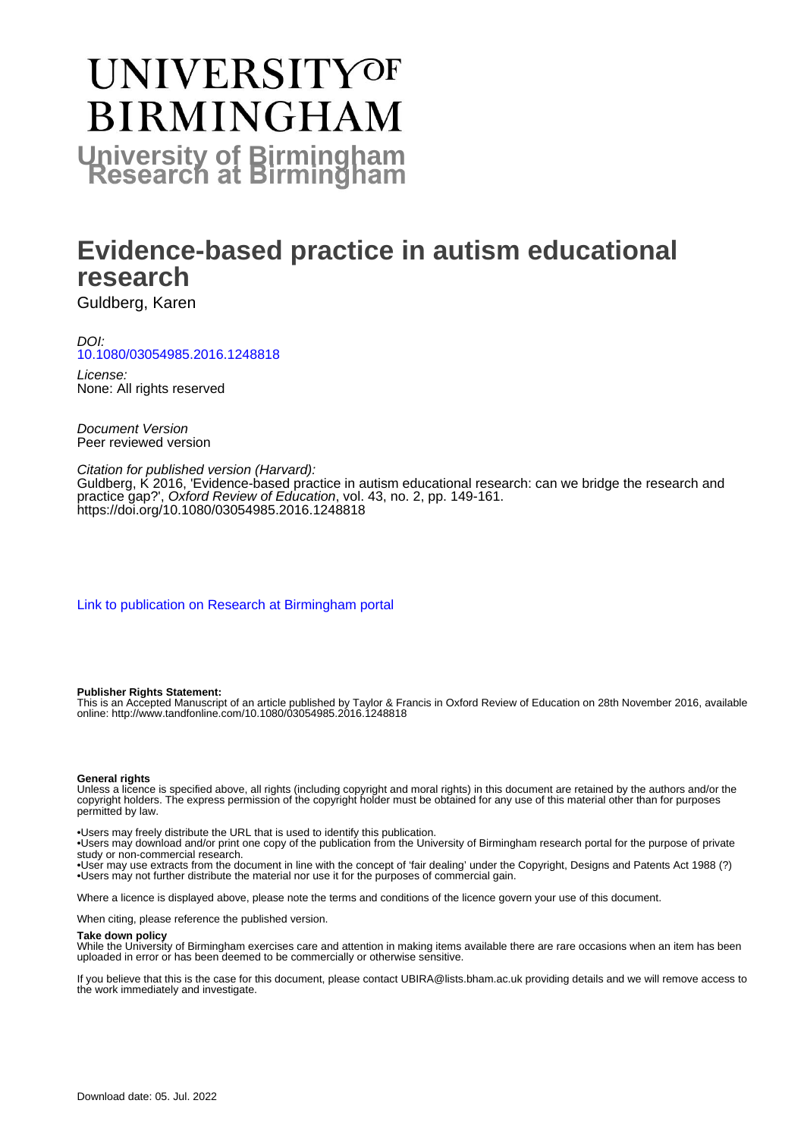# **UNIVERSITYOF BIRMINGHAM University of Birmingham**

## **Evidence-based practice in autism educational research**

Guldberg, Karen

DOI: [10.1080/03054985.2016.1248818](https://doi.org/10.1080/03054985.2016.1248818)

License: None: All rights reserved

Document Version Peer reviewed version

#### Citation for published version (Harvard):

Guldberg, K 2016, 'Evidence-based practice in autism educational research: can we bridge the research and practice gap?', Oxford Review of Education, vol. 43, no. 2, pp. 149-161. <https://doi.org/10.1080/03054985.2016.1248818>

[Link to publication on Research at Birmingham portal](https://birmingham.elsevierpure.com/en/publications/83e45af7-bed4-4476-9ef2-2e534c279d65)

#### **Publisher Rights Statement:**

This is an Accepted Manuscript of an article published by Taylor & Francis in Oxford Review of Education on 28th November 2016, available online: http://www.tandfonline.com/10.1080/03054985.2016.1248818

#### **General rights**

Unless a licence is specified above, all rights (including copyright and moral rights) in this document are retained by the authors and/or the copyright holders. The express permission of the copyright holder must be obtained for any use of this material other than for purposes permitted by law.

• Users may freely distribute the URL that is used to identify this publication.

• Users may download and/or print one copy of the publication from the University of Birmingham research portal for the purpose of private study or non-commercial research.

• User may use extracts from the document in line with the concept of 'fair dealing' under the Copyright, Designs and Patents Act 1988 (?) • Users may not further distribute the material nor use it for the purposes of commercial gain.

Where a licence is displayed above, please note the terms and conditions of the licence govern your use of this document.

When citing, please reference the published version.

#### **Take down policy**

While the University of Birmingham exercises care and attention in making items available there are rare occasions when an item has been uploaded in error or has been deemed to be commercially or otherwise sensitive.

If you believe that this is the case for this document, please contact UBIRA@lists.bham.ac.uk providing details and we will remove access to the work immediately and investigate.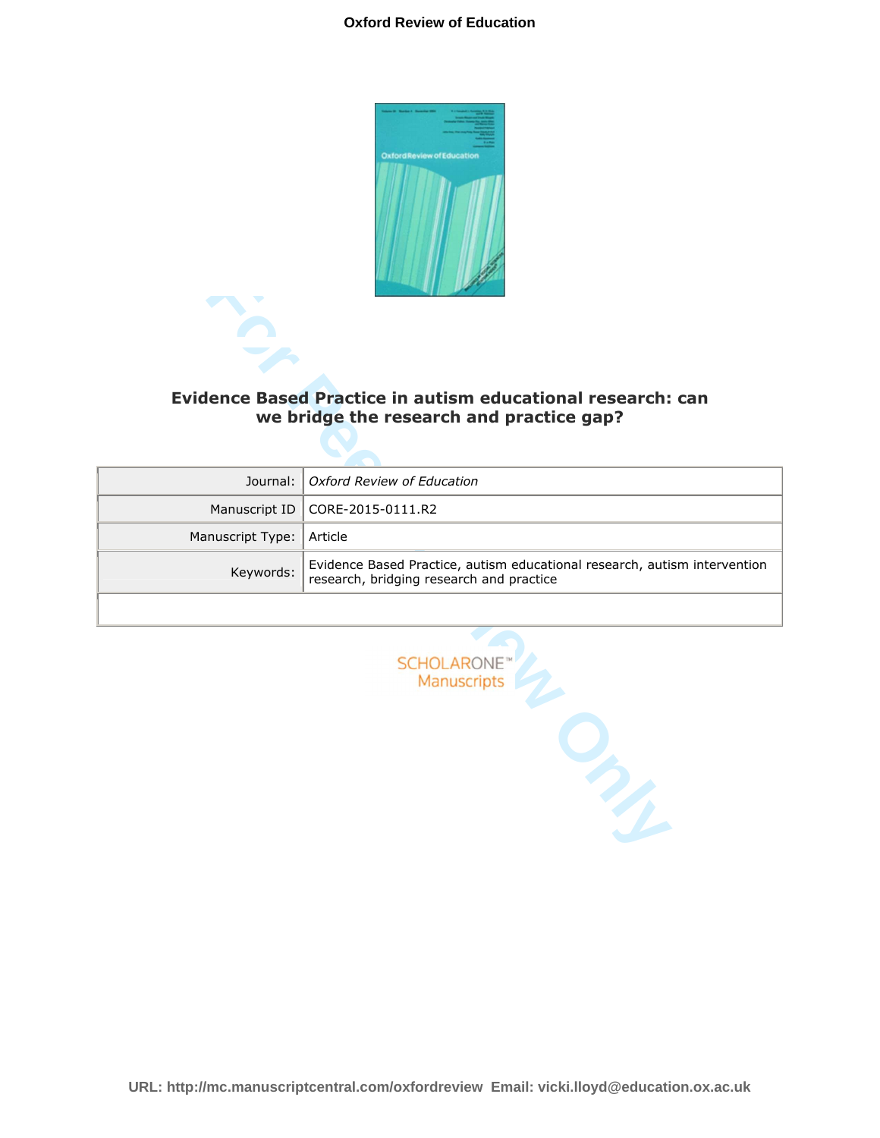#### **Oxford Review of Education**



## **Evidence Based Practice in autism educational research: can we bridge the research and practice gap?**

|                  | Evidence Based Practice in autism educational research: can<br>we bridge the research and practice gap?               |  |  |
|------------------|-----------------------------------------------------------------------------------------------------------------------|--|--|
| Journal:         | Oxford Review of Education                                                                                            |  |  |
| Manuscript ID    | CORE-2015-0111.R2                                                                                                     |  |  |
| Manuscript Type: | Article                                                                                                               |  |  |
| Keywords:        | Evidence Based Practice, autism educational research, autism intervention<br>research, bridging research and practice |  |  |
|                  |                                                                                                                       |  |  |
|                  | <b>SCHOLARONE</b> <sup>®</sup><br>Manuscripts                                                                         |  |  |

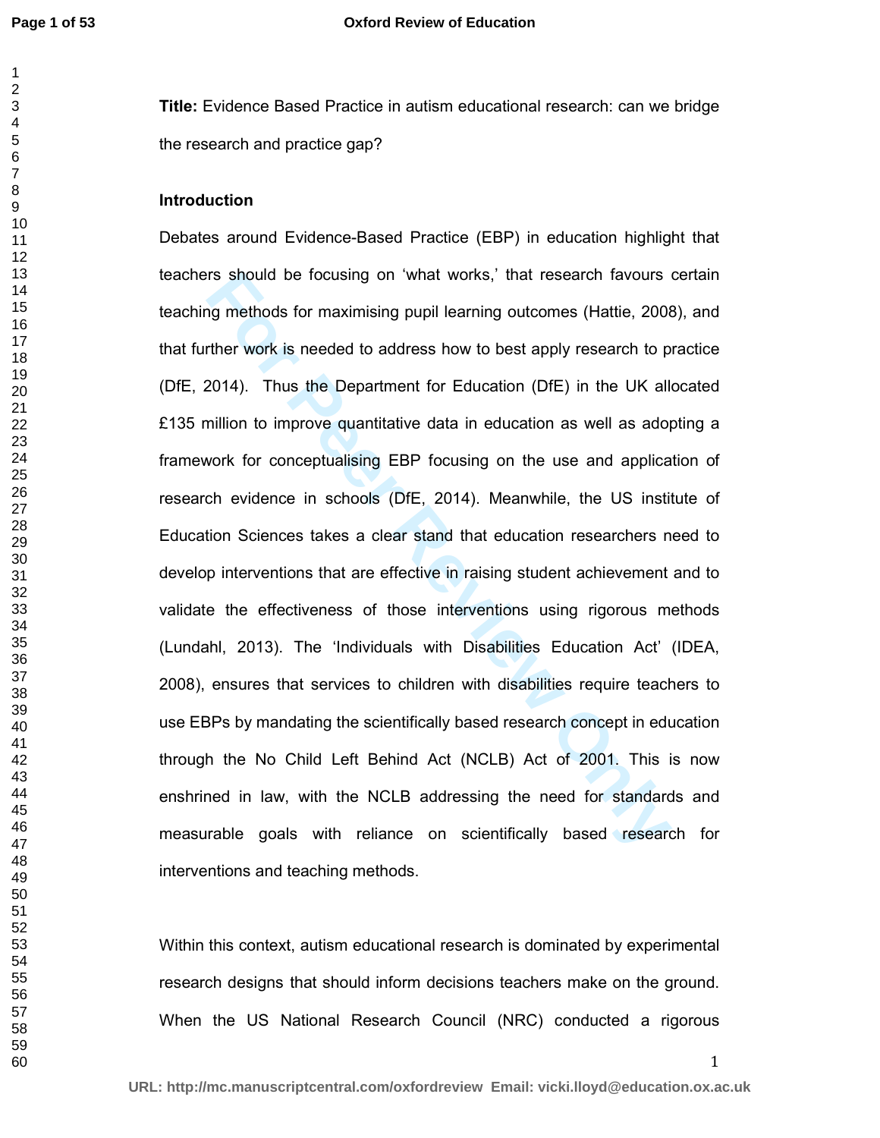**Title:** Evidence Based Practice in autism educational research: can we bridge the research and practice gap?

#### **Introduction**

rs should be focusing on 'what works,' that research favours in the maximising pupil learning outcomes (Hattie, 2008)<br>The work is needed to address how to best apply research to p<br>2014). Thus the Department for Education ( Debates around Evidence-Based Practice (EBP) in education highlight that teachers should be focusing on 'what works,' that research favours certain teaching methods for maximising pupil learning outcomes (Hattie, 2008), and that further work is needed to address how to best apply research to practice (DfE, 2014). Thus the Department for Education (DfE) in the UK allocated £135 million to improve quantitative data in education as well as adopting a framework for conceptualising EBP focusing on the use and application of research evidence in schools (DfE, 2014). Meanwhile, the US institute of Education Sciences takes a clear stand that education researchers need to develop interventions that are effective in raising student achievement and to validate the effectiveness of those interventions using rigorous methods (Lundahl, 2013). The 'Individuals with Disabilities Education Act' (IDEA, 2008), ensures that services to children with disabilities require teachers to use EBPs by mandating the scientifically based research concept in education through the No Child Left Behind Act (NCLB) Act of 2001. This is now enshrined in law, with the NCLB addressing the need for standards and measurable goals with reliance on scientifically based research for interventions and teaching methods.

Within this context, autism educational research is dominated by experimental research designs that should inform decisions teachers make on the ground. When the US National Research Council (NRC) conducted a rigorous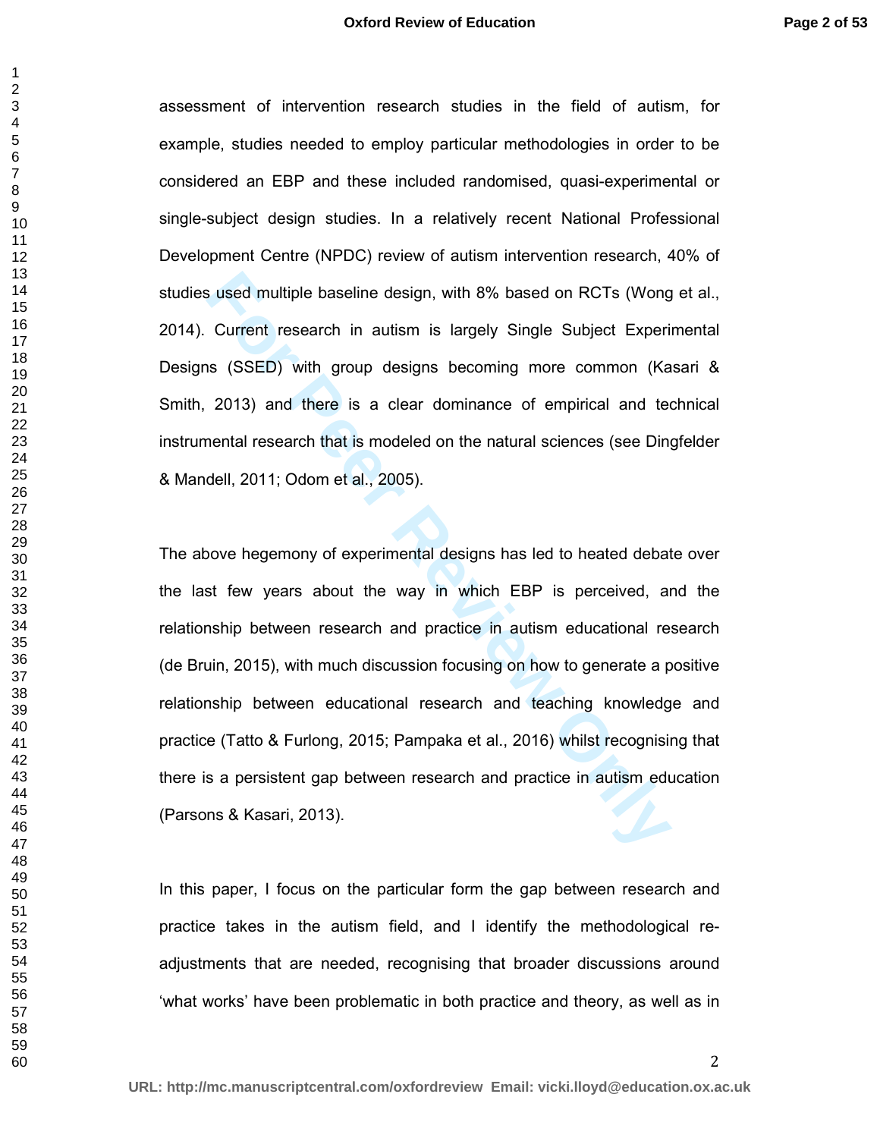assessment of intervention research studies in the field of autism, for example, studies needed to employ particular methodologies in order to be considered an EBP and these included randomised, quasi-experimental or single-subject design studies. In a relatively recent National Professional Development Centre (NPDC) review of autism intervention research, 40% of studies used multiple baseline design, with 8% based on RCTs (Wong et al., 2014). Current research in autism is largely Single Subject Experimental Designs (SSED) with group designs becoming more common (Kasari & Smith, 2013) and there is a clear dominance of empirical and technical instrumental research that is modeled on the natural sciences (see Dingfelder & Mandell, 2011; Odom et al., 2005).

**Formal Example baseline design, with 8% based on RCTs (Wong Current research in autism is largely Single Subject Experins (SSED) with group designs becoming more common (Ka 2013) and there is a clear dominance of empirica** The above hegemony of experimental designs has led to heated debate over the last few years about the way in which EBP is perceived, and the relationship between research and practice in autism educational research (de Bruin, 2015), with much discussion focusing on how to generate a positive relationship between educational research and teaching knowledge and practice (Tatto & Furlong, 2015; Pampaka et al., 2016) whilst recognising that there is a persistent gap between research and practice in autism education (Parsons & Kasari, 2013).

In this paper, I focus on the particular form the gap between research and practice takes in the autism field, and I identify the methodological readjustments that are needed, recognising that broader discussions around 'what works' have been problematic in both practice and theory, as well as in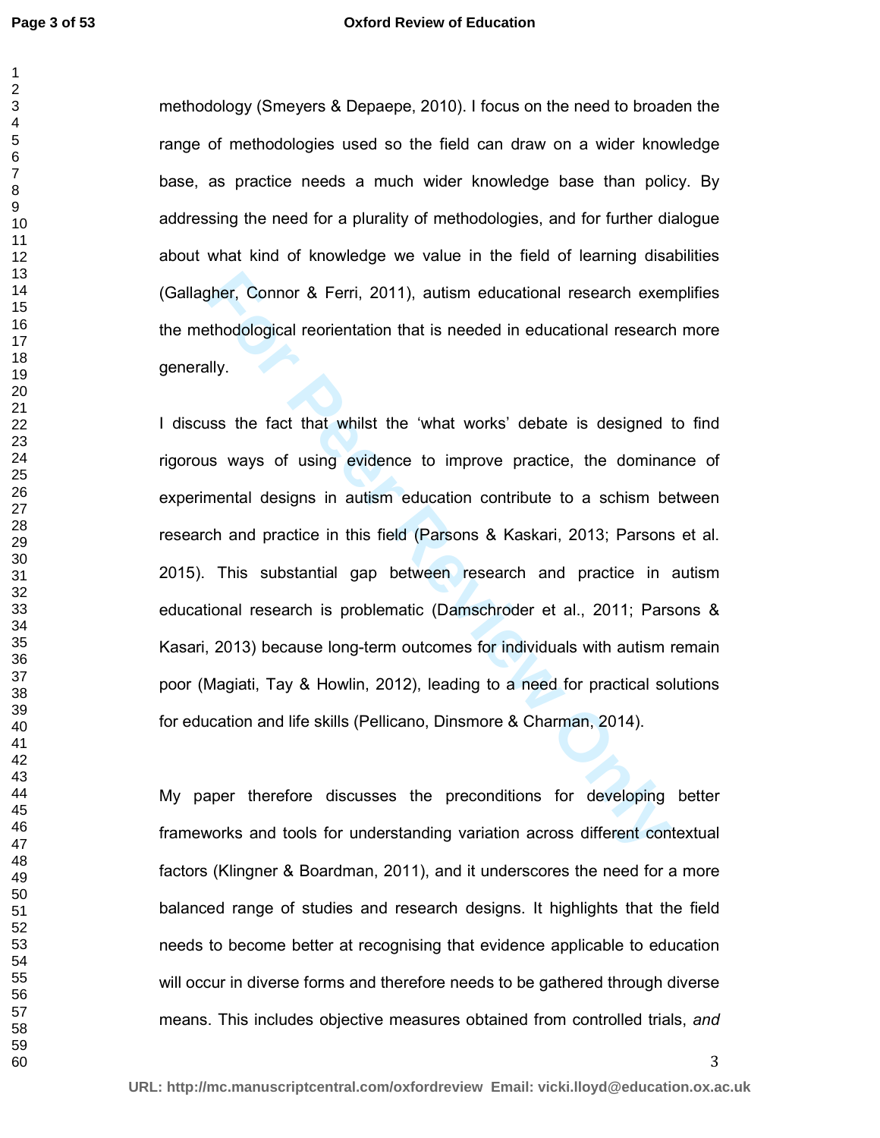#### **Oxford Review of Education**

methodology (Smeyers & Depaepe, 2010). I focus on the need to broaden the range of methodologies used so the field can draw on a wider knowledge base, as practice needs a much wider knowledge base than policy. By addressing the need for a plurality of methodologies, and for further dialogue about what kind of knowledge we value in the field of learning disabilities (Gallagher, Connor & Ferri, 2011), autism educational research exemplifies the methodological reorientation that is needed in educational research more generally.

gher, Connor & Ferri, 2011), autism educational research exemerated bookingther and the efford of orientation that is needed in educational research exementally.<br>
His simple fact that whilst the 'what works' debate is desi I discuss the fact that whilst the 'what works' debate is designed to find rigorous ways of using evidence to improve practice, the dominance of experimental designs in autism education contribute to a schism between research and practice in this field (Parsons & Kaskari, 2013; Parsons et al. 2015). This substantial gap between research and practice in autism educational research is problematic (Damschroder et al., 2011; Parsons & Kasari, 2013) because long-term outcomes for individuals with autism remain poor (Magiati, Tay & Howlin, 2012), leading to a need for practical solutions for education and life skills (Pellicano, Dinsmore & Charman, 2014).

My paper therefore discusses the preconditions for developing better frameworks and tools for understanding variation across different contextual factors (Klingner & Boardman, 2011), and it underscores the need for a more balanced range of studies and research designs. It highlights that the field needs to become better at recognising that evidence applicable to education will occur in diverse forms and therefore needs to be gathered through diverse means. This includes objective measures obtained from controlled trials, *and*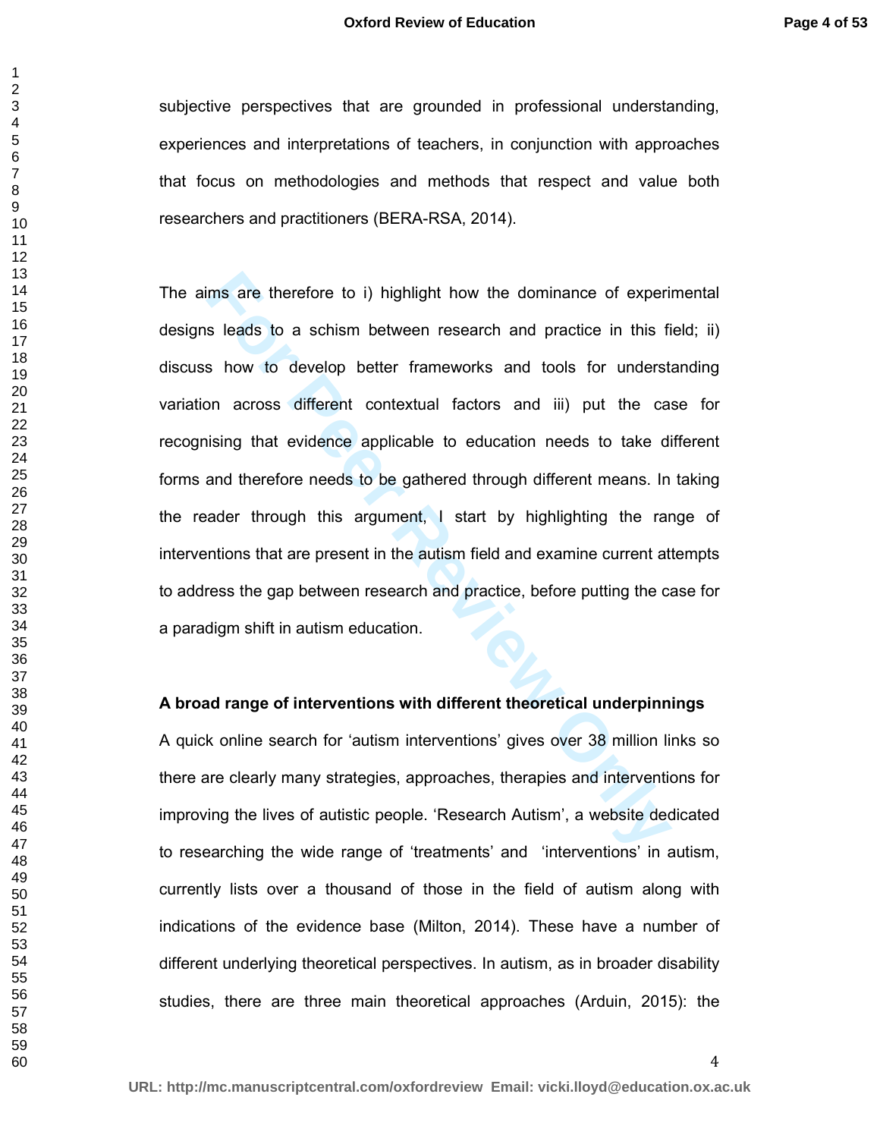subjective perspectives that are grounded in professional understanding, experiences and interpretations of teachers, in conjunction with approaches that focus on methodologies and methods that respect and value both researchers and practitioners (BERA-RSA, 2014).

Ims are therefore to i) highlight how the dominance of experincular and practice in this figures leads to a schism between research and practice in this figures is how to develop better frameworks and tools for understion The aims are therefore to i) highlight how the dominance of experimental designs leads to a schism between research and practice in this field; ii) discuss how to develop better frameworks and tools for understanding variation across different contextual factors and iii) put the case for recognising that evidence applicable to education needs to take different forms and therefore needs to be gathered through different means. In taking the reader through this argument, I start by highlighting the range of interventions that are present in the autism field and examine current attempts to address the gap between research and practice, before putting the case for a paradigm shift in autism education.

#### **A broad range of interventions with different theoretical underpinnings**

A quick online search for 'autism interventions' gives over 38 million links so there are clearly many strategies, approaches, therapies and interventions for improving the lives of autistic people. 'Research Autism', a website dedicated to researching the wide range of 'treatments' and 'interventions' in autism, currently lists over a thousand of those in the field of autism along with indications of the evidence base (Milton, 2014). These have a number of different underlying theoretical perspectives. In autism, as in broader disability studies, there are three main theoretical approaches (Arduin, 2015): the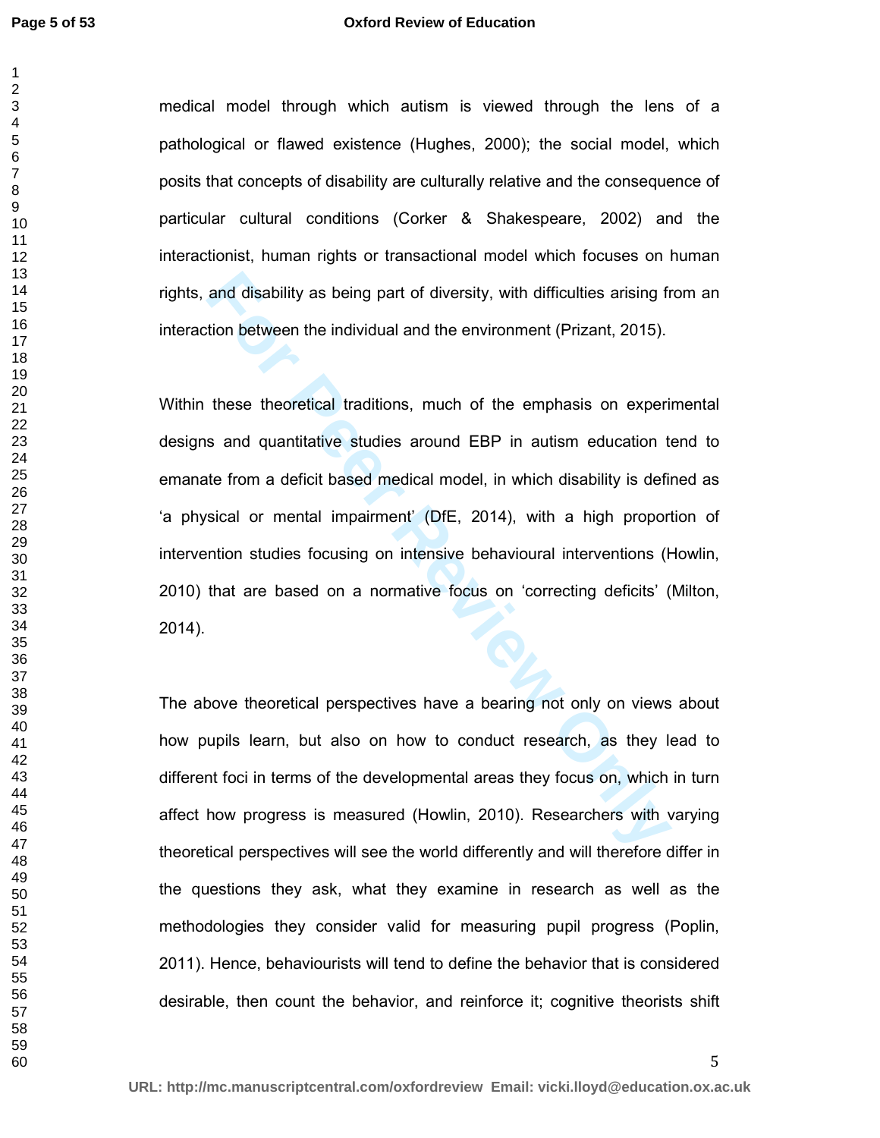#### **Oxford Review of Education**

medical model through which autism is viewed through the lens of a pathological or flawed existence (Hughes, 2000); the social model, which posits that concepts of disability are culturally relative and the consequence of particular cultural conditions (Corker & Shakespeare, 2002) and the interactionist, human rights or transactional model which focuses on human rights, and disability as being part of diversity, with difficulties arising from an interaction between the individual and the environment (Prizant, 2015).

and disability as being part of diversity, with difficulties arising fr<br>tion between the individual and the environment (Prizant, 2015).<br>these theoretical traditions, much of the emphasis on experinc<br>and quantitative studi Within these theoretical traditions, much of the emphasis on experimental designs and quantitative studies around EBP in autism education tend to emanate from a deficit based medical model, in which disability is defined as 'a physical or mental impairment' (DfE, 2014), with a high proportion of intervention studies focusing on intensive behavioural interventions (Howlin, 2010) that are based on a normative focus on 'correcting deficits' (Milton, 2014).

The above theoretical perspectives have a bearing not only on views about how pupils learn, but also on how to conduct research, as they lead to different foci in terms of the developmental areas they focus on, which in turn affect how progress is measured (Howlin, 2010). Researchers with varying theoretical perspectives will see the world differently and will therefore differ in the questions they ask, what they examine in research as well as the methodologies they consider valid for measuring pupil progress (Poplin, 2011). Hence, behaviourists will tend to define the behavior that is considered desirable, then count the behavior, and reinforce it; cognitive theorists shift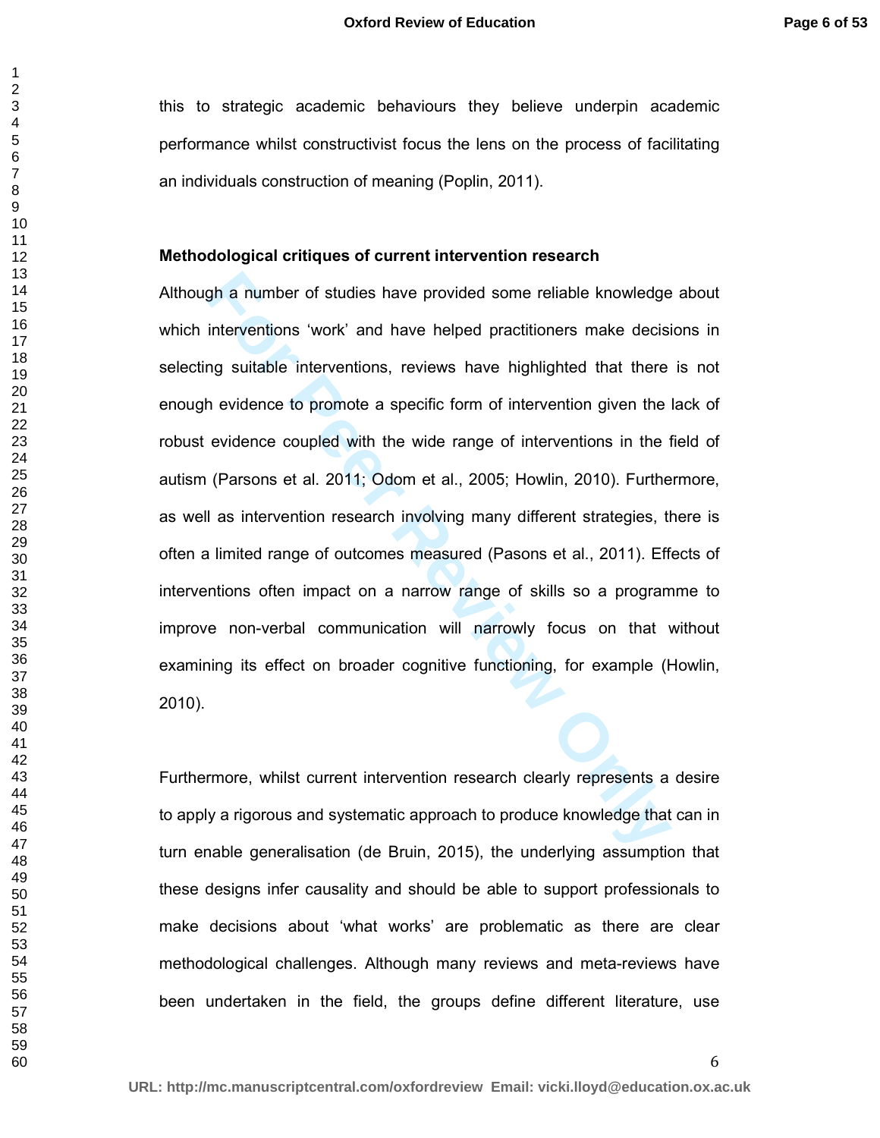this to strategic academic behaviours they believe underpin academic performance whilst constructivist focus the lens on the process of facilitating an individuals construction of meaning (Poplin, 2011).

#### **Methodological critiques of current intervention research**

gh a number of studies have provided some reliable knowledge<br>interventions 'work' and have helped practitioners make decisi<br>ing suitable interventions, reviews have highlighted that there<br>h evidence to promote a specific f Although a number of studies have provided some reliable knowledge about which interventions 'work' and have helped practitioners make decisions in selecting suitable interventions, reviews have highlighted that there is not enough evidence to promote a specific form of intervention given the lack of robust evidence coupled with the wide range of interventions in the field of autism (Parsons et al. 2011; Odom et al., 2005; Howlin, 2010). Furthermore, as well as intervention research involving many different strategies, there is often a limited range of outcomes measured (Pasons et al., 2011). Effects of interventions often impact on a narrow range of skills so a programme to improve non-verbal communication will narrowly focus on that without examining its effect on broader cognitive functioning, for example (Howlin, 2010).

Furthermore, whilst current intervention research clearly represents a desire to apply a rigorous and systematic approach to produce knowledge that can in turn enable generalisation (de Bruin, 2015), the underlying assumption that these designs infer causality and should be able to support professionals to make decisions about 'what works' are problematic as there are clear methodological challenges. Although many reviews and meta-reviews have been undertaken in the field, the groups define different literature, use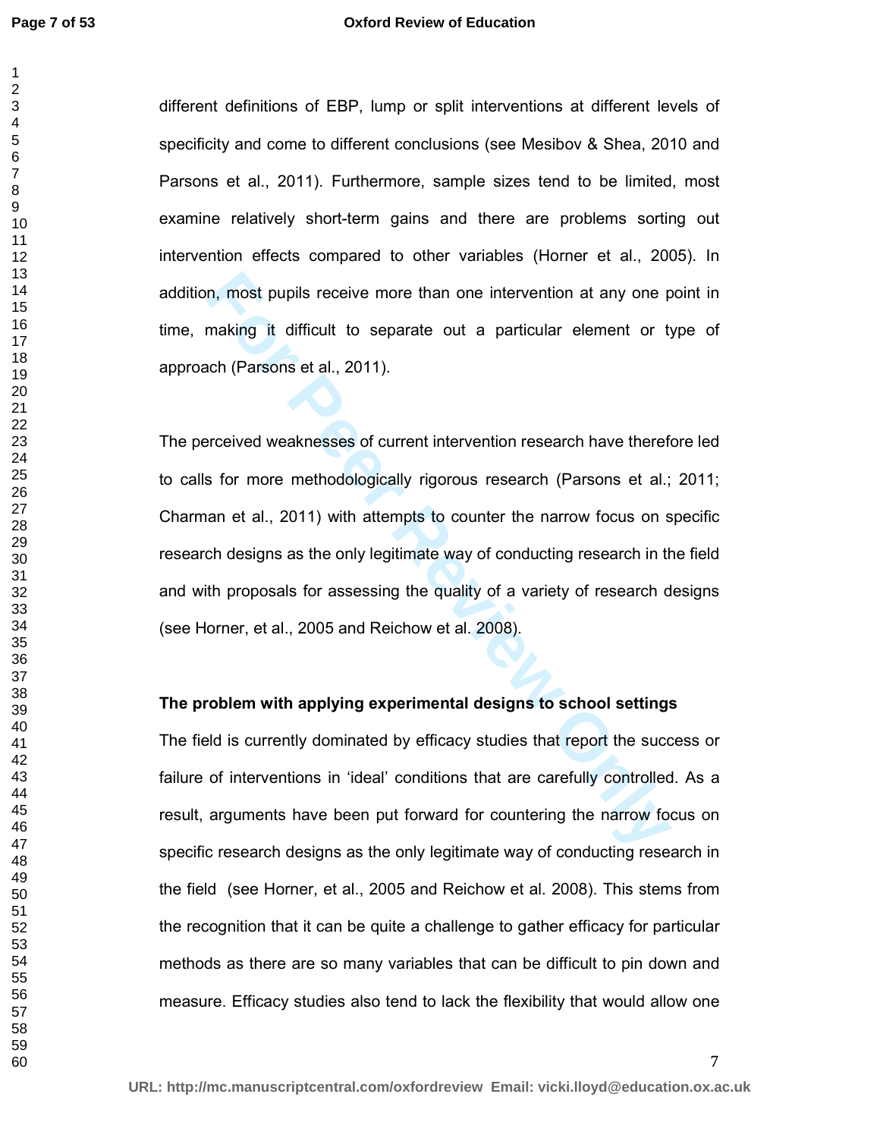#### **Oxford Review of Education**

different definitions of EBP, lump or split interventions at different levels of specificity and come to different conclusions (see Mesibov & Shea, 2010 and Parsons et al., 2011). Furthermore, sample sizes tend to be limited, most examine relatively short-term gains and there are problems sorting out intervention effects compared to other variables (Horner et al., 2005). In addition, most pupils receive more than one intervention at any one point in time, making it difficult to separate out a particular element or type of approach (Parsons et al., 2011).

**Follow The Example System Standard Example System Standard Standard Standard Standard Creation of the Creation of Parsons et al., 2011).**<br>
For Persons et al., 2011).<br>
For Persons et al., 2011).<br>
For Persons et al., 2011). The perceived weaknesses of current intervention research have therefore led to calls for more methodologically rigorous research (Parsons et al.; 2011; Charman et al., 2011) with attempts to counter the narrow focus on specific research designs as the only legitimate way of conducting research in the field and with proposals for assessing the quality of a variety of research designs (see Horner, et al., 2005 and Reichow et al. 2008).

### **The problem with applying experimental designs to school settings**

The field is currently dominated by efficacy studies that report the success or failure of interventions in 'ideal' conditions that are carefully controlled. As a result, arguments have been put forward for countering the narrow focus on specific research designs as the only legitimate way of conducting research in the field (see Horner, et al., 2005 and Reichow et al. 2008). This stems from the recognition that it can be quite a challenge to gather efficacy for particular methods as there are so many variables that can be difficult to pin down and measure. Efficacy studies also tend to lack the flexibility that would allow one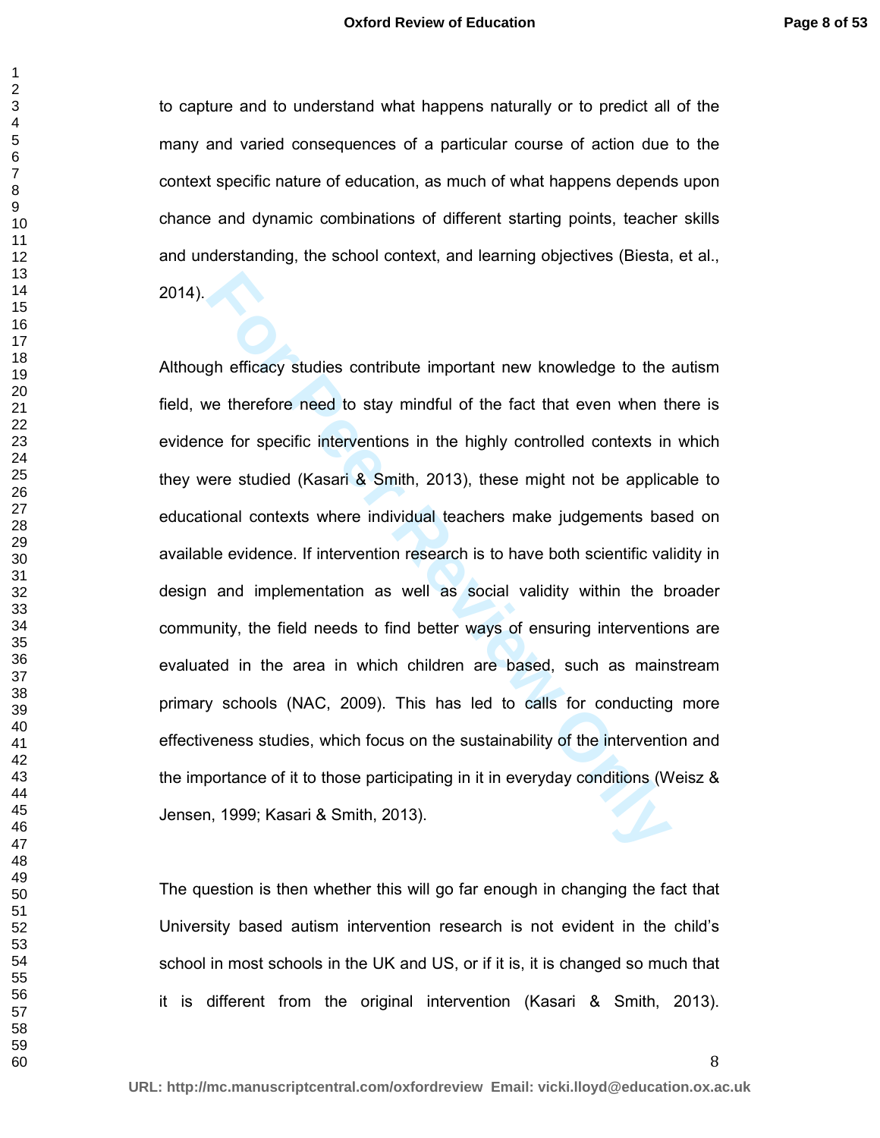to capture and to understand what happens naturally or to predict all of the many and varied consequences of a particular course of action due to the context specific nature of education, as much of what happens depends upon chance and dynamic combinations of different starting points, teacher skills and understanding, the school context, and learning objectives (Biesta, et al., 2014).

gh efficacy studies contribute important new knowledge to the<br>we therefore need to stay mindful of the fact that even when th<br>ce for specific interventions in the highly controlled contexts in<br>ere studied (Kasari & Smith, Although efficacy studies contribute important new knowledge to the autism field, we therefore need to stay mindful of the fact that even when there is evidence for specific interventions in the highly controlled contexts in which they were studied (Kasari & Smith, 2013), these might not be applicable to educational contexts where individual teachers make judgements based on available evidence. If intervention research is to have both scientific validity in design and implementation as well as social validity within the broader community, the field needs to find better ways of ensuring interventions are evaluated in the area in which children are based, such as mainstream primary schools (NAC, 2009). This has led to calls for conducting more effectiveness studies, which focus on the sustainability of the intervention and the importance of it to those participating in it in everyday conditions (Weisz & Jensen, 1999; Kasari & Smith, 2013).

The question is then whether this will go far enough in changing the fact that University based autism intervention research is not evident in the child's school in most schools in the UK and US, or if it is, it is changed so much that it is different from the original intervention (Kasari & Smith, 2013).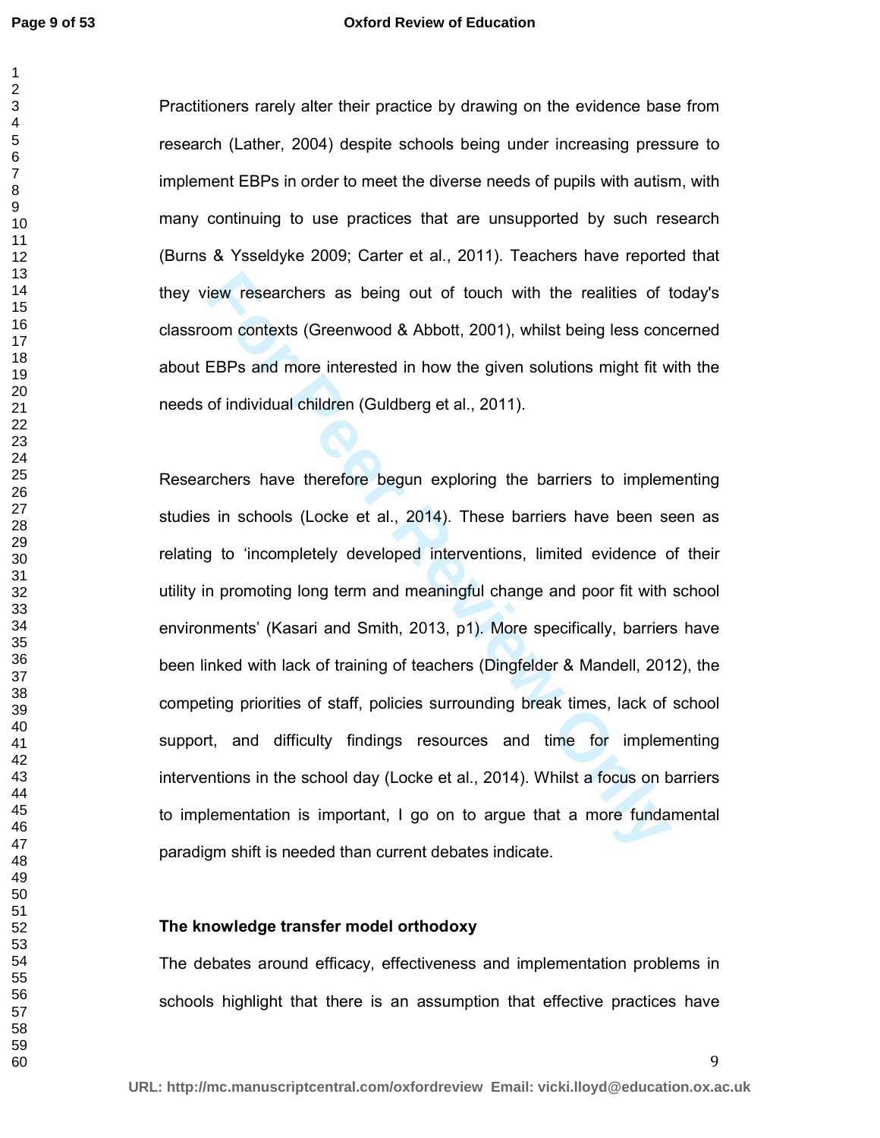#### **Oxford Review of Education**

Practitioners rarely alter their practice by drawing on the evidence base from research (Lather, 2004) despite schools being under increasing pressure to implement EBPs in order to meet the diverse needs of pupils with autism, with many continuing to use practices that are unsupported by such research (Burns & Ysseldyke 2009; Carter et al., 2011). Teachers have reported that they view researchers as being out of touch with the realities of today's classroom contexts (Greenwood & Abbott, 2001), whilst being less concerned about EBPs and more interested in how the given solutions might fit with the needs of individual children (Guldberg et al., 2011).

iew researchers as being out of touch with the realities of the momentexts (Greenwood & Abbott, 2001), whilst being less cone<br>EBPs and more interested in how the given solutions might fit w<br>of individual children (Guldberg Researchers have therefore begun exploring the barriers to implementing studies in schools (Locke et al., 2014). These barriers have been seen as relating to 'incompletely developed interventions, limited evidence of their utility in promoting long term and meaningful change and poor fit with school environments' (Kasari and Smith, 2013, p1). More specifically, barriers have been linked with lack of training of teachers (Dingfelder & Mandell, 2012), the competing priorities of staff, policies surrounding break times, lack of school support, and difficulty findings resources and time for implementing interventions in the school day (Locke et al., 2014). Whilst a focus on barriers to implementation is important, I go on to argue that a more fundamental paradigm shift is needed than current debates indicate.

#### **The knowledge transfer model orthodoxy**

The debates around efficacy, effectiveness and implementation problems in schools highlight that there is an assumption that effective practices have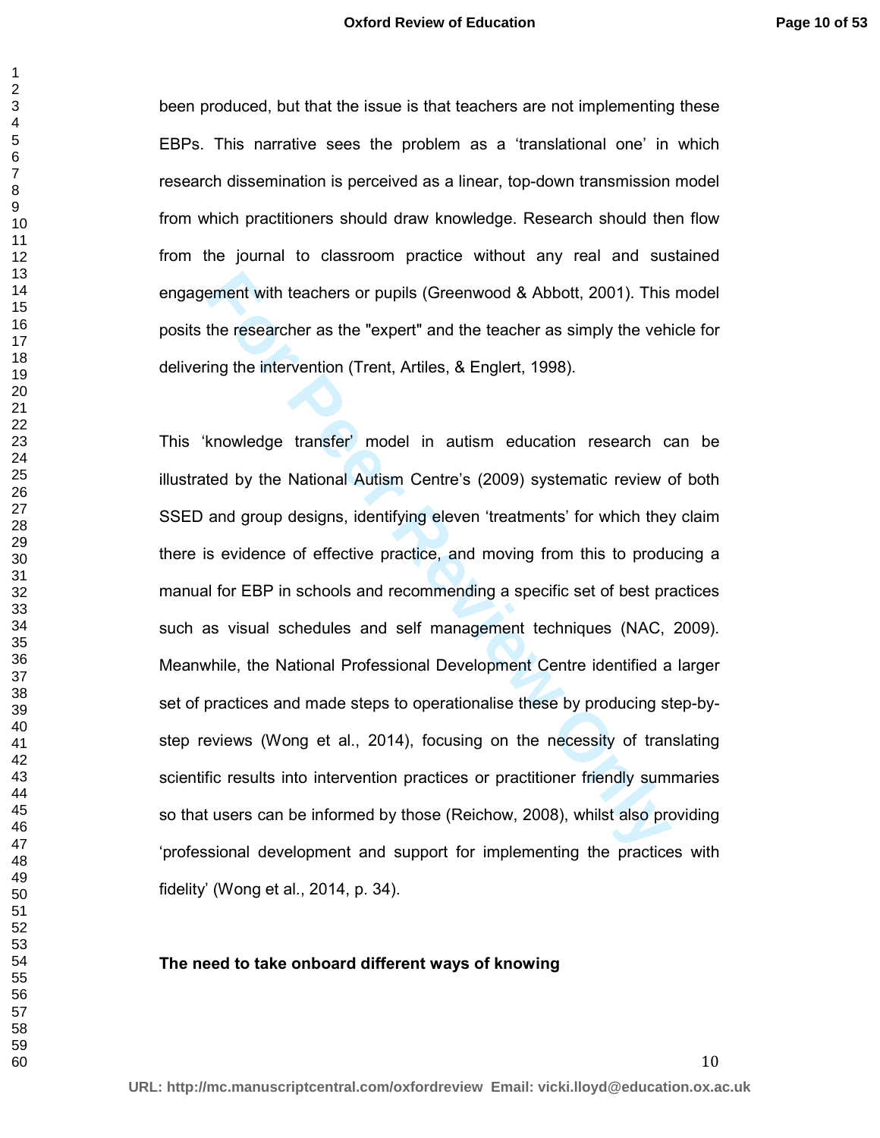been produced, but that the issue is that teachers are not implementing these EBPs. This narrative sees the problem as a 'translational one' in which research dissemination is perceived as a linear, top-down transmission model from which practitioners should draw knowledge. Research should then flow from the journal to classroom practice without any real and sustained engagement with teachers or pupils (Greenwood & Abbott, 2001). This model posits the researcher as the "expert" and the teacher as simply the vehicle for delivering the intervention (Trent, Artiles, & Englert, 1998).

ement with teachers or pupils (Greenwood & Abbott, 2001). This<br>the researcher as the "expert" and the teacher as simply the veh<br>ing the intervention (Trent, Artiles, & Englert, 1998).<br>knowledge transfer' model in autism ed This 'knowledge transfer' model in autism education research can be illustrated by the National Autism Centre's (2009) systematic review of both SSED and group designs, identifying eleven 'treatments' for which they claim there is evidence of effective practice, and moving from this to producing a manual for EBP in schools and recommending a specific set of best practices such as visual schedules and self management techniques (NAC, 2009). Meanwhile, the National Professional Development Centre identified a larger set of practices and made steps to operationalise these by producing step-bystep reviews (Wong et al., 2014), focusing on the necessity of translating scientific results into intervention practices or practitioner friendly summaries so that users can be informed by those (Reichow, 2008), whilst also providing 'professional development and support for implementing the practices with fidelity' (Wong et al., 2014, p. 34).

#### **The need to take onboard different ways of knowing**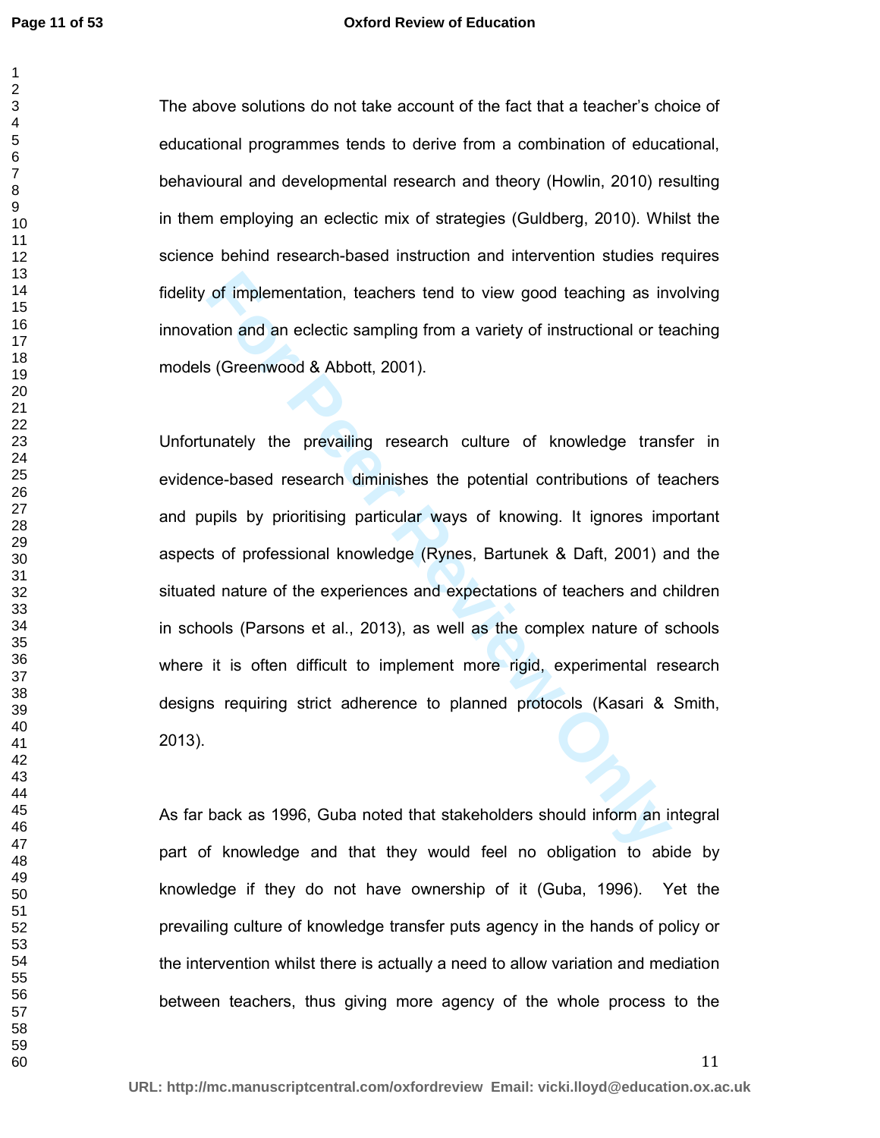#### **Oxford Review of Education**

The above solutions do not take account of the fact that a teacher's choice of educational programmes tends to derive from a combination of educational, behavioural and developmental research and theory (Howlin, 2010) resulting in them employing an eclectic mix of strategies (Guldberg, 2010). Whilst the science behind research-based instruction and intervention studies requires fidelity of implementation, teachers tend to view good teaching as involving innovation and an eclectic sampling from a variety of instructional or teaching models (Greenwood & Abbott, 2001).

of implementation, teachers tend to view good teaching as inv<br>tion and an eclectic sampling from a variety of instructional or te<br>Solicion and an eclectic sampling from a variety of instructional or te<br>Solicion and an ecle Unfortunately the prevailing research culture of knowledge transfer in evidence-based research diminishes the potential contributions of teachers and pupils by prioritising particular ways of knowing. It ignores important aspects of professional knowledge (Rynes, Bartunek & Daft, 2001) and the situated nature of the experiences and expectations of teachers and children in schools (Parsons et al., 2013), as well as the complex nature of schools where it is often difficult to implement more rigid, experimental research designs requiring strict adherence to planned protocols (Kasari & Smith, 2013).

As far back as 1996, Guba noted that stakeholders should inform an integral part of knowledge and that they would feel no obligation to abide by knowledge if they do not have ownership of it (Guba, 1996). Yet the prevailing culture of knowledge transfer puts agency in the hands of policy or the intervention whilst there is actually a need to allow variation and mediation between teachers, thus giving more agency of the whole process to the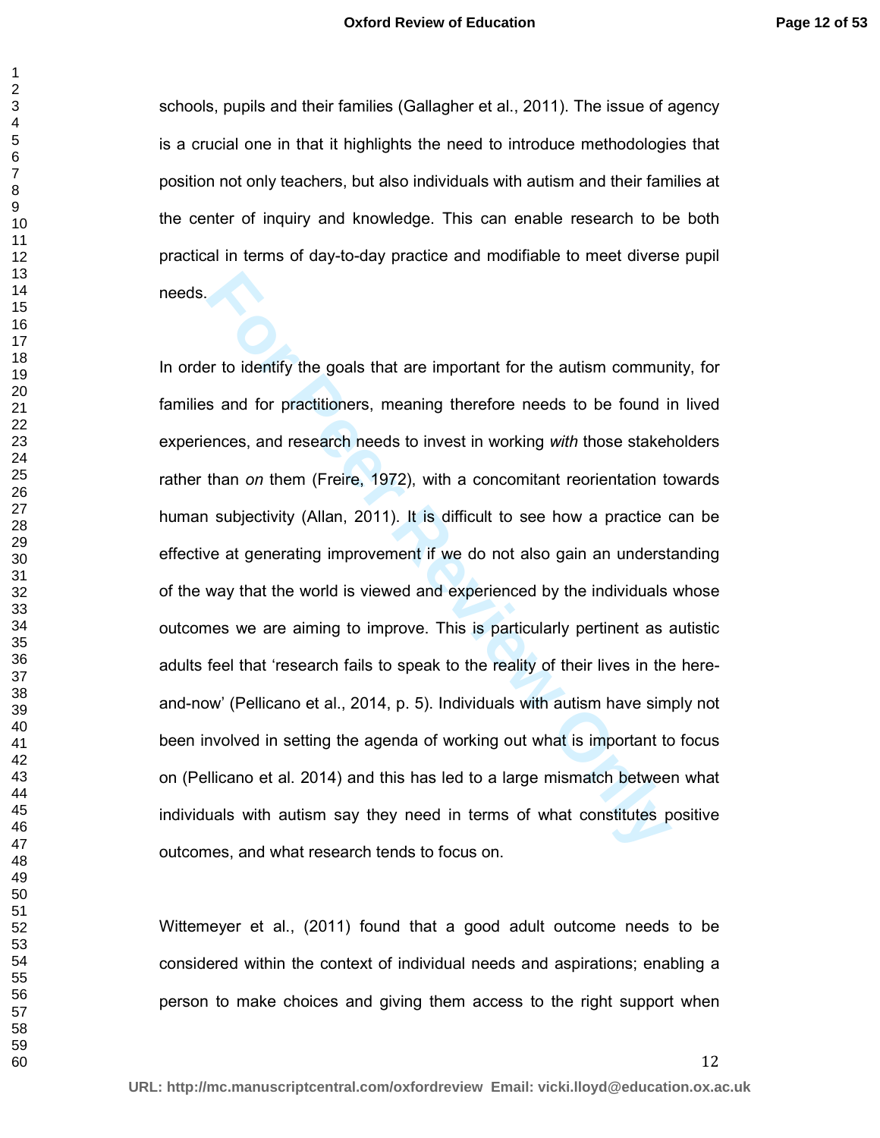schools, pupils and their families (Gallagher et al., 2011). The issue of agency is a crucial one in that it highlights the need to introduce methodologies that position not only teachers, but also individuals with autism and their families at the center of inquiry and knowledge. This can enable research to be both practical in terms of day-to-day practice and modifiable to meet diverse pupil needs.

For the divertigonal state important for the autism communds and for practitioners, meaning therefore needs to be found in<br>ences, and research needs to invest in working with those staker<br>than on them (Freire, 1972), with In order to identify the goals that are important for the autism community, for families and for practitioners, meaning therefore needs to be found in lived experiences, and research needs to invest in working *with* those stakeholders rather than *on* them (Freire, 1972), with a concomitant reorientation towards human subjectivity (Allan, 2011). It is difficult to see how a practice can be effective at generating improvement if we do not also gain an understanding of the way that the world is viewed and experienced by the individuals whose outcomes we are aiming to improve. This is particularly pertinent as autistic adults feel that 'research fails to speak to the reality of their lives in the hereand-now' (Pellicano et al., 2014, p. 5). Individuals with autism have simply not been involved in setting the agenda of working out what is important to focus on (Pellicano et al. 2014) and this has led to a large mismatch between what individuals with autism say they need in terms of what constitutes positive outcomes, and what research tends to focus on.

Wittemeyer et al., (2011) found that a good adult outcome needs to be considered within the context of individual needs and aspirations; enabling a person to make choices and giving them access to the right support when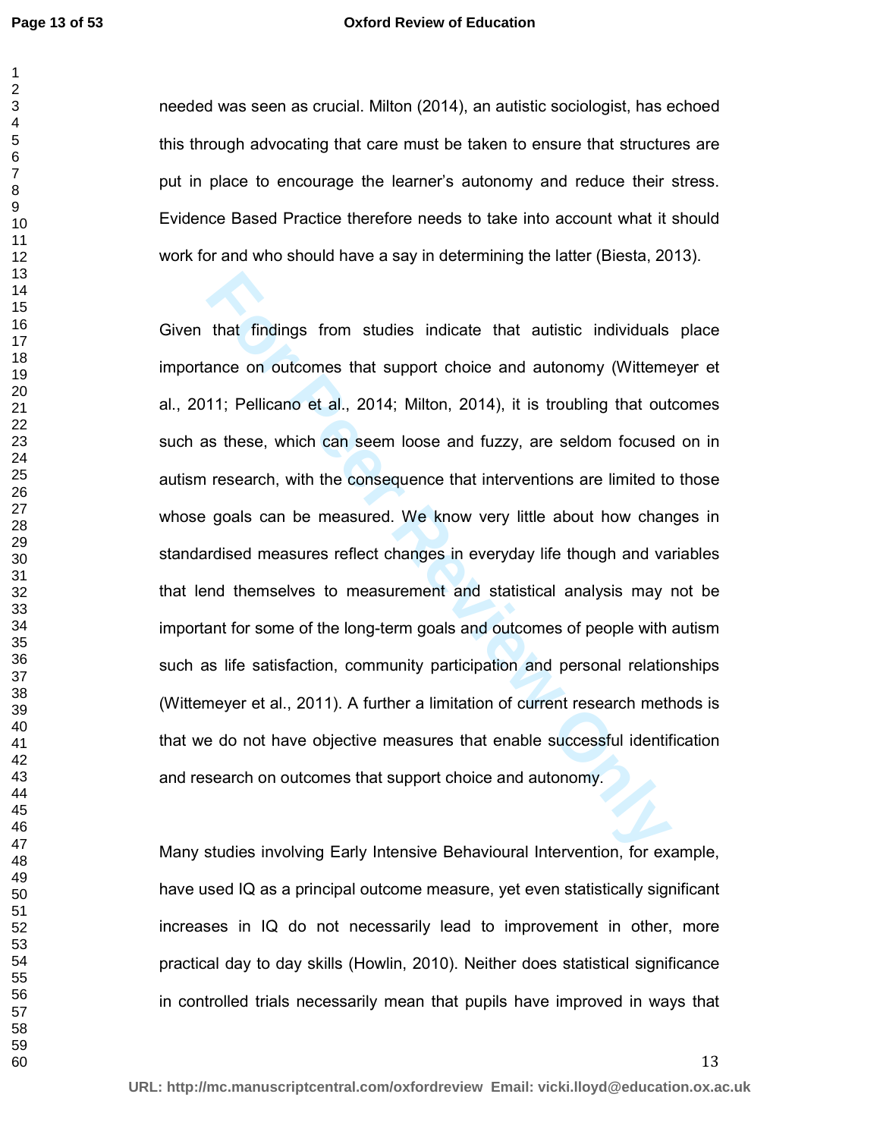#### **Oxford Review of Education**

needed was seen as crucial. Milton (2014), an autistic sociologist, has echoed this through advocating that care must be taken to ensure that structures are put in place to encourage the learner's autonomy and reduce their stress. Evidence Based Practice therefore needs to take into account what it should work for and who should have a say in determining the latter (Biesta, 2013).

that findings from studies indicate that autistic individuals<br>ance on outcomes that support choice and autonomy (Witteme<br>11; Pellicano et al., 2014; Milton, 2014), it is troubling that out<br>s these, which can seem loose and Given that findings from studies indicate that autistic individuals place importance on outcomes that support choice and autonomy (Wittemeyer et al., 2011; Pellicano et al., 2014; Milton, 2014), it is troubling that outcomes such as these, which can seem loose and fuzzy, are seldom focused on in autism research, with the consequence that interventions are limited to those whose goals can be measured. We know very little about how changes in standardised measures reflect changes in everyday life though and variables that lend themselves to measurement and statistical analysis may not be important for some of the long-term goals and outcomes of people with autism such as life satisfaction, community participation and personal relationships (Wittemeyer et al., 2011). A further a limitation of current research methods is that we do not have objective measures that enable successful identification and research on outcomes that support choice and autonomy.

Many studies involving Early Intensive Behavioural Intervention, for example, have used IQ as a principal outcome measure, yet even statistically significant increases in IQ do not necessarily lead to improvement in other, more practical day to day skills (Howlin, 2010). Neither does statistical significance in controlled trials necessarily mean that pupils have improved in ways that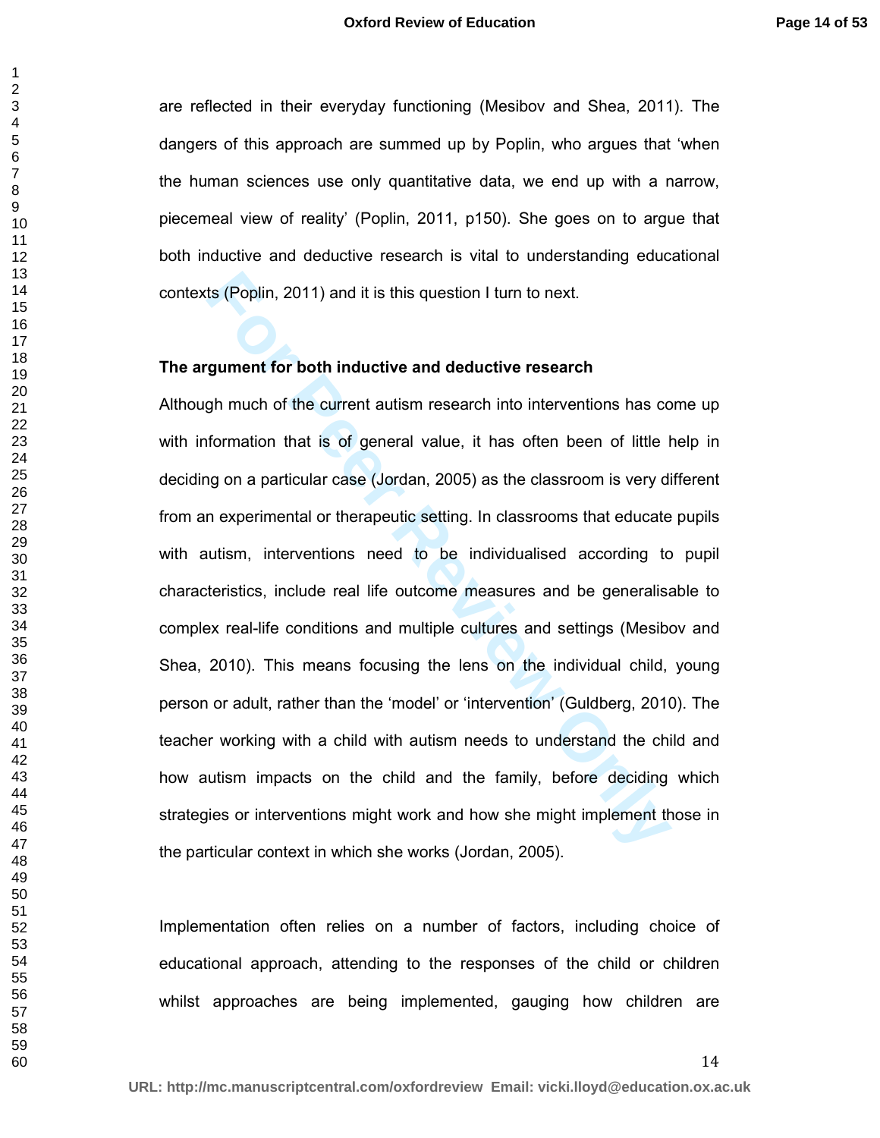are reflected in their everyday functioning (Mesibov and Shea, 2011). The dangers of this approach are summed up by Poplin, who argues that 'when the human sciences use only quantitative data, we end up with a narrow, piecemeal view of reality' (Poplin, 2011, p150). She goes on to argue that both inductive and deductive research is vital to understanding educational contexts (Poplin, 2011) and it is this question I turn to next.

#### **The argument for both inductive and deductive research**

ts (Poplin, 2011) and it is this question I turn to next.<br> **Formation 1 for the formation** and deductive research<br>
gh much of the current autism research into interventions has conformation that is of general value, it has Although much of the current autism research into interventions has come up with information that is of general value, it has often been of little help in deciding on a particular case (Jordan, 2005) as the classroom is very different from an experimental or therapeutic setting. In classrooms that educate pupils with autism, interventions need to be individualised according to pupil characteristics, include real life outcome measures and be generalisable to complex real-life conditions and multiple cultures and settings (Mesibov and Shea, 2010). This means focusing the lens on the individual child, young person or adult, rather than the 'model' or 'intervention' (Guldberg, 2010). The teacher working with a child with autism needs to understand the child and how autism impacts on the child and the family, before deciding which strategies or interventions might work and how she might implement those in the particular context in which she works (Jordan, 2005).

Implementation often relies on a number of factors, including choice of educational approach, attending to the responses of the child or children whilst approaches are being implemented, gauging how children are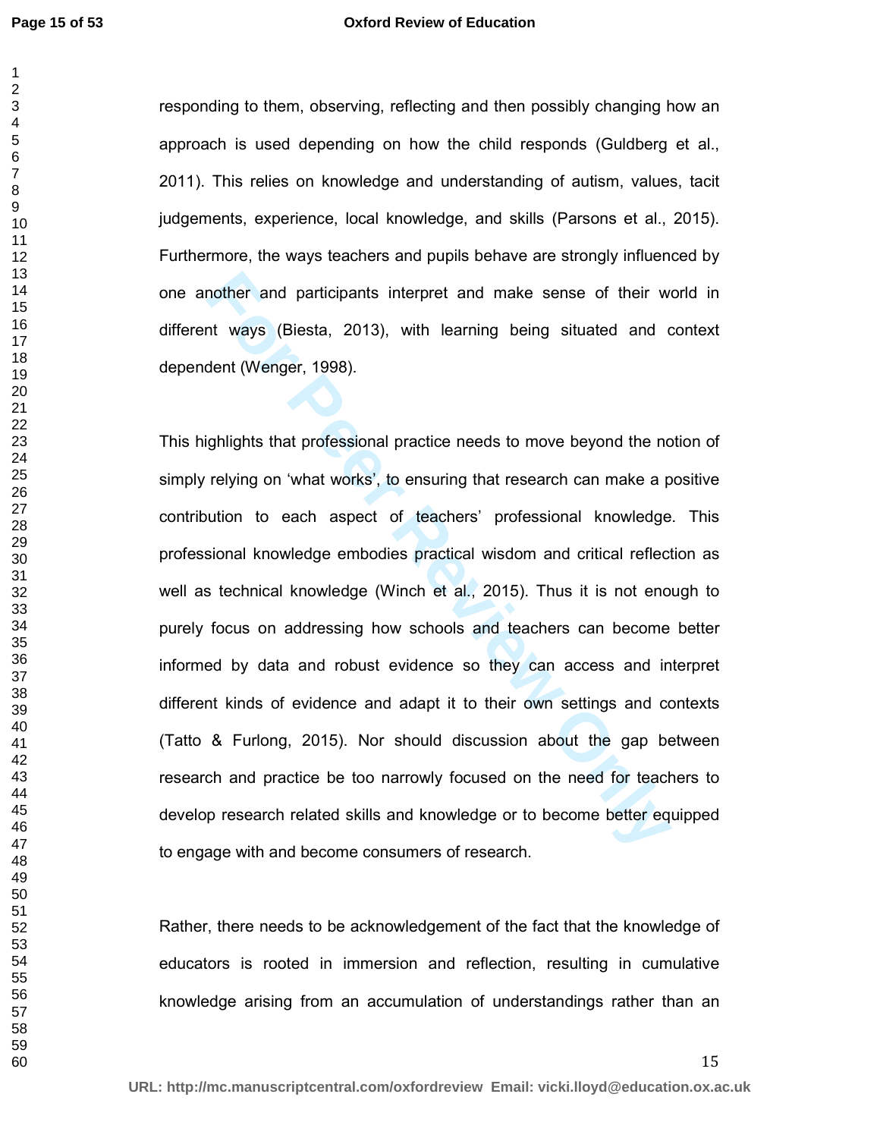#### **Oxford Review of Education**

responding to them, observing, reflecting and then possibly changing how an approach is used depending on how the child responds (Guldberg et al., 2011). This relies on knowledge and understanding of autism, values, tacit judgements, experience, local knowledge, and skills (Parsons et al., 2015). Furthermore, the ways teachers and pupils behave are strongly influenced by one another and participants interpret and make sense of their world in different ways (Biesta, 2013), with learning being situated and context dependent (Wenger, 1998).

mother and participants interpret and make sense of their words and participants interpret and make sense of their words of the text of teaching being situated and condent (Wenger, 1998).<br> **Governity** on 'what works', to e This highlights that professional practice needs to move beyond the notion of simply relying on 'what works', to ensuring that research can make a positive contribution to each aspect of teachers' professional knowledge. This professional knowledge embodies practical wisdom and critical reflection as well as technical knowledge (Winch et al., 2015). Thus it is not enough to purely focus on addressing how schools and teachers can become better informed by data and robust evidence so they can access and interpret different kinds of evidence and adapt it to their own settings and contexts (Tatto & Furlong, 2015). Nor should discussion about the gap between research and practice be too narrowly focused on the need for teachers to develop research related skills and knowledge or to become better equipped to engage with and become consumers of research.

Rather, there needs to be acknowledgement of the fact that the knowledge of educators is rooted in immersion and reflection, resulting in cumulative knowledge arising from an accumulation of understandings rather than an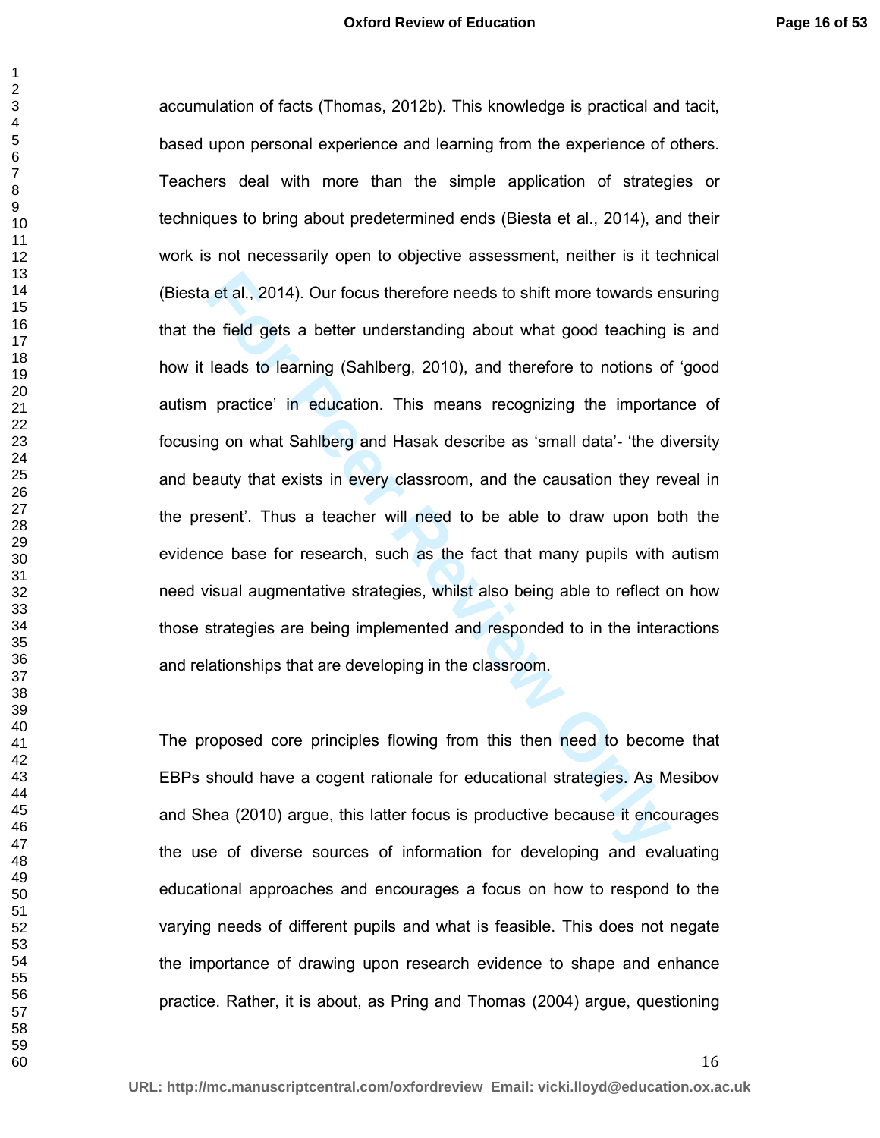is et al., 2014). Our focus therefore needs to shift more towards ere field gets a better understanding about what good teaching leads to learning (Sahlberg, 2010), and therefore to notions of practice' in education. This accumulation of facts (Thomas, 2012b). This knowledge is practical and tacit, based upon personal experience and learning from the experience of others. Teachers deal with more than the simple application of strategies or techniques to bring about predetermined ends (Biesta et al., 2014), and their work is not necessarily open to objective assessment, neither is it technical (Biesta et al., 2014). Our focus therefore needs to shift more towards ensuring that the field gets a better understanding about what good teaching is and how it leads to learning (Sahlberg, 2010), and therefore to notions of 'good autism practice' in education. This means recognizing the importance of focusing on what Sahlberg and Hasak describe as 'small data'- 'the diversity and beauty that exists in every classroom, and the causation they reveal in the present'. Thus a teacher will need to be able to draw upon both the evidence base for research, such as the fact that many pupils with autism need visual augmentative strategies, whilst also being able to reflect on how those strategies are being implemented and responded to in the interactions and relationships that are developing in the classroom.

The proposed core principles flowing from this then need to become that EBPs should have a cogent rationale for educational strategies. As Mesibov and Shea (2010) argue, this latter focus is productive because it encourages the use of diverse sources of information for developing and evaluating educational approaches and encourages a focus on how to respond to the varying needs of different pupils and what is feasible. This does not negate the importance of drawing upon research evidence to shape and enhance practice. Rather, it is about, as Pring and Thomas (2004) argue, questioning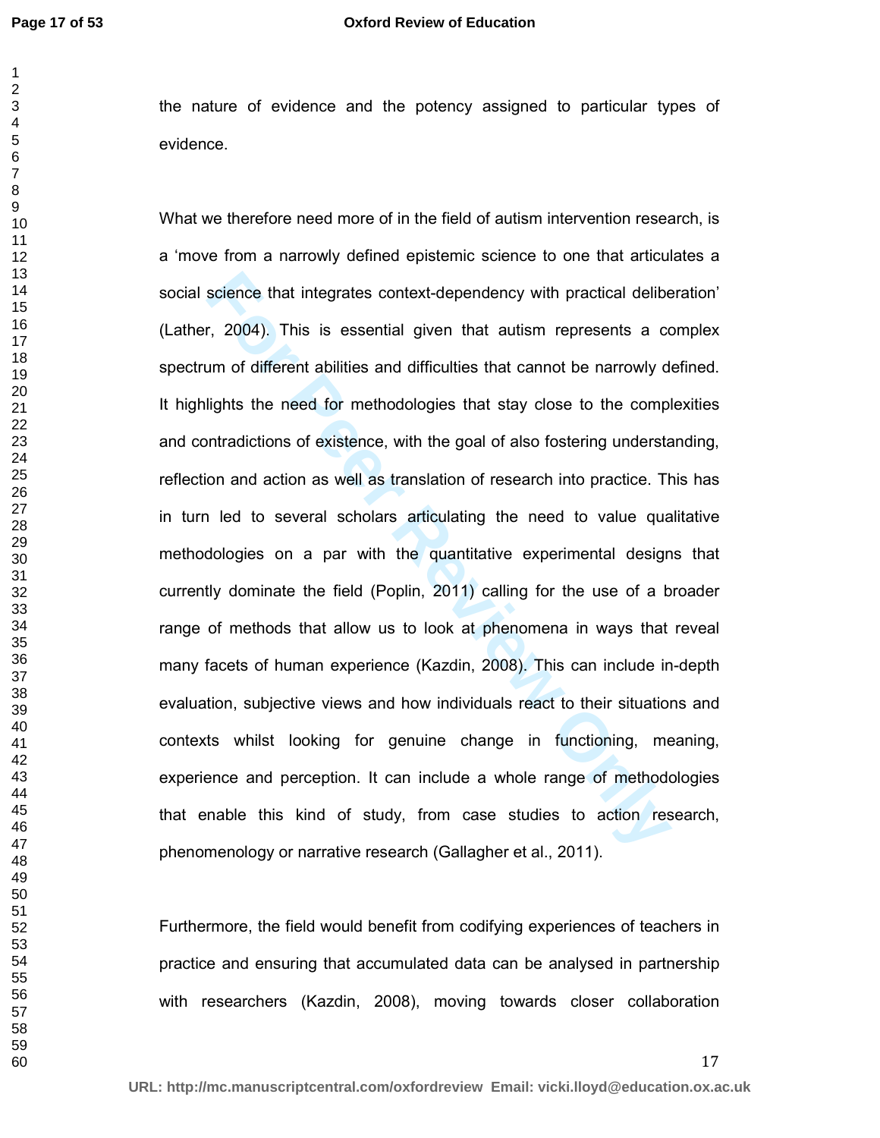the nature of evidence and the potency assigned to particular types of evidence.

science that integrates context-dependency with practical deliber, 2004). This is essential given that autism represents a common of different abilities and difficulties that cannot be narrowly dights the need for methodol What we therefore need more of in the field of autism intervention research, is a 'move from a narrowly defined epistemic science to one that articulates a social science that integrates context-dependency with practical deliberation' (Lather, 2004). This is essential given that autism represents a complex spectrum of different abilities and difficulties that cannot be narrowly defined. It highlights the need for methodologies that stay close to the complexities and contradictions of existence, with the goal of also fostering understanding, reflection and action as well as translation of research into practice. This has in turn led to several scholars articulating the need to value qualitative methodologies on a par with the quantitative experimental designs that currently dominate the field (Poplin, 2011) calling for the use of a broader range of methods that allow us to look at phenomena in ways that reveal many facets of human experience (Kazdin, 2008). This can include in-depth evaluation, subjective views and how individuals react to their situations and contexts whilst looking for genuine change in functioning, meaning, experience and perception. It can include a whole range of methodologies that enable this kind of study, from case studies to action research, phenomenology or narrative research (Gallagher et al., 2011).

Furthermore, the field would benefit from codifying experiences of teachers in practice and ensuring that accumulated data can be analysed in partnership with researchers (Kazdin, 2008), moving towards closer collaboration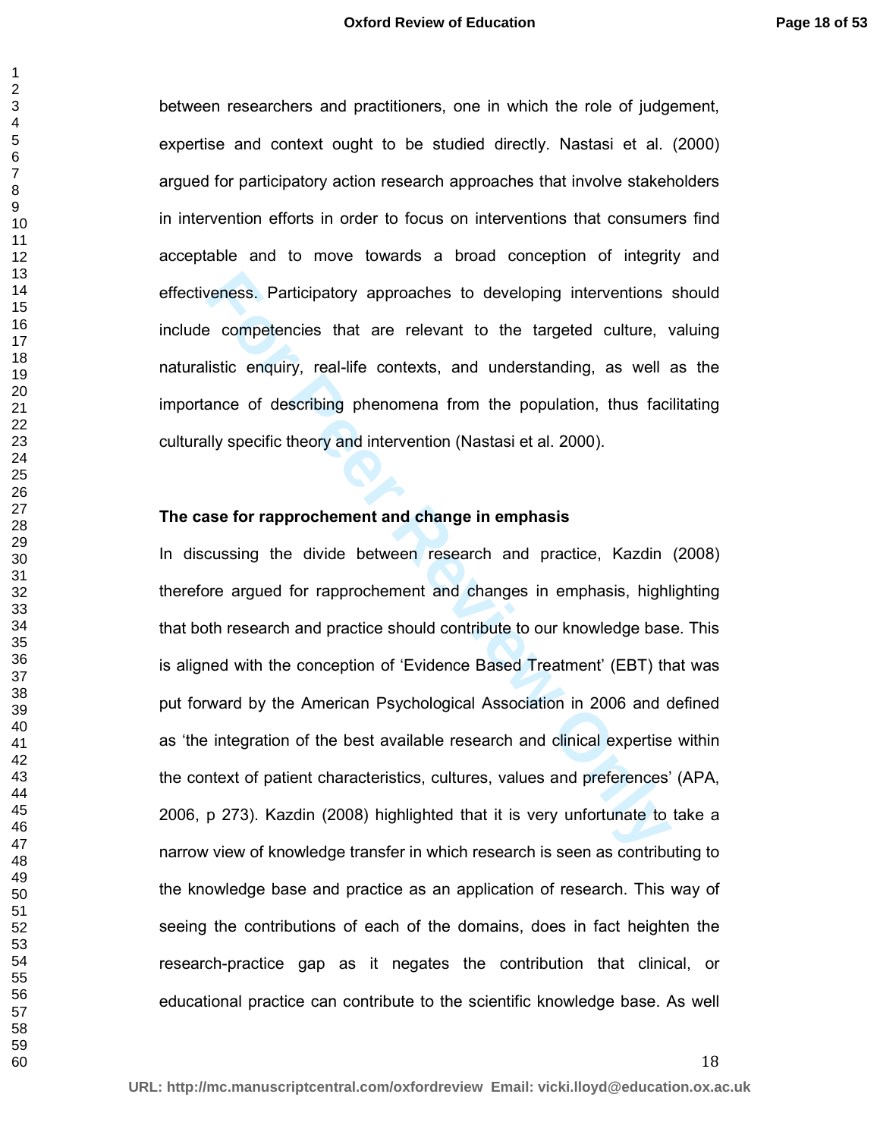between researchers and practitioners, one in which the role of judgement, expertise and context ought to be studied directly. Nastasi et al. (2000) argued for participatory action research approaches that involve stakeholders in intervention efforts in order to focus on interventions that consumers find acceptable and to move towards a broad conception of integrity and effectiveness. Participatory approaches to developing interventions should include competencies that are relevant to the targeted culture, valuing naturalistic enquiry, real-life contexts, and understanding, as well as the importance of describing phenomena from the population, thus facilitating culturally specific theory and intervention (Nastasi et al. 2000).

#### **The case for rapprochement and change in emphasis**

reness. Participatory approaches to developing interventions<br> **Exercise Competencies** that are relevant to the targeted culture, v<br>
distic enquiry, real-life contexts, and understanding, as well a<br>
ance of describing pheno In discussing the divide between research and practice, Kazdin (2008) therefore argued for rapprochement and changes in emphasis, highlighting that both research and practice should contribute to our knowledge base. This is aligned with the conception of 'Evidence Based Treatment' (EBT) that was put forward by the American Psychological Association in 2006 and defined as 'the integration of the best available research and clinical expertise within the context of patient characteristics, cultures, values and preferences' (APA, 2006, p 273). Kazdin (2008) highlighted that it is very unfortunate to take a narrow view of knowledge transfer in which research is seen as contributing to the knowledge base and practice as an application of research. This way of seeing the contributions of each of the domains, does in fact heighten the research-practice gap as it negates the contribution that clinical, or educational practice can contribute to the scientific knowledge base. As well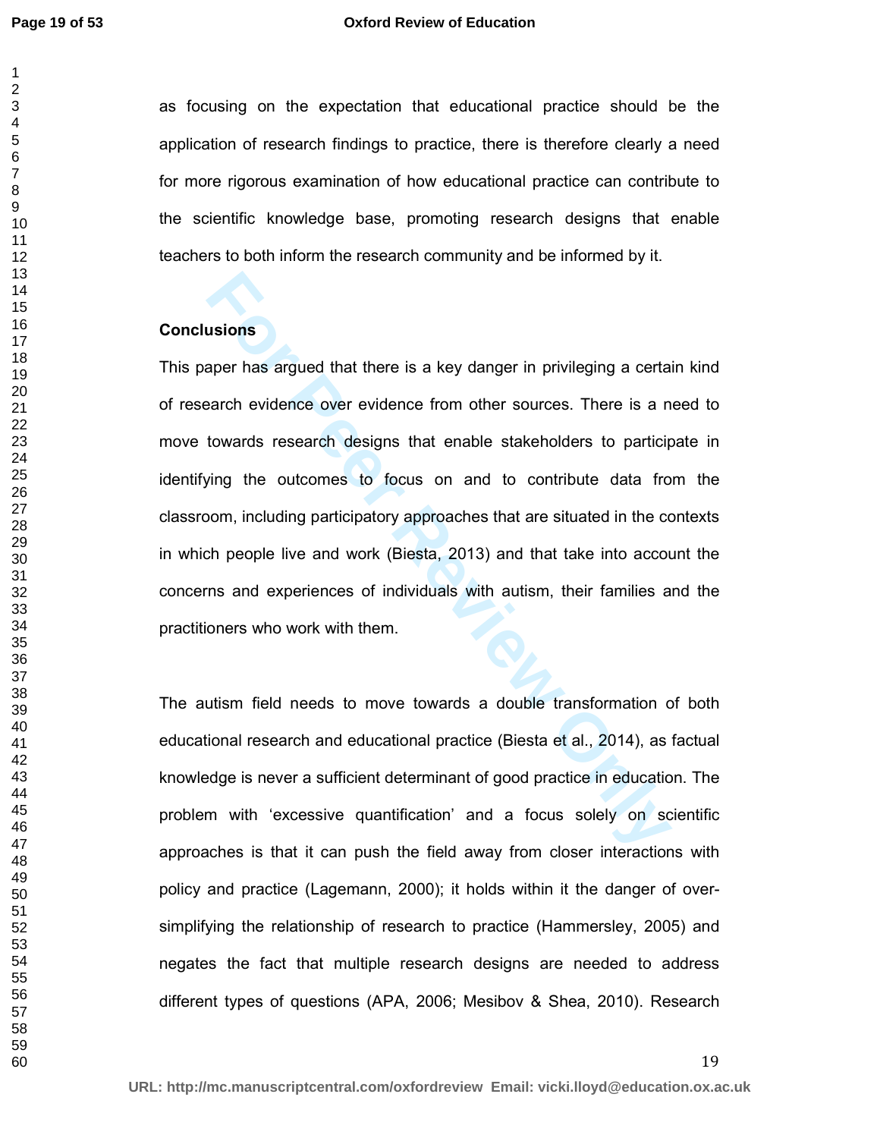#### **Oxford Review of Education**

as focusing on the expectation that educational practice should be the application of research findings to practice, there is therefore clearly a need for more rigorous examination of how educational practice can contribute to the scientific knowledge base, promoting research designs that enable teachers to both inform the research community and be informed by it.

#### **Conclusions**

**Example 15 and Solution** and there is a key danger in privileging a certa<br>
For the example of the state of the state of the state of the state of the state of the state of the conduct<br>
For People live and work (Biesta, 20 This paper has argued that there is a key danger in privileging a certain kind of research evidence over evidence from other sources. There is a need to move towards research designs that enable stakeholders to participate in identifying the outcomes to focus on and to contribute data from the classroom, including participatory approaches that are situated in the contexts in which people live and work (Biesta, 2013) and that take into account the concerns and experiences of individuals with autism, their families and the practitioners who work with them.

The autism field needs to move towards a double transformation of both educational research and educational practice (Biesta et al., 2014), as factual knowledge is never a sufficient determinant of good practice in education. The problem with 'excessive quantification' and a focus solely on scientific approaches is that it can push the field away from closer interactions with policy and practice (Lagemann, 2000); it holds within it the danger of oversimplifying the relationship of research to practice (Hammersley, 2005) and negates the fact that multiple research designs are needed to address different types of questions (APA, 2006; Mesibov & Shea, 2010). Research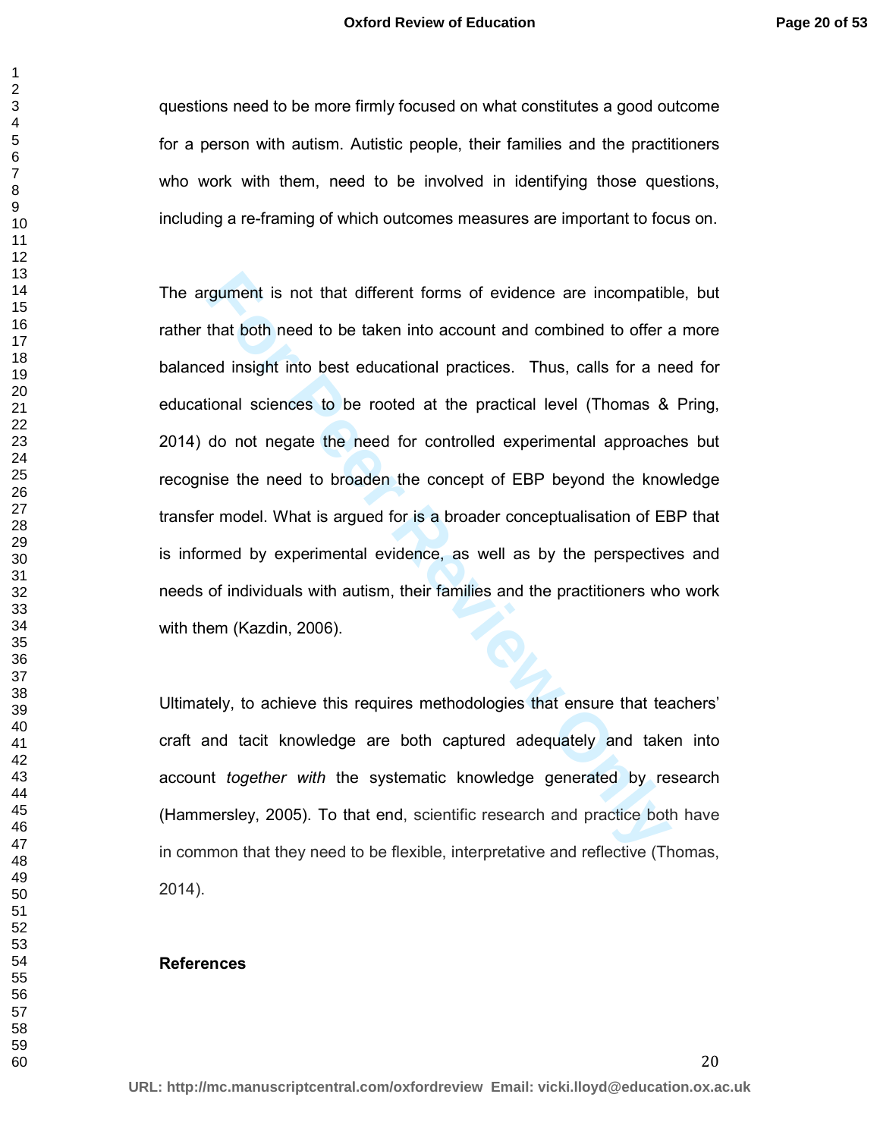questions need to be more firmly focused on what constitutes a good outcome for a person with autism. Autistic people, their families and the practitioners who work with them, need to be involved in identifying those questions, including a re-framing of which outcomes measures are important to focus on.

rgument is not that different forms of evidence are incompatib<br>that both need to be taken into account and combined to offer a<br>ed insight into best educational practices. Thus, calls for a ne<br>ional sciences to be rooted at The argument is not that different forms of evidence are incompatible, but rather that both need to be taken into account and combined to offer a more balanced insight into best educational practices. Thus, calls for a need for educational sciences to be rooted at the practical level (Thomas & Pring, 2014) do not negate the need for controlled experimental approaches but recognise the need to broaden the concept of EBP beyond the knowledge transfer model. What is argued for is a broader conceptualisation of EBP that is informed by experimental evidence, as well as by the perspectives and needs of individuals with autism, their families and the practitioners who work with them (Kazdin, 2006).

Ultimately, to achieve this requires methodologies that ensure that teachers' craft and tacit knowledge are both captured adequately and taken into account *together with* the systematic knowledge generated by research (Hammersley, 2005). To that end, scientific research and practice both have in common that they need to be flexible, interpretative and reflective (Thomas, 2014).

#### **References**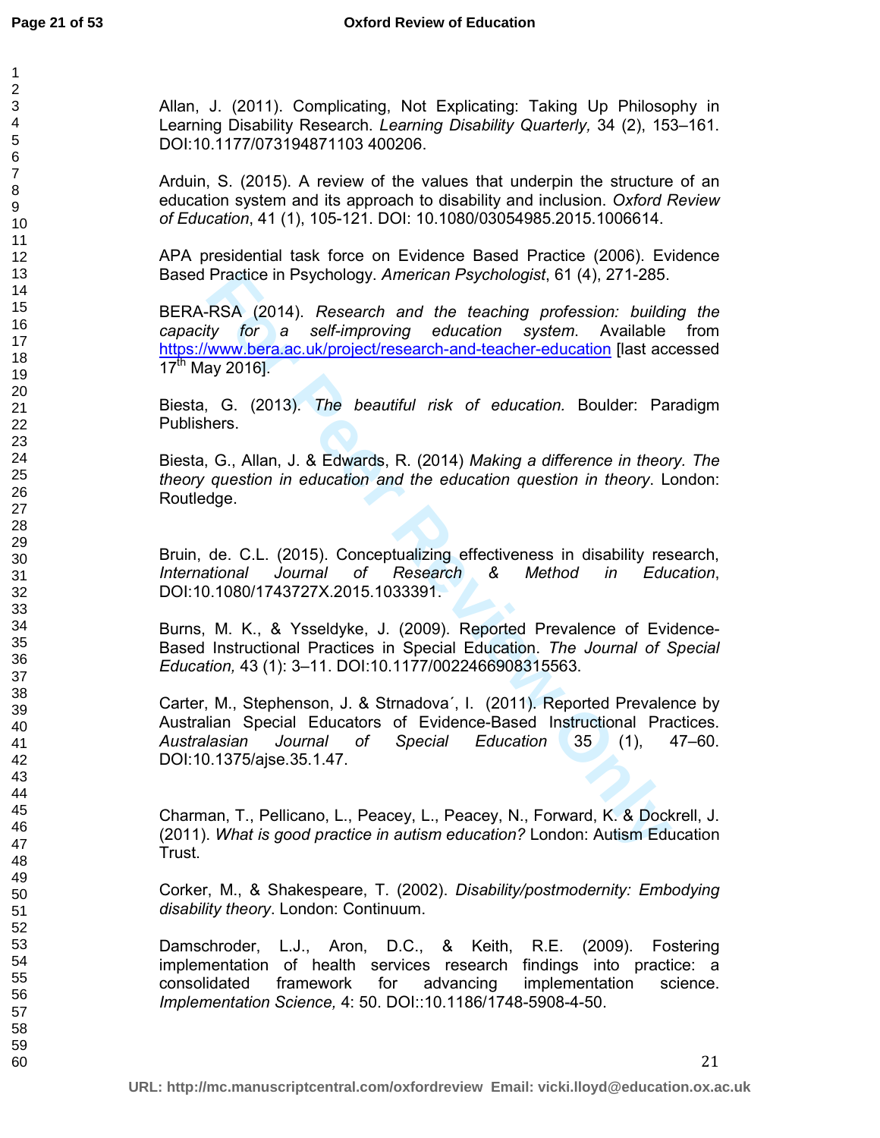Allan, J. (2011). Complicating, Not Explicating: Taking Up Philosophy in Learning Disability Research. *Learning Disability Quarterly,* 34 (2), 153–161. DOI:10.1177/073194871103 400206.

Arduin, S. (2015). A review of the values that underpin the structure of an education system and its approach to disability and inclusion. *Oxford Review of Education*, 41 (1), 105-121. DOI: 10.1080/03054985.2015.1006614.

APA presidential task force on Evidence Based Practice (2006). Evidence Based Practice in Psychology. *American Psychologist*, 61 (4), 271-285.

Practice in Psychology. *American Psychologist*, 61 (4), 271-285.<br> **FSA (2014).** Research and the teaching profession: building<br>
ty for a self-improving education system. Available<br>
by tor a self-improving education system BERA-RSA (2014). *Research and the teaching profession: building the capacity for a self-improving education system*. Available from https://www.bera.ac.uk/project/research-and-teacher-education [last accessed  $17^{th}$  May 2016].

Biesta, G. (2013). *The beautiful risk of education.* Boulder: Paradigm Publishers.

Biesta, G., Allan, J. & Edwards, R. (2014) *Making a difference in theory. The theory question in education and the education question in theory*. London: Routledge.

Bruin, de. C.L. (2015). Conceptualizing effectiveness in disability research, *International Journal of Research & Method in Education*, DOI:10.1080/1743727X.2015.1033391.

Burns, M. K., & Ysseldyke, J. (2009). Reported Prevalence of Evidence-Based Instructional Practices in Special Education. *The Journal of Special Education,* 43 (1): 3–11. DOI:10.1177/0022466908315563.

Carter, M., Stephenson, J. & Strnadova´, I. (2011). Reported Prevalence by Australian Special Educators of Evidence-Based Instructional Practices. *Australasian Journal of Special Education* 35 (1), 47–60. DOI:10.1375/ajse.35.1.47.

Charman, T., Pellicano, L., Peacey, L., Peacey, N., Forward, K. & Dockrell, J. (2011). *What is good practice in autism education?* London: Autism Education Trust.

Corker, M., & Shakespeare, T. (2002). *Disability/postmodernity: Embodying disability theory*. London: Continuum.

Damschroder, L.J., Aron, D.C., & Keith, R.E. (2009). Fostering implementation of health services research findings into practice: a consolidated framework for advancing implementation science. *Implementation Science,* 4: 50. DOI::10.1186/1748-5908-4-50.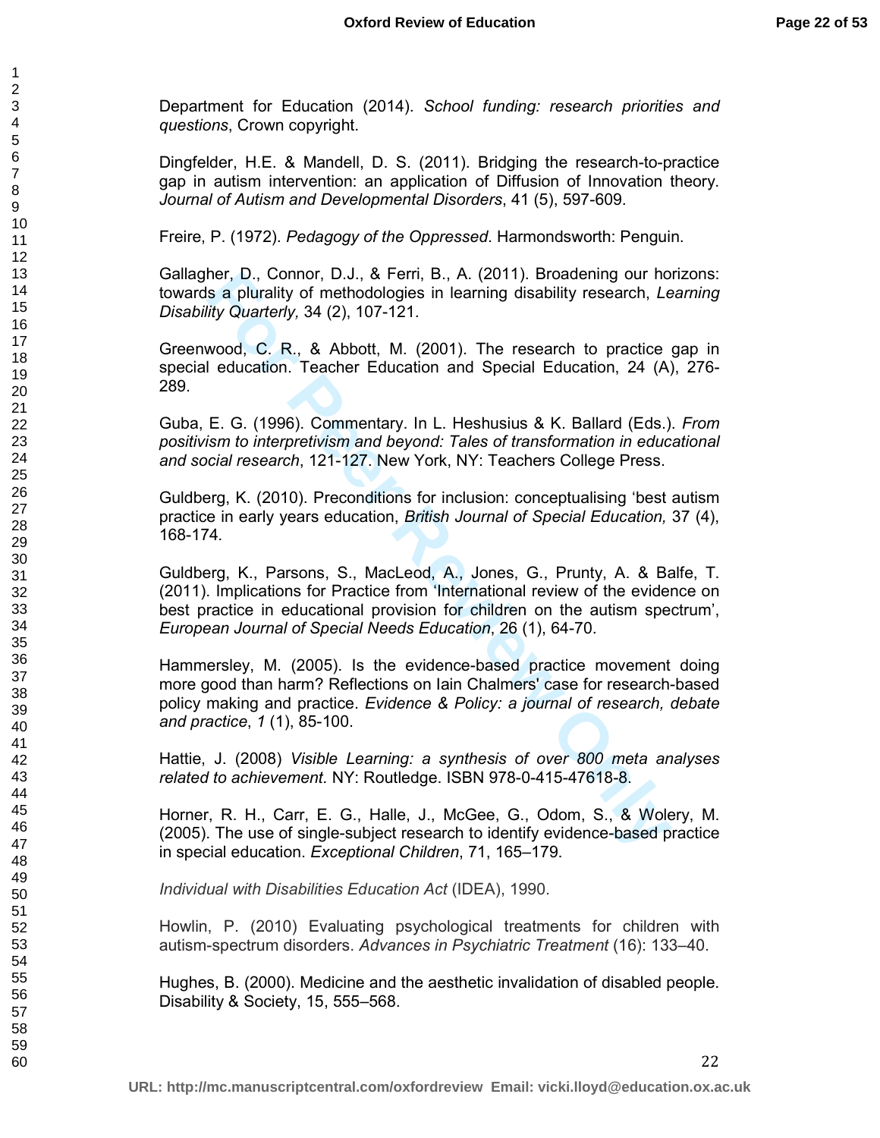Department for Education (2014). *School funding: research priorities and questions*, Crown copyright.

Dingfelder, H.E. & Mandell, D. S. (2011). Bridging the research-to-practice gap in autism intervention: an application of Diffusion of Innovation theory. *Journal of Autism and Developmental Disorders*, 41 (5), 597-609.

Freire, P. (1972). *Pedagogy of the Oppressed*. Harmondsworth: Penguin.

Gallagher, D., Connor, D.J., & Ferri, B., A. (2011). Broadening our horizons: towards a plurality of methodologies in learning disability research, *Learning Disability Quarterly,* 34 (2), 107-121.

Greenwood, C. R., & Abbott, M. (2001). The research to practice gap in special education. Teacher Education and Special Education, 24 (A), 276- 289.

Guba, E. G. (1996). Commentary. In L. Heshusius & K. Ballard (Eds.). *From positivism to interpretivism and beyond: Tales of transformation in educational and social research*, 121-127. New York, NY: Teachers College Press.

Guldberg, K. (2010). Preconditions for inclusion: conceptualising 'best autism practice in early years education, *British Journal of Special Education,* 37 (4), 168-174*.*

ner, D., Connor, D.J., & Fern, B., A. (2011). Broadening our hones, D., Connor, D.J., & Fern, B., A. (2011). Broadening disability research, Let it by Quarterly, 34 (2), 107-121.<br>
wood, C. R., & Abbott, M. (2001). The rese Guldberg, K., Parsons, S., MacLeod, A., Jones, G., Prunty, A. & Balfe, T. (2011). Implications for Practice from 'International review of the evidence on best practice in educational provision for children on the autism spectrum', *European Journal of Special Needs Education*, 26 (1), 64-70.

Hammersley, M. (2005). Is the evidence-based practice movement doing more good than harm? Reflections on Iain Chalmers' case for research-based policy making and practice. *Evidence & Policy: a journal of research, debate and practice*, *1* (1), 85-100.

Hattie, J. (2008) *Visible Learning: a synthesis of over 800 meta analyses related to achievement.* NY: Routledge. ISBN 978-0-415-47618-8.

Horner, R. H., Carr, E. G., Halle, J., McGee, G., Odom, S., & Wolery, M. (2005). The use of single-subject research to identify evidence-based practice in special education. *Exceptional Children*, 71, 165–179.

*Individual with Disabilities Education Act* (IDEA), 1990.

Howlin, P. (2010) Evaluating psychological treatments for children with autism-spectrum disorders. *Advances in Psychiatric Treatment* (16): 133–40.

Hughes, B. (2000). Medicine and the aesthetic invalidation of disabled people. Disability & Society, 15, 555–568.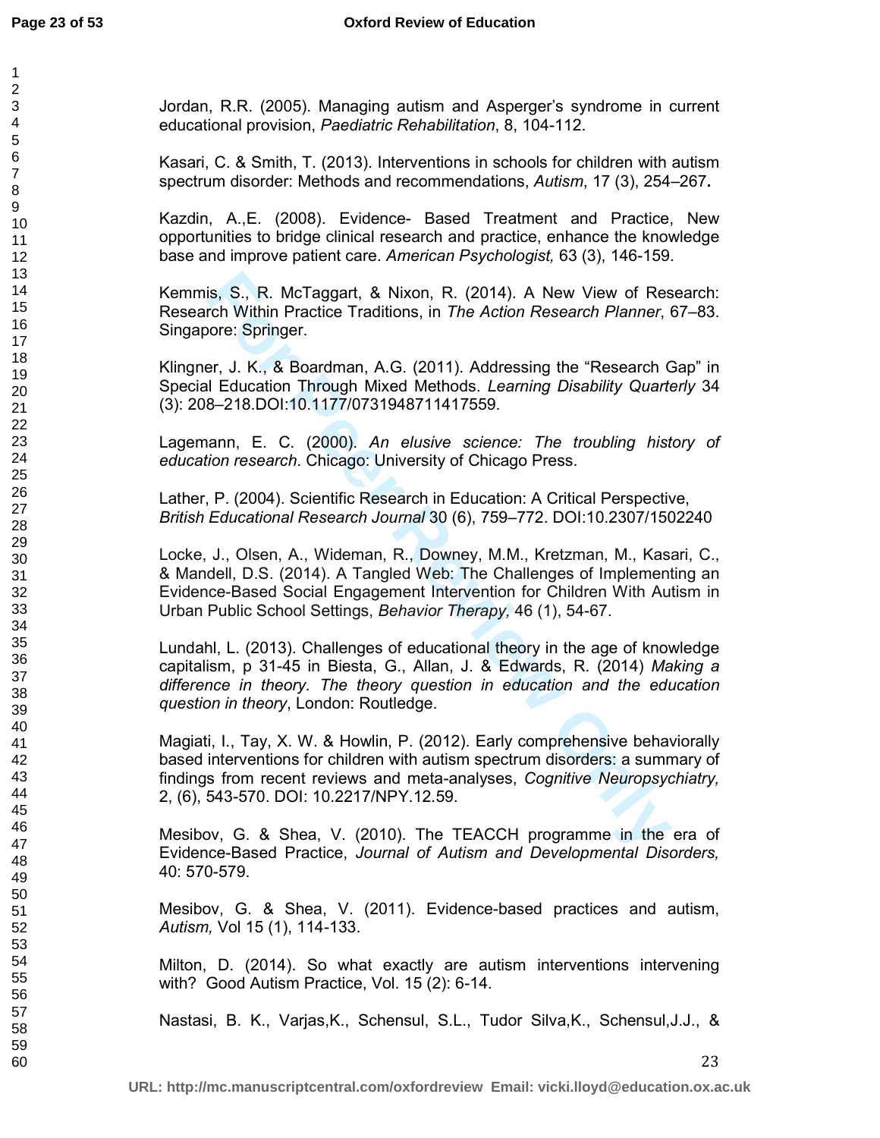Jordan, R.R. (2005). Managing autism and Asperger's syndrome in current educational provision, *Paediatric Rehabilitation*, 8, 104-112.

Kasari, C. & Smith, T. (2013). Interventions in schools for children with autism spectrum disorder: Methods and recommendations, *Autism*, 17 (3), 254–267**.** 

Kazdin, A.,E. (2008). Evidence- Based Treatment and Practice, New opportunities to bridge clinical research and practice, enhance the knowledge base and improve patient care. *American Psychologist,* 63 (3), 146-159.

Kemmis, S., R. McTaggart, & Nixon, R. (2014). A New View of Research: Research Within Practice Traditions, in *The Action Research Planner*, 67–83. Singapore: Springer.

Klingner, J. K., & Boardman, A.G. (2011). Addressing the "Research Gap" in Special Education Through Mixed Methods. *Learning Disability Quarterly* 34 (3): 208–218.DOI:10.1177/0731948711417559.

Lagemann, E. C. (2000). *An elusive science: The troubling history of education research*. Chicago: University of Chicago Press.

Lather, P. (2004). Scientific Research in Education: A Critical Perspective, *British Educational Research Journal* 30 (6), 759–772. DOI:10.2307/1502240

is, S., R. McTaggart, & Nixon, R. (2014). A New View of Research Within Practice Traditions, in *The Action Research Planner*, tore: Springer.<br>
F. J. K., & Boardman, A.G. (2011). Addressing the "Research Calcudation Throug Locke, J., Olsen, A., Wideman, R., Downey, M.M., Kretzman, M., Kasari, C., & Mandell, D.S. (2014). A Tangled Web: The Challenges of Implementing an Evidence-Based Social Engagement Intervention for Children With Autism in Urban Public School Settings, *Behavior Therapy,* 46 (1), 54-67.

Lundahl, L. (2013). Challenges of educational theory in the age of knowledge capitalism, p 31-45 in Biesta, G., Allan, J. & Edwards, R. (2014) *Making a difference in theory. The theory question in education and the education question in theory*, London: Routledge.

Magiati, I., Tay, X. W. & Howlin, P. (2012). Early comprehensive behaviorally based interventions for children with autism spectrum disorders: a summary of findings from recent reviews and meta-analyses, *Cognitive Neuropsychiatry,*  2, (6), 543-570. DOI: 10.2217/NPY.12.59.

Mesibov, G. & Shea, V. (2010). The TEACCH programme in the era of Evidence-Based Practice, *Journal of Autism and Developmental Disorders,* 40: 570-579.

Mesibov, G. & Shea, V. (2011). Evidence-based practices and autism, *Autism,* Vol 15 (1), 114-133.

Milton, D. (2014). So what exactly are autism interventions intervening with? Good Autism Practice, Vol. 15 (2): 6-14.

Nastasi, B. K., Varjas,K., Schensul, S.L., Tudor Silva,K., Schensul,J.J., &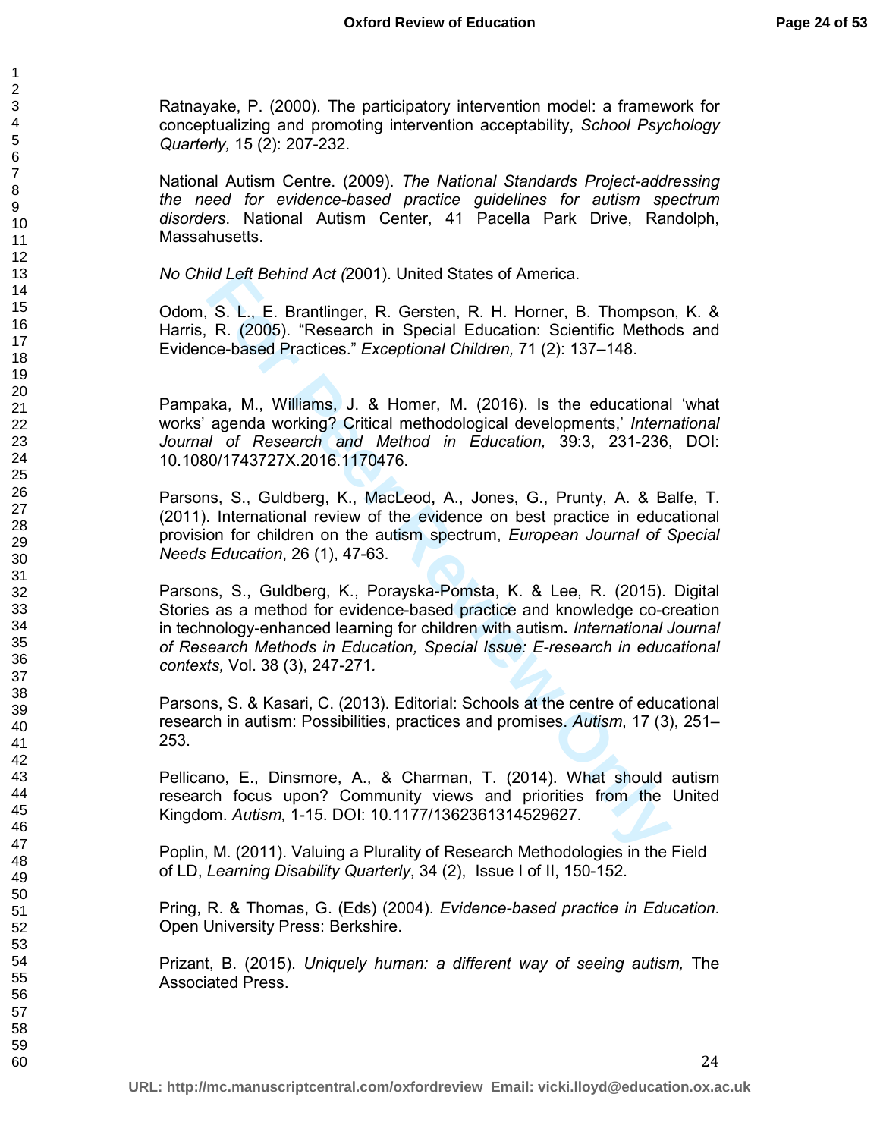Ratnayake, P. (2000). The participatory intervention model: a framework for conceptualizing and promoting intervention acceptability, *School Psychology Quarterly,* 15 (2): 207-232.

National Autism Centre. (2009). *The National Standards Project-addressing the need for evidence-based practice guidelines for autism spectrum disorders*. National Autism Center, 41 Pacella Park Drive, Randolph, Massahusetts.

*No Child Left Behind Act (*2001). United States of America.

Odom, S. L., E. Brantlinger, R. Gersten, R. H. Horner, B. Thompson, K. & Harris, R. (2005). "Research in Special Education: Scientific Methods and Evidence-based Practices." *Exceptional Children,* 71 (2): 137–148.

Pampaka, M., Williams, J. & Homer, M. (2016). Is the educational 'what works' agenda working? Critical methodological developments,' *International Journal of Research and Method in Education,* 39:3, 231-236, DOI: 10.1080/1743727X.2016.1170476.

Parsons, S., Guldberg, K., MacLeod**,** A., Jones, G., Prunty, A. & Balfe, T. (2011). International review of the evidence on best practice in educational provision for children on the autism spectrum, *European Journal of Special Needs Education*, 26 (1), 47-63.

Id Left Behind Act (2001). United States of America.<br>
S. L., E. Brantlinger, R. Gersten, R. H. Horner, B. Thompson<br>
R. (2005). "Research in Special Education: Scientific Method<br>
ore-based Practices." *Exceptional Children* Parsons, S., Guldberg, K., Porayska-Pomsta, K. & Lee, R. (2015). Digital Stories as a method for evidence-based practice and knowledge co-creation in technology-enhanced learning for children with autism**.** *International Journal of Research Methods in Education, Special Issue: E-research in educational contexts,* Vol. 38 (3), 247-271*.*

Parsons, S. & Kasari, C. (2013). Editorial: Schools at the centre of educational research in autism: Possibilities, practices and promises. *Autism*, 17 (3), 251– 253.

Pellicano, E., Dinsmore, A., & Charman, T. (2014). What should autism research focus upon? Community views and priorities from the United Kingdom. *Autism,* 1-15. DOI: 10.1177/1362361314529627.

Poplin, M. (2011). Valuing a Plurality of Research Methodologies in the Field of LD, *Learning Disability Quarterly*, 34 (2), Issue I of II, 150-152.

Pring, R. & Thomas, G. (Eds) (2004). *Evidence-based practice in Education*. Open University Press: Berkshire.

Prizant, B. (2015). *Uniquely human: a different way of seeing autism,* The Associated Press.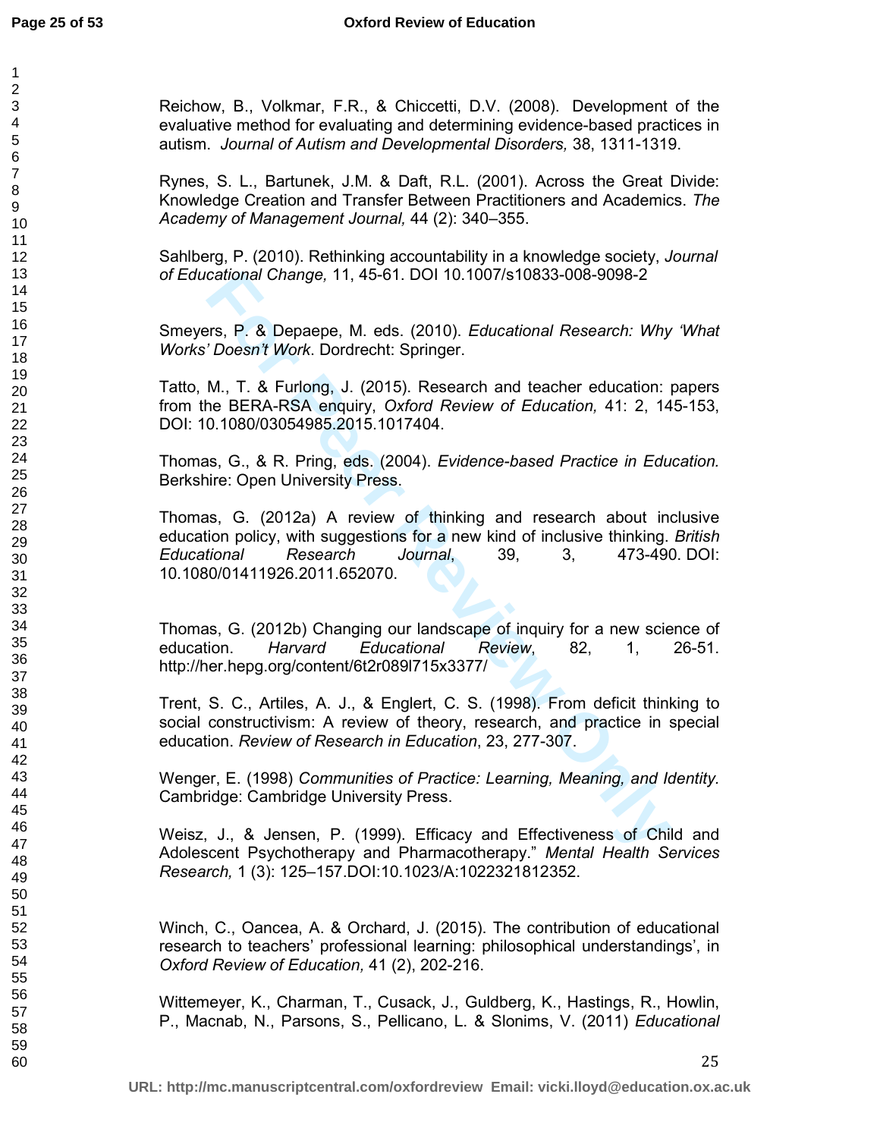Reichow, B., Volkmar, F.R., & Chiccetti, D.V. (2008). Development of the evaluative method for evaluating and determining evidence-based practices in autism. *Journal of Autism and Developmental Disorders,* 38, 1311-1319.

Rynes, S. L., Bartunek, J.M. & Daft, R.L. (2001). Across the Great Divide: Knowledge Creation and Transfer Between Practitioners and Academics. *The Academy of Management Journal,* 44 (2): 340–355.

Sahlberg, P. (2010). Rethinking accountability in a knowledge society, *Journal of Educational Change,* 11, 45-61. DOI 10.1007/s10833-008-9098-2

Smeyers, P. & Depaepe, M. eds. (2010). *Educational Research: Why 'What Works' Doesn't Work*. Dordrecht: Springer.

Tatto, M., T. & Furlong, J. (2015). Research and teacher education: papers from the BERA-RSA enquiry, *Oxford Review of Education,* 41: 2, 145-153, DOI: 10.1080/03054985.2015.1017404.

Thomas, G., & R. Pring, eds. (2004). *Evidence-based Practice in Education.* Berkshire: Open University Press.

cational Change, 11, 45-61. DOI 10.1007/s10833-008-9098-2<br>
Frs, P. & Depaepe, M. eds. (2010). *Educational Research: Why*<br> *M<sub>D</sub>*, T. & Furlong, J. (2015). Research and teacher education: IM., T. & Furlong, J. (2015). Rese Thomas, G. (2012a) A review of thinking and research about inclusive education policy, with suggestions for a new kind of inclusive thinking. *British Educational Research Journal*, 39, 3, 473-490. DOI: 10.1080/01411926.2011.652070.

Thomas, G. (2012b) Changing our landscape of inquiry for a new science of education. *Harvard Educational Review*, 82, 1, 26-51. http://her.hepg.org/content/6t2r089l715x3377/

Trent, S. C., Artiles, A. J., & Englert, C. S. (1998). From deficit thinking to social constructivism: A review of theory, research, and practice in special education. *Review of Research in Education*, 23, 277-307.

Wenger, E. (1998) *Communities of Practice: Learning, Meaning, and Identity.* Cambridge: Cambridge University Press.

Weisz, J., & Jensen, P. (1999). Efficacy and Effectiveness of Child and Adolescent Psychotherapy and Pharmacotherapy." *Mental Health Services Research,* 1 (3): 125–157.DOI:10.1023/A:1022321812352.

Winch, C., Oancea, A. & Orchard, J. (2015). The contribution of educational research to teachers' professional learning: philosophical understandings', in *Oxford Review of Education,* 41 (2), 202-216.

Wittemeyer, K., Charman, T., Cusack, J., Guldberg, K., Hastings, R., Howlin, P., Macnab, N., Parsons, S., Pellicano, L. & Slonims, V. (2011) *Educational*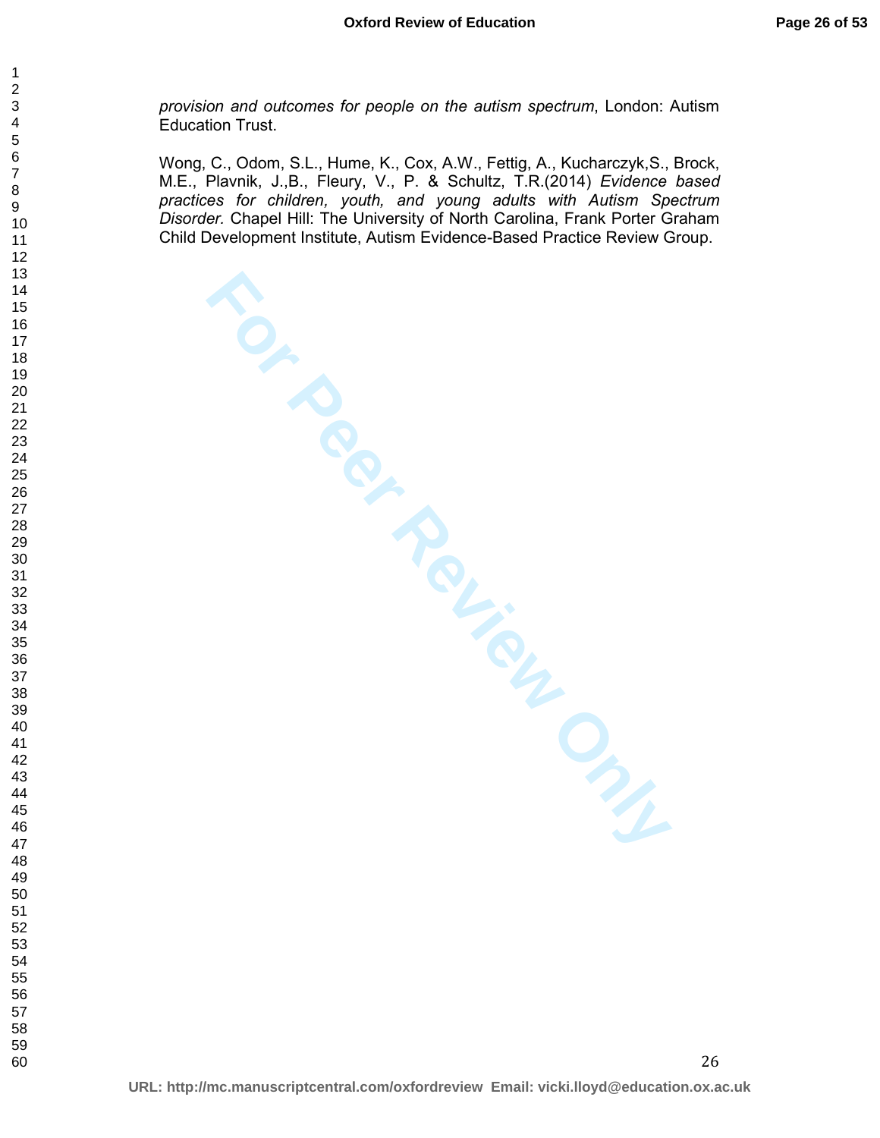*provision and outcomes for people on the autism spectrum*, London: Autism Education Trust.

**FOR PROVIEW ONLY** Wong, C., Odom, S.L., Hume, K., Cox, A.W., Fettig, A., Kucharczyk,S., Brock, M.E., Plavnik, J.,B., Fleury, V., P. & Schultz, T.R.(2014) *Evidence based practices for children, youth, and young adults with Autism Spectrum Disorder.* Chapel Hill: The University of North Carolina, Frank Porter Graham Child Development Institute, Autism Evidence-Based Practice Review Group.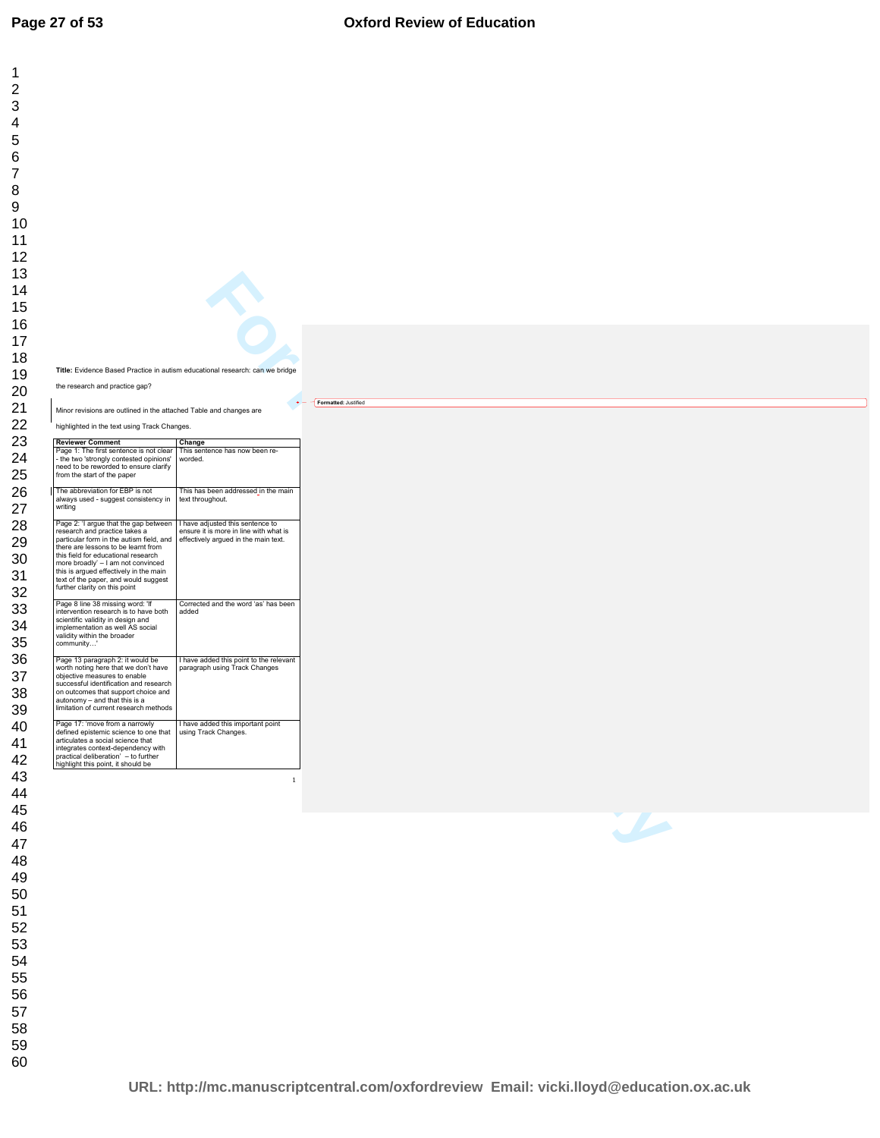#### **Oxford Review of Education**

|                                                                                                                                                                                                                                                                                                                                                           | $\sum_{i=1}^{n}$                                                                                                   |                      |  |
|-----------------------------------------------------------------------------------------------------------------------------------------------------------------------------------------------------------------------------------------------------------------------------------------------------------------------------------------------------------|--------------------------------------------------------------------------------------------------------------------|----------------------|--|
|                                                                                                                                                                                                                                                                                                                                                           |                                                                                                                    |                      |  |
|                                                                                                                                                                                                                                                                                                                                                           |                                                                                                                    |                      |  |
|                                                                                                                                                                                                                                                                                                                                                           | Title: Evidence Based Practice in autism educational research: can we bridge                                       |                      |  |
| the research and practice gap?                                                                                                                                                                                                                                                                                                                            |                                                                                                                    |                      |  |
|                                                                                                                                                                                                                                                                                                                                                           |                                                                                                                    | Formatted: Justified |  |
| Minor revisions are outlined in the attached Table and changes are                                                                                                                                                                                                                                                                                        |                                                                                                                    |                      |  |
| highlighted in the text using Track Changes.                                                                                                                                                                                                                                                                                                              |                                                                                                                    |                      |  |
| <b>Reviewer Comment</b><br>Page 1: The first sentence is not clear This sentence has now been re-<br>- the two 'strongly contested opinions'<br>need to be reworded to ensure clarify<br>from the start of the paper                                                                                                                                      | Change<br>worded.                                                                                                  |                      |  |
| The abbreviation for EBP is not<br>always used - suggest consistency in<br>writing                                                                                                                                                                                                                                                                        | This has been addressed in the main<br>text throughout.                                                            |                      |  |
| Page 2: 'I argue that the gap between<br>research and practice takes a<br>particular form in the autism field, and<br>there are lessons to be learnt from<br>this field for educational research<br>more broadly' - I am not convinced<br>this is argued effectively in the main<br>text of the paper, and would suggest<br>further clarity on this point | I have adjusted this sentence to<br>ensure it is more in line with what is<br>effectively argued in the main text. |                      |  |
| Page 8 line 38 missing word: 'If<br>intervention research is to have both<br>scientific validity in design and<br>implementation as well AS social<br>validity within the broader<br>community'                                                                                                                                                           | Corrected and the word 'as' has been<br>added                                                                      |                      |  |
| Page 13 paragraph 2: it would be<br>worth noting here that we don't have<br>objective measures to enable<br>successful identification and research<br>on outcomes that support choice and<br>autonomy - and that this is a<br>limitation of current research methods                                                                                      | I have added this point to the relevant<br>paragraph using Track Changes                                           |                      |  |
| Page 17: 'move from a narrowly<br>defined epistemic science to one that<br>articulates a social science that<br>integrates context-dependency with<br>practical deliberation' - to further<br>highlight this point, it should be                                                                                                                          | I have added this important point<br>using Track Changes.                                                          |                      |  |
|                                                                                                                                                                                                                                                                                                                                                           | $\mathbf{1}$                                                                                                       |                      |  |
|                                                                                                                                                                                                                                                                                                                                                           |                                                                                                                    |                      |  |
|                                                                                                                                                                                                                                                                                                                                                           |                                                                                                                    |                      |  |
|                                                                                                                                                                                                                                                                                                                                                           |                                                                                                                    |                      |  |
|                                                                                                                                                                                                                                                                                                                                                           |                                                                                                                    |                      |  |
|                                                                                                                                                                                                                                                                                                                                                           |                                                                                                                    |                      |  |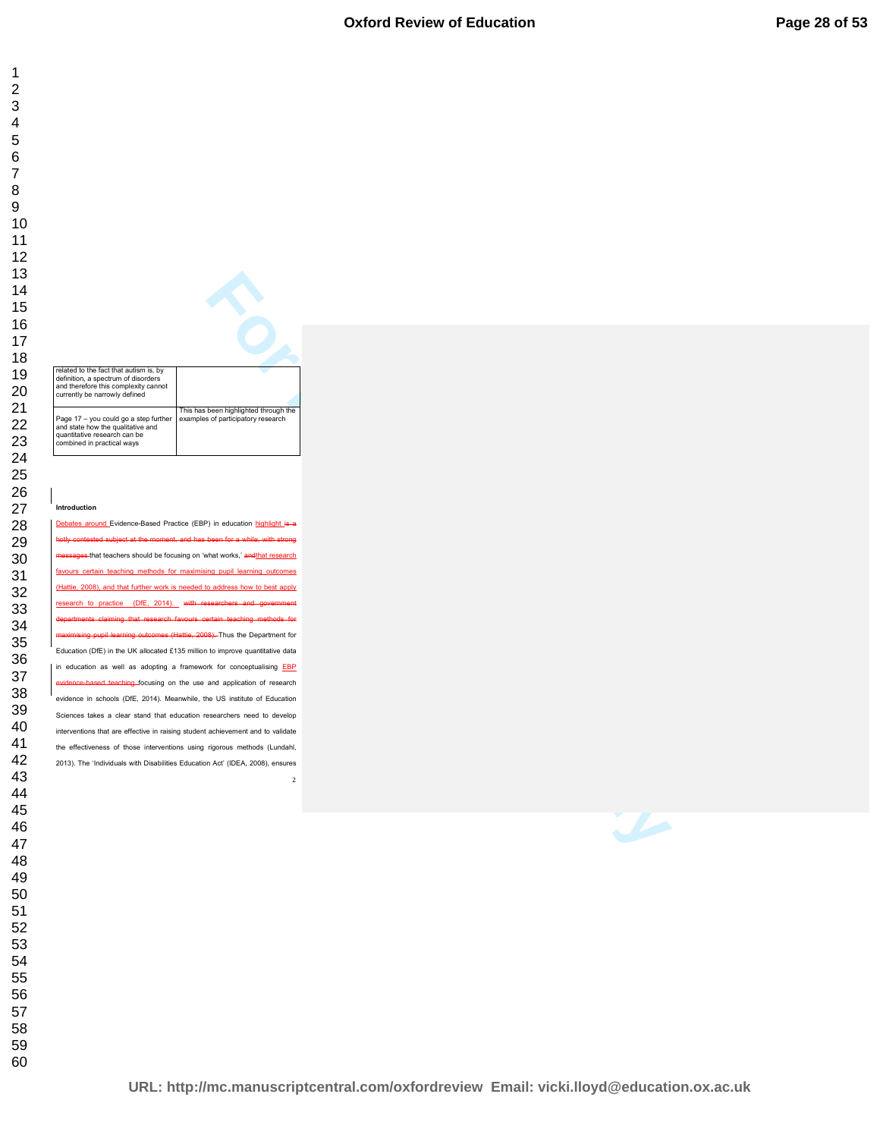#### **Oxford Review of Education**

related to the fact that autism is, by definition, a spectrum of disorders and therefore this complexity cannot currently be narrowly defined Page 17 – you could go a step further and state how the qualitative and quantitative research can be combined in practical ways This has been highlighted through the examples of participatory research

#### **Introduction**

**For Performance Concept Consumers Concept Consumers Consumers Consumers Consumers Consumers Consumers Consumers Consumers Consumers Consumers Consumers Consumers Consumers Consumers Consumers Consumers Consumers Consumers**  around Evidence-Based Practice (EBP) in education highlight is a hotly contested subject at the moment, and has been for a while, with strong es-that teachers should be focusing on 'what works,' and that research favours certain teaching methods for maximising pupil learning outcomes (Hattie, 2008), and that further work is needed to address how to best apply research to practice (DfE, 2014). with researchers departments claiming that research favours certain teaching methods for upil learning outcomes (Hattie, 2008). Thus the Department for Education (DfE) in the UK allocated £135 million to improve quantitative data in education as well as adopting a framework for conceptualising EBP widence-based teaching focusing on the use and application of research evidence in schools (DfE, 2014). Meanwhile, the US institute of Education Sciences takes a clear stand that education researchers need to develop interventions that are effective in raising student achievement and to validate the effectiveness of those interventions using rigorous methods (Lundahl, 2013). The 'Individuals with Disabilities Education Act' (IDEA, 2008), ensures

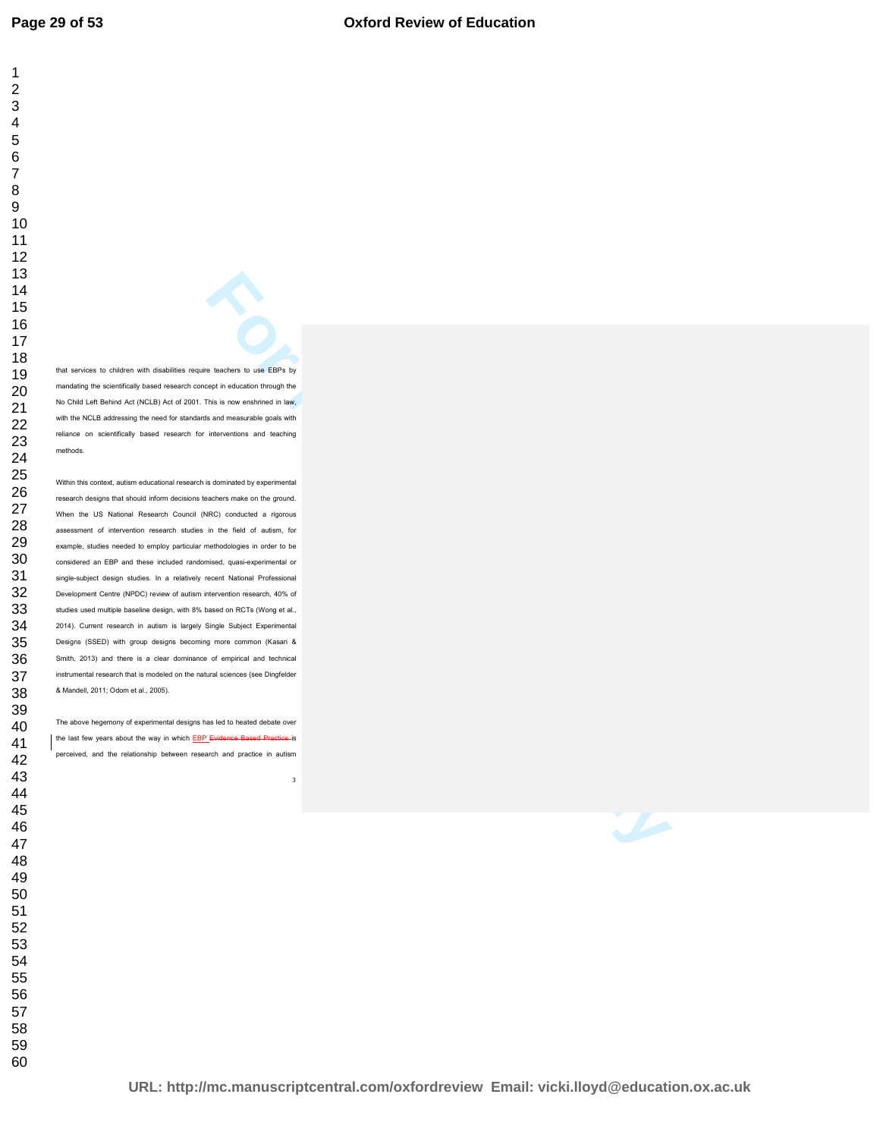that services to children with disabilities require teachers to use EBPs by mandating the scientifically based research concept in education through the No Child Left Behind Act (NCLB) Act of 2001. This is now enshrined in law, with the NCLB addressing the need for standards and measurable goals with reliance on scientifically based research for interventions and teaching methods.

**For Personalism and Constrainers of the United States of the United States and Constrainers and Constrainers and Constrainers and Constrainers and Constrainers and Constrainers and Constrainers and Constrainers and Constr** Within this context, autism educational research is dominated by experimental research designs that should inform decisions teachers make on the ground. When the US National Research Council (NRC) conducted a rigorous assessment of intervention research studies in the field of autism, for example, studies needed to employ particular methodologies in order to be considered an EBP and these included randomised, quasi-experimental or single-subject design studies. In a relatively recent National Professional Development Centre (NPDC) review of autism intervention research, 40% of studies used multiple baseline design, with 8% based on RCTs (Wong et al., 2014). Current research in autism is largely Single Subject Experimental Designs (SSED) with group designs becoming more common (Kasari & Smith, 2013) and there is a clear dominance of empirical and technical instrumental research that is modeled on the natural sciences (see Dingfelder & Mandell, 2011; Odom et al., 2005).

The above hegemony of experimental designs has led to heated debate over the last few years about the way in which **EBP Evidence Based Practice** is perceived, and the relationship between research and practice in autism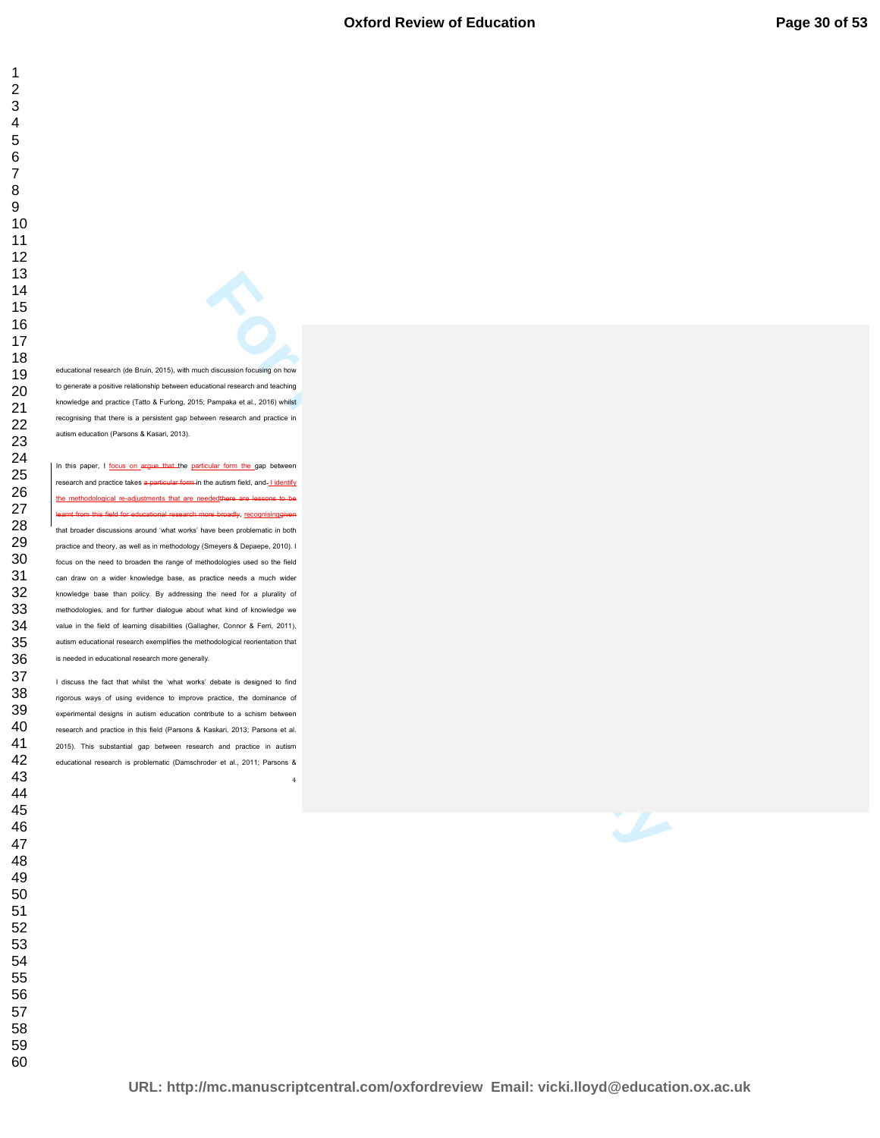educational research (de Bruin, 2015), with much discussion focusing on how to generate a positive relationship between educational research and teaching knowledge and practice (Tatto & Furlong, 2015; Pampaka et al., 2016) whilst recognising that there is a persistent gap between research and practice in autism education (Parsons & Kasari, 2013).

**Excession Contains (and the second in the second in the second in the second in the second in the second in the second in the second in the second in the second in the second in the second in the second in the second inte** In this paper, I focus on argue that the particular form the gap between research and practice takes a particular form in the autism field, and-Lidentify the methodological re-adjustments that are neededthere are lessons to be learnt from this field for educational research more broadly, <u>recognisinggiven</u> that broader discussions around 'what works' have been problematic in both practice and theory, as well as in methodology (Smeyers & Depaepe, 2010). I focus on the need to broaden the range of methodologies used so the field can draw on a wider knowledge base, as practice needs a much wider knowledge base than policy. By addressing the need for a plurality of methodologies, and for further dialogue about what kind of knowledge we value in the field of learning disabilities (Gallagher, Connor & Ferri, 2011), autism educational research exemplifies the methodological reorientation that is needed in educational research more generally.

 I discuss the fact that whilst the 'what works' debate is designed to find rigorous ways of using evidence to improve practice, the dominance of experimental designs in autism education contribute to a schism between research and practice in this field (Parsons & Kaskari, 2013; Parsons et al. 2015). This substantial gap between research and practice in autism educational research is problematic (Damschroder et al., 2011; Parsons &

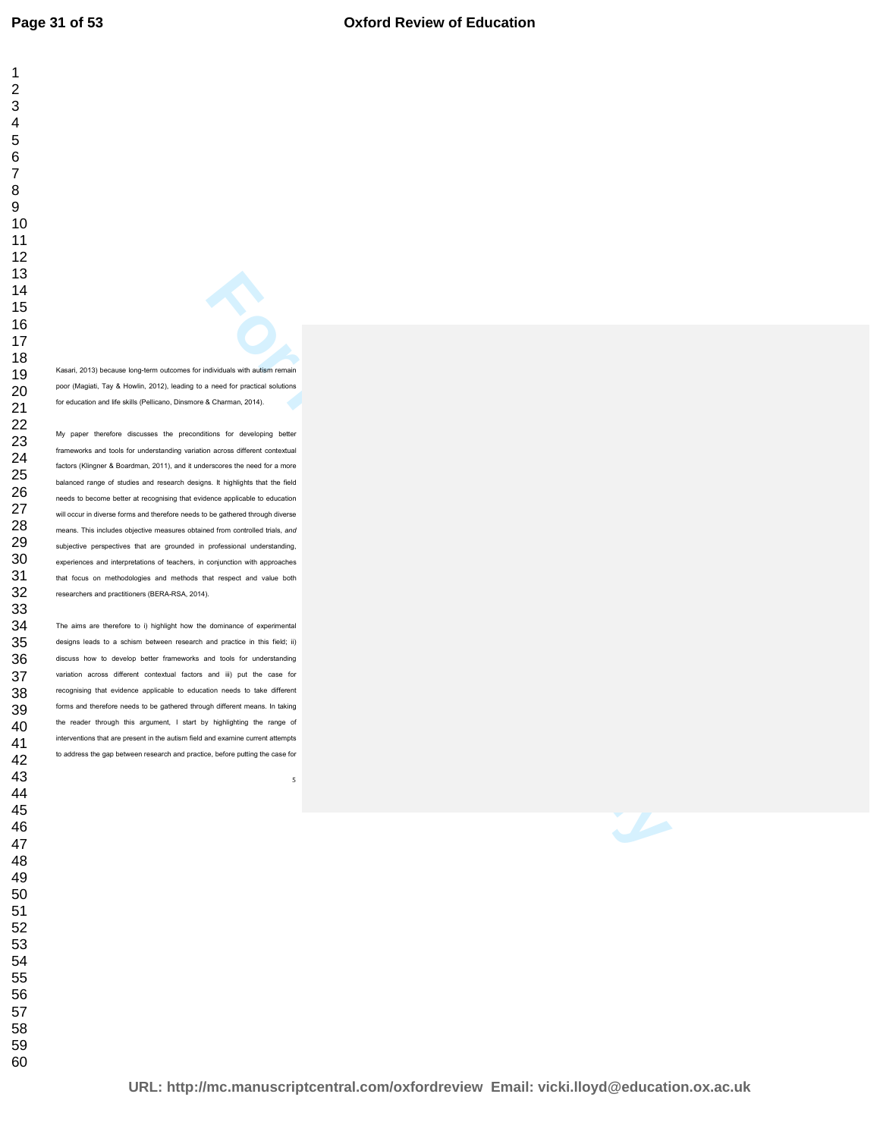Kasari, 2013) because long-term outcomes for individuals with autism remain poor (Magiati, Tay & Howlin, 2012), leading to a need for practical solutions for education and life skills (Pellicano, Dinsmore & Charman, 2014). My paper therefore discusses the preconditions for developing better frameworks and tools for understanding variation across different contextual factors (Klingner & Boardman, 2011), and it underscores the need for a more balanced range of studies and research designs. It highlights that the field

needs to become better at recognising that evidence applicable to education will occur in diverse forms and therefore needs to be gathered through diverse means. This includes objective measures obtained from controlled trials, *and* subjective perspectives that are grounded in professional understanding, experiences and interpretations of teachers, in conjunction with approaches that focus on methodologies and methods that respect and value both researchers and practitioners (BERA-RSA, 2014).

**For Period in the United States of the United States and States and States and States and States and States and States and States and States and States and States and States and States and States and States and States and** The aims are therefore to i) highlight how the dominance of experimental designs leads to a schism between research and practice in this field; ii) discuss how to develop better frameworks and tools for understanding variation across different contextual factors and iii) put the case for recognising that evidence applicable to education needs to take different forms and therefore needs to be gathered through different means. In taking the reader through this argument, I start by highlighting the range of interventions that are present in the autism field and examine current attempts to address the gap between research and practice, before putting the case for

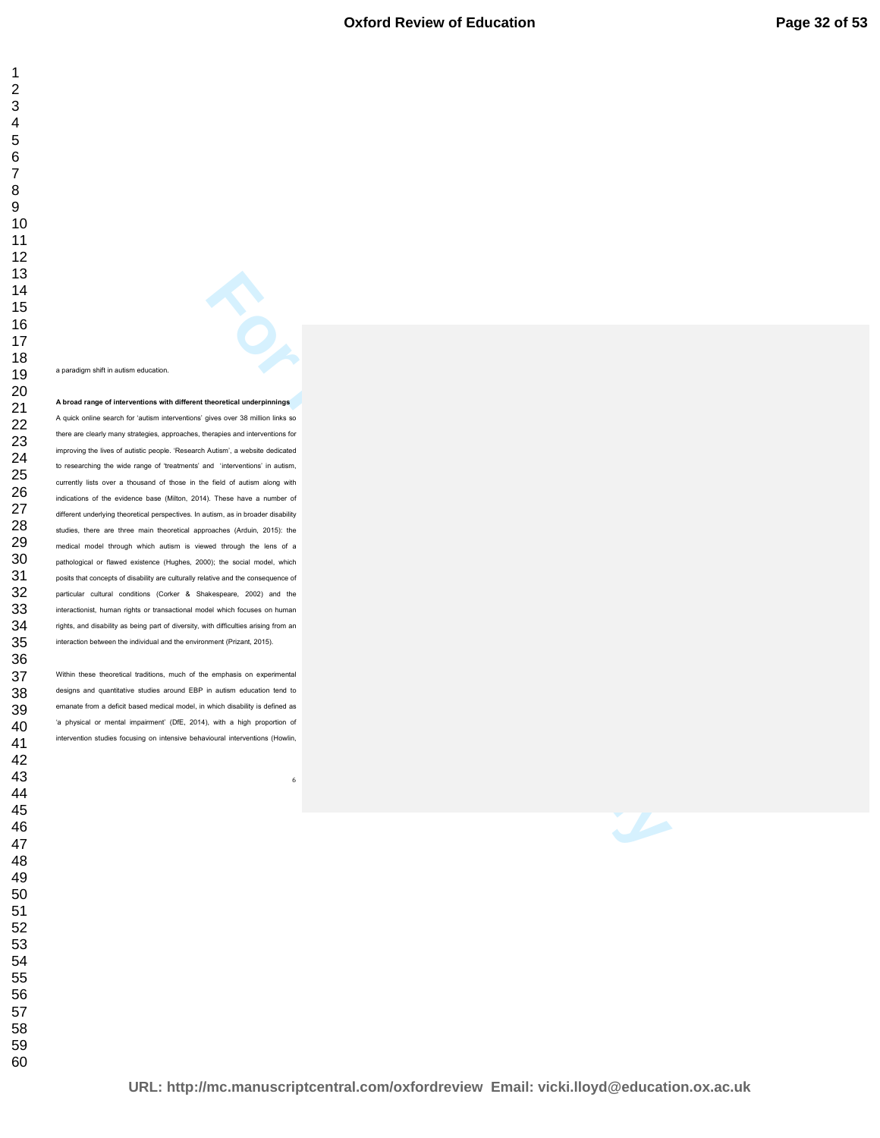a paradigm shift in autism education.

**Excession and 36 million the performance**<br> **For Peer Review Only and Section 2018**<br> **For Peer Review Only and Section 2019**<br> **For Peer Review Only and Section 2019**<br> **For Peer Review Only and Section 2019**<br> **For Peer Revi A broad range of interventions with different theoretical underpinnings**  A quick online search for 'autism interventions' gives over 38 million links so there are clearly many strategies, approaches, therapies and interventions for improving the lives of autistic people. 'Research Autism', a website dedicated to researching the wide range of 'treatments' and 'interventions' in autism, currently lists over a thousand of those in the field of autism along with indications of the evidence base (Milton, 2014). These have a number of different underlying theoretical perspectives. In autism, as in broader disability studies, there are three main theoretical approaches (Arduin, 2015): the medical model through which autism is viewed through the lens of a pathological or flawed existence (Hughes, 2000); the social model, which posits that concepts of disability are culturally relative and the consequence of particular cultural conditions (Corker & Shakespeare, 2002) and the interactionist, human rights or transactional model which focuses on human rights, and disability as being part of diversity, with difficulties arising from an interaction between the individual and the environment (Prizant, 2015).

Within these theoretical traditions, much of the emphasis on experimental designs and quantitative studies around EBP in autism education tend to emanate from a deficit based medical model, in which disability is defined as 'a physical or mental impairment' (DfE, 2014), with a high proportion of intervention studies focusing on intensive behavioural interventions (Howlin,

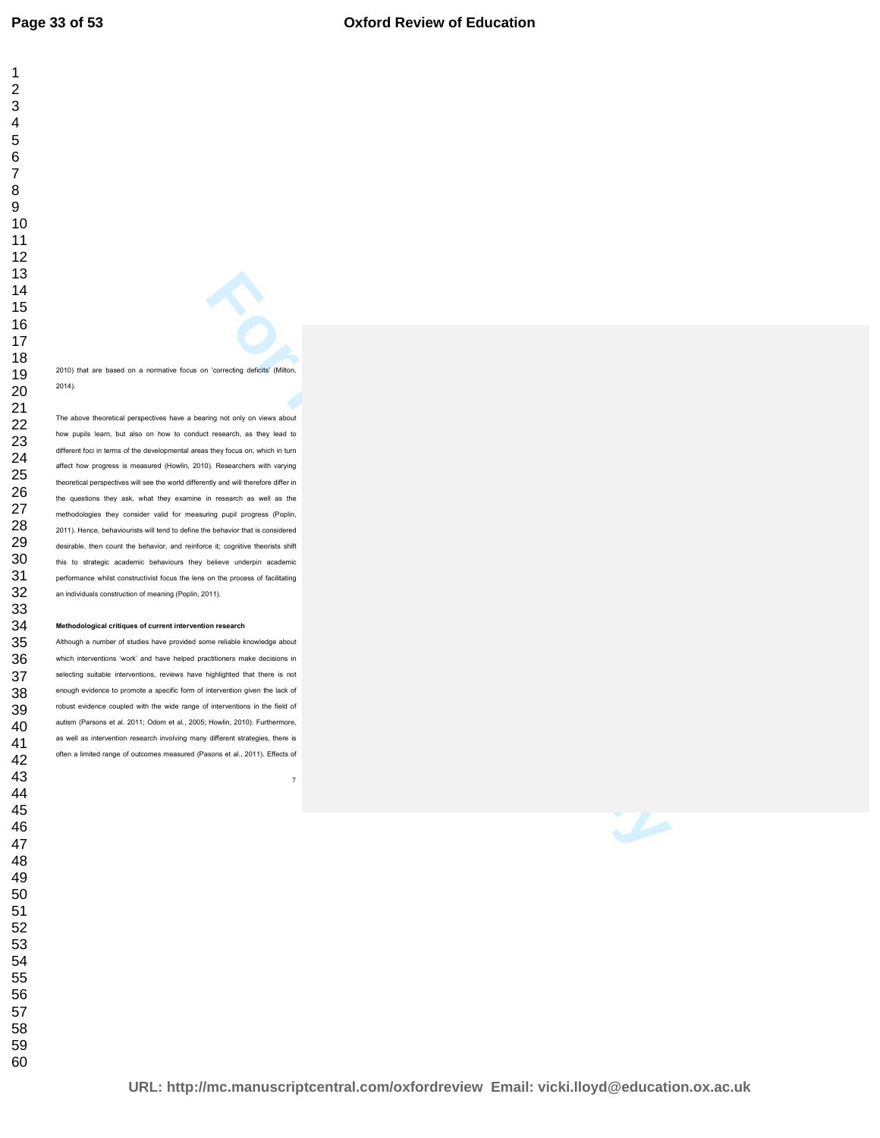2010) that are based on a normative focus on 'correcting deficits' (Milton, 2014).

**For Per Review Only and Section**<br> **For Per Review Only and Section**<br> **For Per Review Only and Section Conduct Section**<br> **For Person Conduct Section Conduct Section**<br> **For Person Conduct Section Conduct Section**<br> **For Pers** The above theoretical perspectives have a bearing not only on views about how pupils learn, but also on how to conduct research, as they lead to different foci in terms of the developmental areas they focus on, which in turn affect how progress is measured (Howlin, 2010). Researchers with varying theoretical perspectives will see the world differently and will therefore differ in the questions they ask, what they examine in research as well as the methodologies they consider valid for measuring pupil progress (Poplin, 2011). Hence, behaviourists will tend to define the behavior that is considered desirable, then count the behavior, and reinforce it; cognitive theorists shift this to strategic academic behaviours they believe underpin academic performance whilst constructivist focus the lens on the process of facilitating an individuals construction of meaning (Poplin, 2011).

#### **Methodological critiques of current intervention research**

Although a number of studies have provided some reliable knowledge about which interventions 'work' and have helped practitioners make decisions in selecting suitable interventions, reviews have highlighted that there is not enough evidence to promote a specific form of intervention given the lack of robust evidence coupled with the wide range of interventions in the field of autism (Parsons et al. 2011; Odom et al., 2005; Howlin, 2010). Furthermore, as well as intervention research involving many different strategies, there is often a limited range of outcomes measured (Pasons et al., 2011). Effects of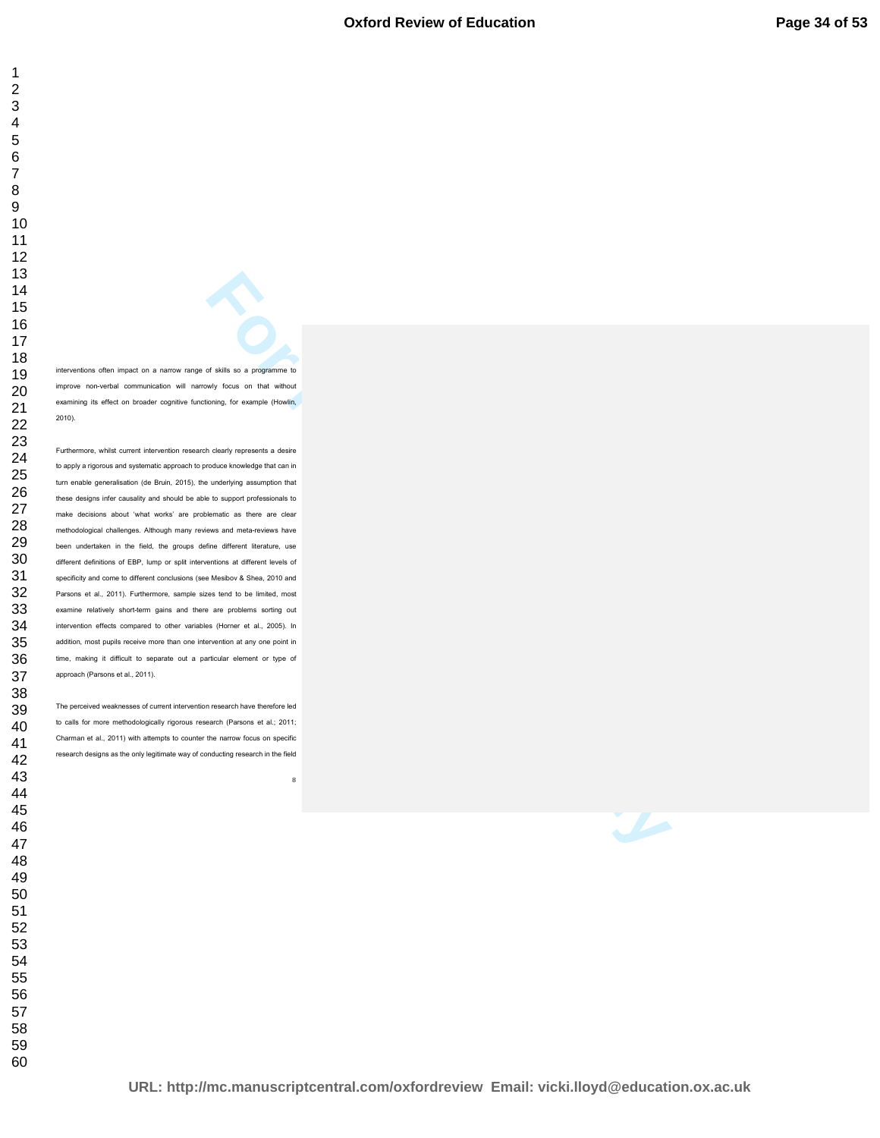interventions often impact on a narrow range of skills so a programme to improve non-verbal communication will narrowly focus on that without examining its effect on broader cognitive functioning, for example (Howlin, 2010).

**For Period in the Second Second Second Second Second Second Second Second Second Second Second Second Second Second Second Second Second Second Second Second Second Second Second Second Second Second Second Second Second** Furthermore, whilst current intervention research clearly represents a desire to apply a rigorous and systematic approach to produce knowledge that can in turn enable generalisation (de Bruin, 2015), the underlying assumption that these designs infer causality and should be able to support professionals to make decisions about 'what works' are problematic as there are clear methodological challenges. Although many reviews and meta-reviews have been undertaken in the field, the groups define different literature, use different definitions of EBP, lump or split interventions at different levels of specificity and come to different conclusions (see Mesibov & Shea, 2010 and Parsons et al., 2011). Furthermore, sample sizes tend to be limited, most examine relatively short-term gains and there are problems sorting out intervention effects compared to other variables (Horner et al., 2005). In addition, most pupils receive more than one intervention at any one point in time, making it difficult to separate out a particular element or type of approach (Parsons et al., 2011).

The perceived weaknesses of current intervention research have therefore led to calls for more methodologically rigorous research (Parsons et al.; 2011; Charman et al., 2011) with attempts to counter the narrow focus on specific research designs as the only legitimate way of conducting research in the field

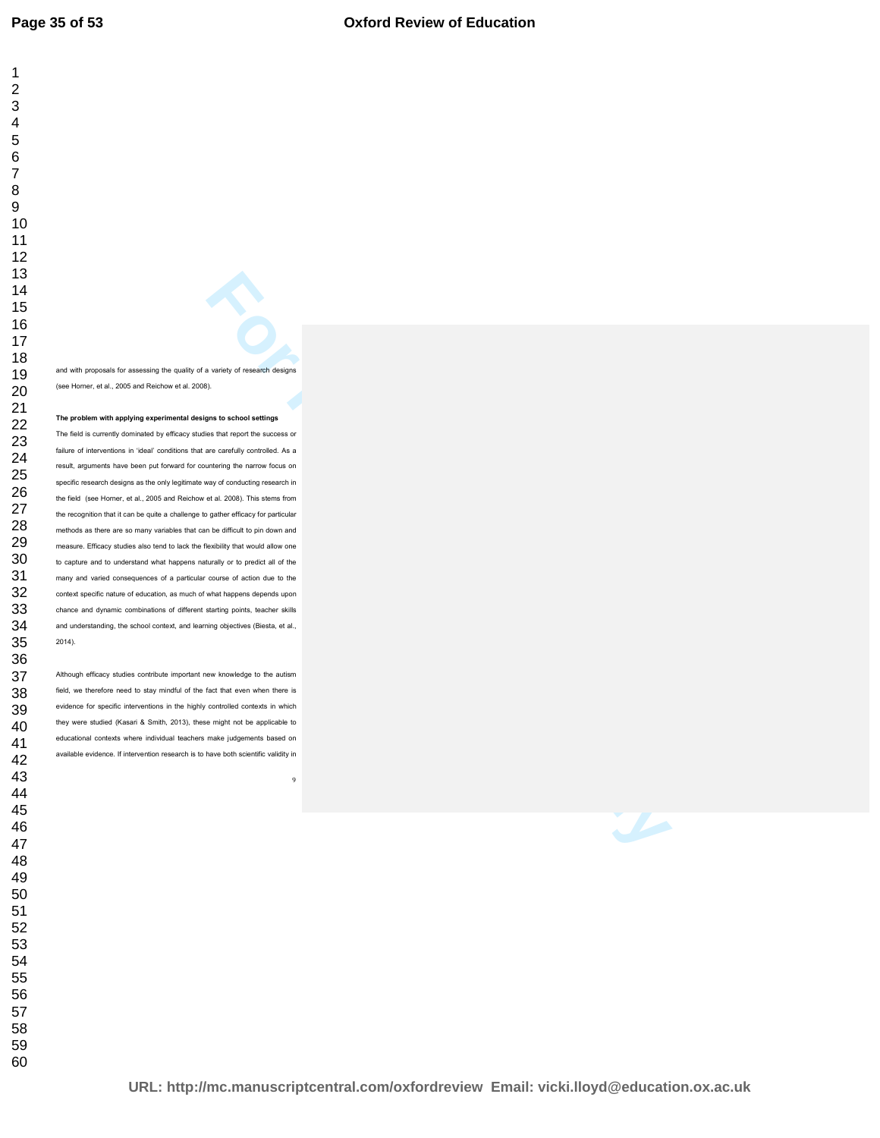and with proposals for assessing the quality of a variety of research designs (see Horner, et al., 2005 and Reichow et al. 2008).

#### **The problem with applying experimental designs to school settings**

**For Performance Construction Constrainers**<br> **For Performance Construction Construction**<br> **For Performance Construction Construction Construction Construction Construction Construction Construction Construction Constructio** The field is currently dominated by efficacy studies that report the success or failure of interventions in 'ideal' conditions that are carefully controlled. As a result, arguments have been put forward for countering the narrow focus on specific research designs as the only legitimate way of conducting research in the field (see Horner, et al., 2005 and Reichow et al. 2008). This stems from the recognition that it can be quite a challenge to gather efficacy for particular methods as there are so many variables that can be difficult to pin down and measure. Efficacy studies also tend to lack the flexibility that would allow one to capture and to understand what happens naturally or to predict all of the many and varied consequences of a particular course of action due to the context specific nature of education, as much of what happens depends upon chance and dynamic combinations of different starting points, teacher skills and understanding, the school context, and learning objectives (Biesta, et al., 2014).

Although efficacy studies contribute important new knowledge to the autism field, we therefore need to stay mindful of the fact that even when there is evidence for specific interventions in the highly controlled contexts in which they were studied (Kasari & Smith, 2013), these might not be applicable to educational contexts where individual teachers make judgements based on available evidence. If intervention research is to have both scientific validity in

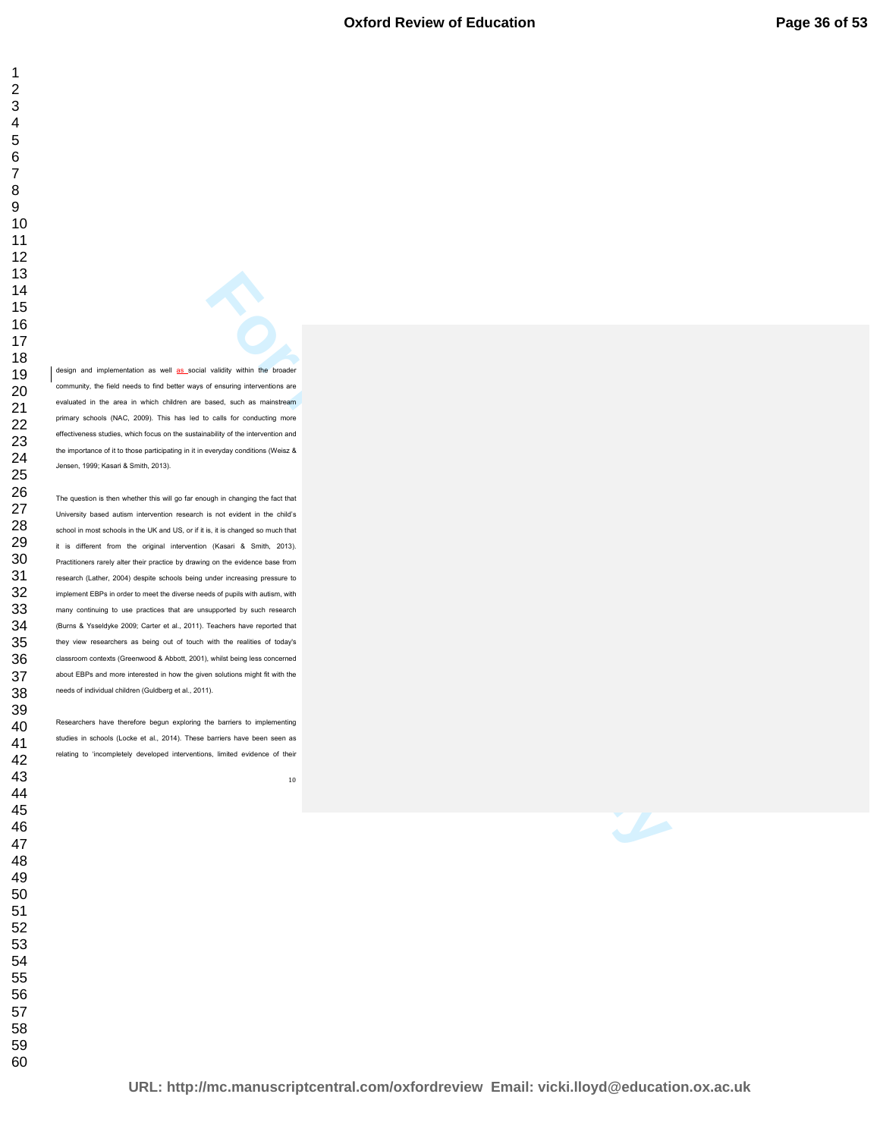design and implementation as well as social validity within the broader community, the field needs to find better ways of ensuring interventions are evaluated in the area in which children are based, such as mainstream primary schools (NAC, 2009). This has led to calls for conducting more effectiveness studies, which focus on the sustainability of the intervention and the importance of it to those participating in it in everyday conditions (Weisz & Jensen, 1999; Kasari & Smith, 2013).

**For Per Review and Constraints and Constraints and Constraints and Constraints and Constraints and Constraints and Constraints and Constraints and Constraints and Constraints and Constraints and Constraints and Constraint** The question is then whether this will go far enough in changing the fact that University based autism intervention research is not evident in the child's school in most schools in the UK and US, or if it is, it is changed so much that it is different from the original intervention (Kasari & Smith, 2013). Practitioners rarely alter their practice by drawing on the evidence base from research (Lather, 2004) despite schools being under increasing pressure to implement EBPs in order to meet the diverse needs of pupils with autism, with many continuing to use practices that are unsupported by such research (Burns & Ysseldyke 2009; Carter et al., 2011). Teachers have reported that they view researchers as being out of touch with the realities of today's classroom contexts (Greenwood & Abbott, 2001), whilst being less concerned about EBPs and more interested in how the given solutions might fit with the needs of individual children (Guldberg et al., 2011).

Researchers have therefore begun exploring the barriers to implementing studies in schools (Locke et al., 2014). These barriers have been seen as relating to 'incompletely developed interventions, limited evidence of their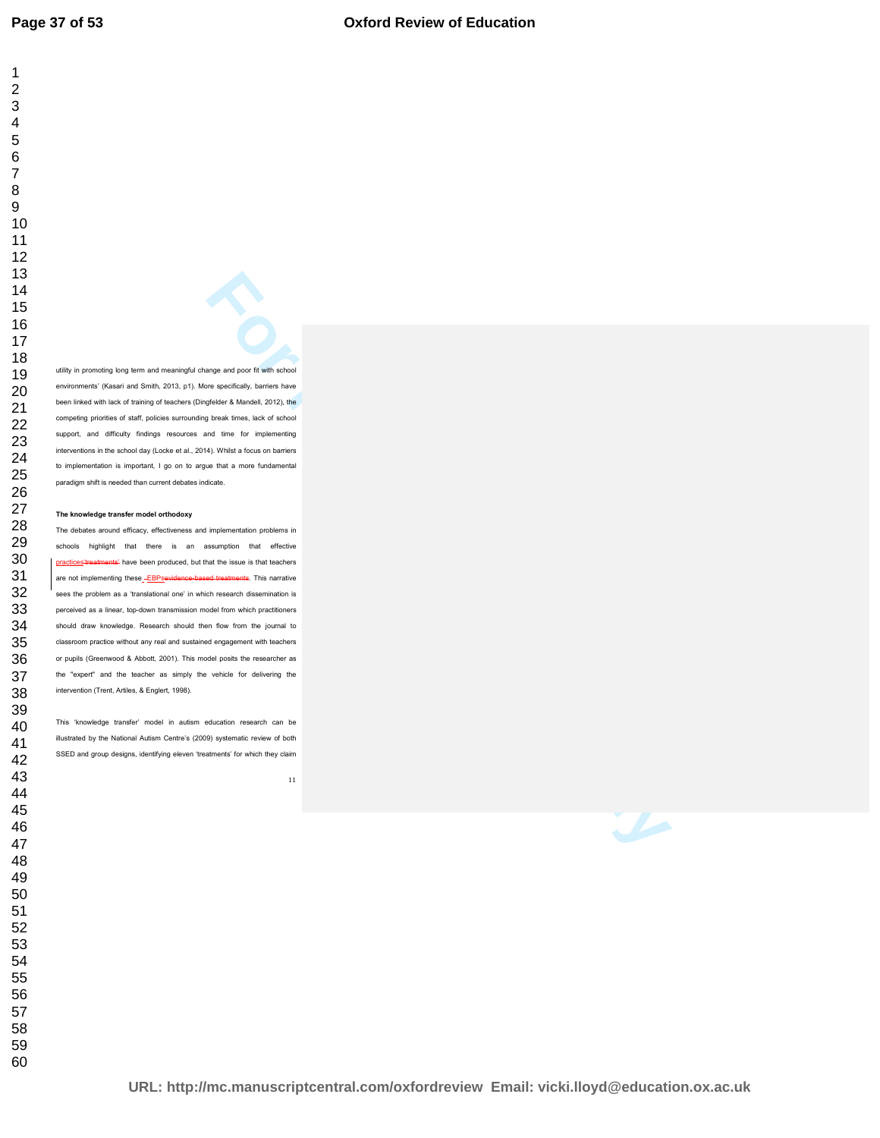utility in promoting long term and meaningful change and poor fit with school environments' (Kasari and Smith, 2013, p1). More specifically, barriers have been linked with lack of training of teachers (Dingfelder & Mandell, 2012), the competing priorities of staff, policies surrounding break times, lack of school support, and difficulty findings resources and time for implementing interventions in the school day (Locke et al., 2014). Whilst a focus on barriers to implementation is important, I go on to argue that a more fundamental paradigm shift is needed than current debates indicate.

#### **The knowledge transfer model orthodoxy**

**For Performance Control and Section**<br> **For Performance Control and Section Section Section Section Section Section Section Section Section Section<br>
The Section Section Section Section Section Section Section Section Secti** The debates around efficacy, effectiveness and implementation problems in schools highlight that there is an assumption that effective practices'treatments' have been produced, but that the issue is that teachers are not implementing these\_-EBPsevidence-based treatments. This narrative sees the problem as a 'translational one' in which research dissemination is perceived as a linear, top-down transmission model from which practitioners should draw knowledge. Research should then flow from the journal to classroom practice without any real and sustained engagement with teachers or pupils (Greenwood & Abbott, 2001). This model posits the researcher as the "expert" and the teacher as simply the vehicle for delivering the intervention (Trent, Artiles, & Englert, 1998).

This 'knowledge transfer' model in autism education research can be illustrated by the National Autism Centre's (2009) systematic review of both SSED and group designs, identifying eleven 'treatments' for which they claim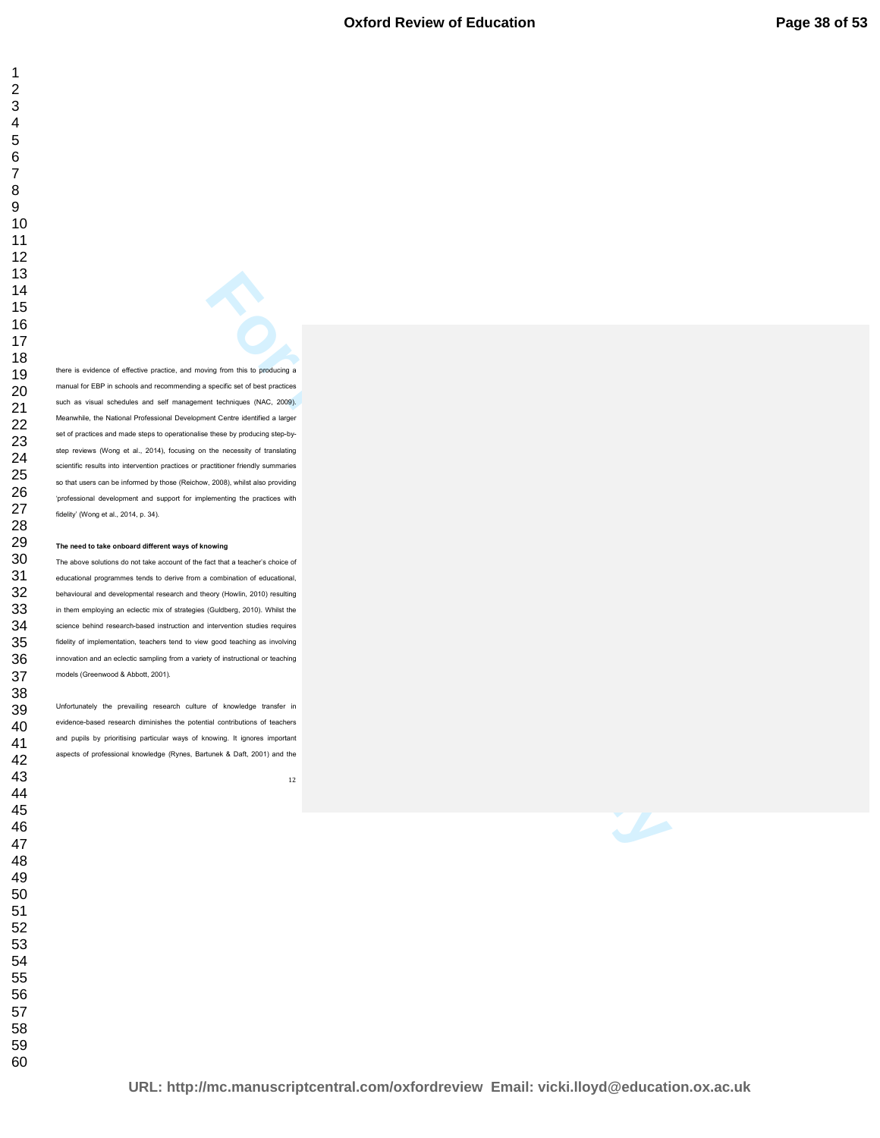**For Peer Review Only and Schedulers** is producing in<br>spectrum with the production of the main production of the main production<br>of Core Listensie and Schedulers (Review Only)<br> $\mathbf{F} = \mathbf{F} \mathbf{G} \mathbf{F}$  by producting the there is evidence of effective practice, and moving from this to producing a manual for EBP in schools and recommending a specific set of best practices such as visual schedules and self management techniques (NAC, 2009). Meanwhile, the National Professional Development Centre identified a larger set of practices and made steps to operationalise these by producing step-bystep reviews (Wong et al., 2014), focusing on the necessity of translating scientific results into intervention practices or practitioner friendly summaries so that users can be informed by those (Reichow, 2008), whilst also providing 'professional development and support for implementing the practices with fidelity' (Wong et al., 2014, p. 34).

#### **The need to take onboard different ways of knowing**

The above solutions do not take account of the fact that a teacher's choice of educational programmes tends to derive from a combination of educational, behavioural and developmental research and theory (Howlin, 2010) resulting in them employing an eclectic mix of strategies (Guldberg, 2010). Whilst the science behind research-based instruction and intervention studies requires fidelity of implementation, teachers tend to view good teaching as involving innovation and an eclectic sampling from a variety of instructional or teaching models (Greenwood & Abbott, 2001).

Unfortunately the prevailing research culture of knowledge transfer in evidence-based research diminishes the potential contributions of teachers and pupils by prioritising particular ways of knowing. It ignores important aspects of professional knowledge (Rynes, Bartunek & Daft, 2001) and the

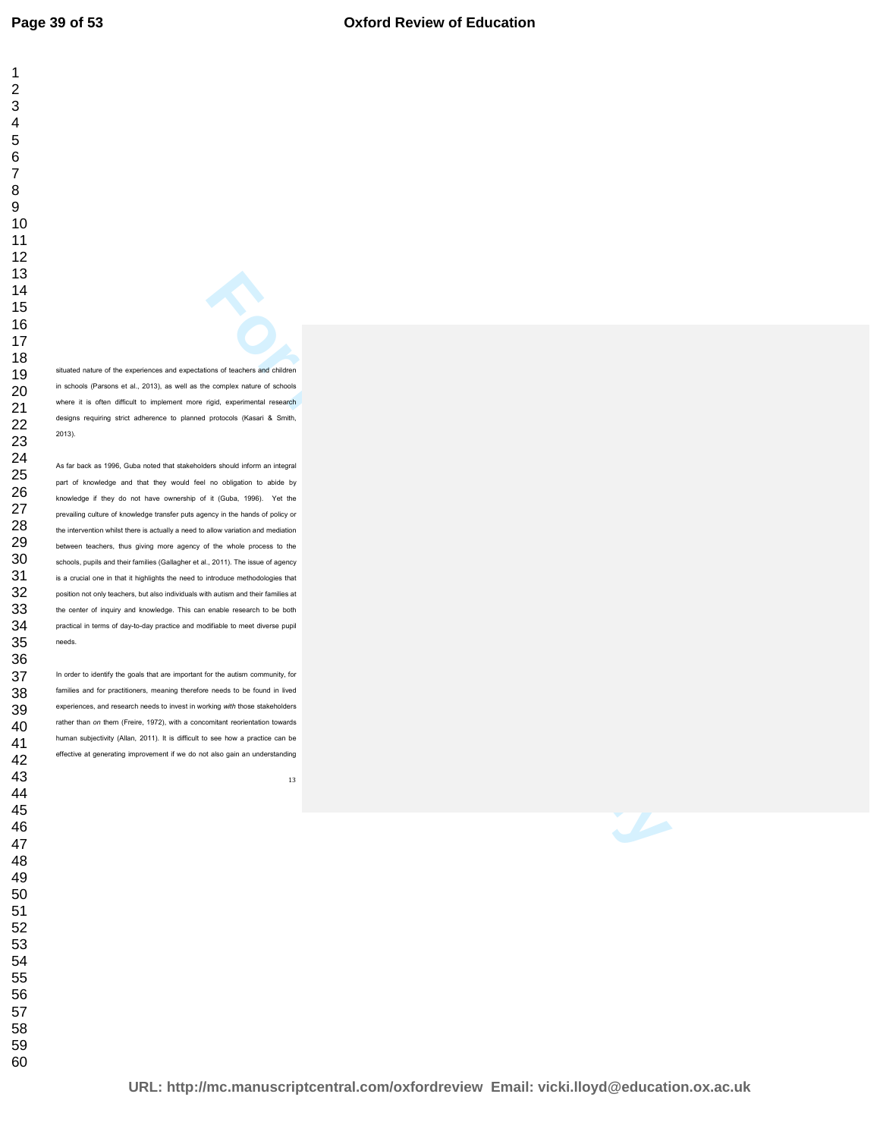situated nature of the experiences and expectations of teachers and children in schools (Parsons et al., 2013), as well as the complex nature of schools where it is often difficult to implement more rigid, experimental research designs requiring strict adherence to planned protocols (Kasari & Smith, 2013).

**For Persons and Critics**<br> **For Persons and Critics**<br> **For Persons and Critics**<br> **For Persons and Critics**<br> **For Persons (Factor III** is also by View Bis<br> **For Persons (Factor III** is also by View Bis<br> **For Persons and Cri** As far back as 1996, Guba noted that stakeholders should inform an integral part of knowledge and that they would feel no obligation to abide by knowledge if they do not have ownership of it (Guba, 1996). Yet the prevailing culture of knowledge transfer puts agency in the hands of policy or the intervention whilst there is actually a need to allow variation and mediation between teachers, thus giving more agency of the whole process to the schools, pupils and their families (Gallagher et al., 2011). The issue of agency is a crucial one in that it highlights the need to introduce methodologies that position not only teachers, but also individuals with autism and their families at the center of inquiry and knowledge. This can enable research to be both practical in terms of day-to-day practice and modifiable to meet diverse pupil needs.

In order to identify the goals that are important for the autism community, for families and for practitioners, meaning therefore needs to be found in lived experiences, and research needs to invest in working *with* those stakeholders rather than *on* them (Freire, 1972), with a concomitant reorientation towards human subjectivity (Allan, 2011). It is difficult to see how a practice can be effective at generating improvement if we do not also gain an understanding

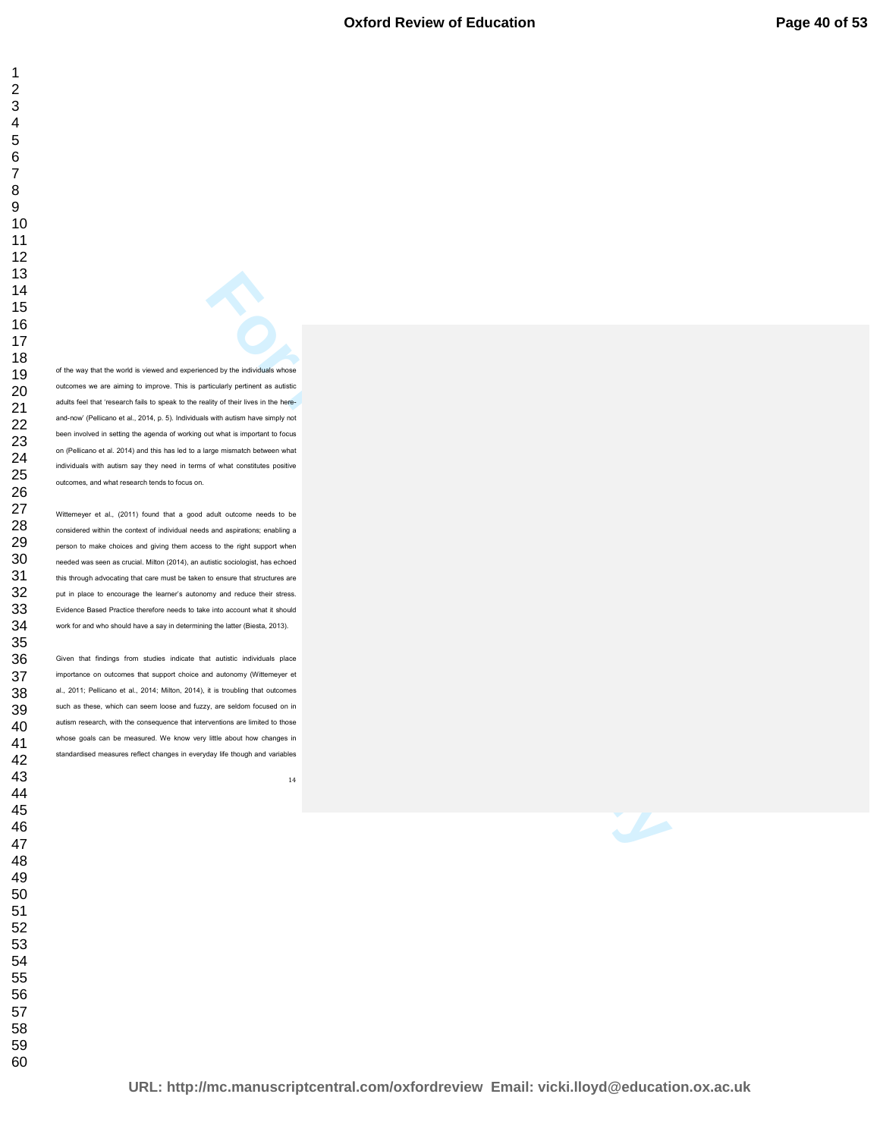**For Per Review Associates**<br> **For Per Review Only per Individuals whose**<br> **For Per Review Only per Individuals whose**<br> **For Per Review Only per Individuals and Conservation Associates**<br> **For Per Review Only per Per Per Per** of the way that the world is viewed and experienced by the individuals whose outcomes we are aiming to improve. This is particularly pertinent as autistic adults feel that 'research fails to speak to the reality of their lives in the hereand-now' (Pellicano et al., 2014, p. 5). Individuals with autism have simply not been involved in setting the agenda of working out what is important to focus on (Pellicano et al. 2014) and this has led to a large mismatch between what individuals with autism say they need in terms of what constitutes positive outcomes, and what research tends to focus on.

Wittemeyer et al., (2011) found that a good adult outcome needs to be considered within the context of individual needs and aspirations; enabling a person to make choices and giving them access to the right support when needed was seen as crucial. Milton (2014), an autistic sociologist, has echoed this through advocating that care must be taken to ensure that structures are put in place to encourage the learner's autonomy and reduce their stress. Evidence Based Practice therefore needs to take into account what it should work for and who should have a say in determining the latter (Biesta, 2013).

Given that findings from studies indicate that autistic individuals place importance on outcomes that support choice and autonomy (Wittemeyer et al., 2011; Pellicano et al., 2014; Milton, 2014), it is troubling that outcomes such as these, which can seem loose and fuzzy, are seldom focused on in autism research, with the consequence that interventions are limited to those whose goals can be measured. We know very little about how changes in standardised measures reflect changes in everyday life though and variables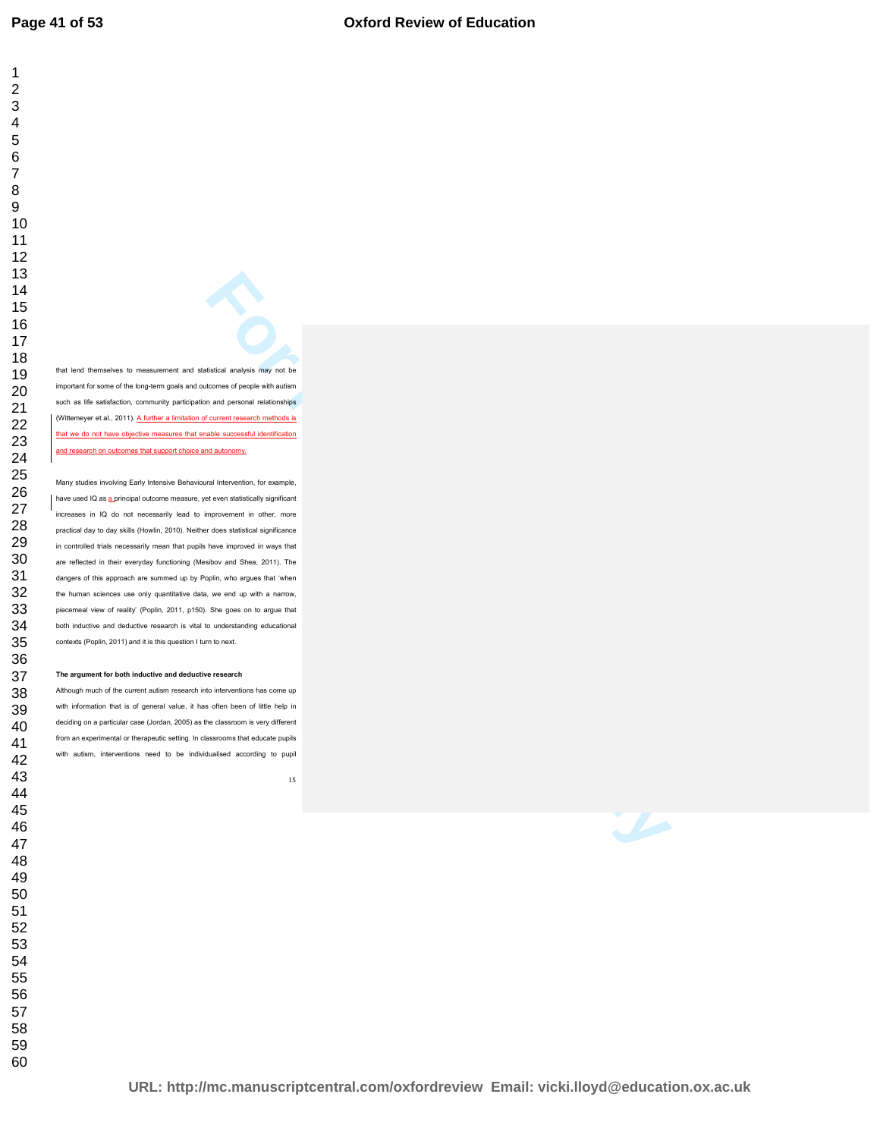that lend themselves to measurement and statistical analysis may not be important for some of the long-term goals and outcomes of people with autism such as life satisfaction, community participation and personal relationships (Wittemeyer et al., 2011). A further a limitation of current research methods is that we do not have objective measures that enable successful identification and research on outcomes that support choice and autonomy.

**For Per Review Only and System Section 2013**<br> **For Per Review Only and System Section 2014**<br> **For Per Review Only and System Section 2014**<br> **For Per Review Only and System Section 2014**<br> **Exception Consider Section 2014**<br> Many studies involving Early Intensive Behavioural Intervention, for example, have used IQ as a principal outcome measure, yet even statistically significant increases in IQ do not necessarily lead to improvement in other, more practical day to day skills (Howlin, 2010). Neither does statistical significance in controlled trials necessarily mean that pupils have improved in ways that are reflected in their everyday functioning (Mesibov and Shea, 2011). The dangers of this approach are summed up by Poplin, who argues that 'when the human sciences use only quantitative data, we end up with a narrow, piecemeal view of reality' (Poplin, 2011, p150). She goes on to argue that both inductive and deductive research is vital to understanding educational contexts (Poplin, 2011) and it is this question I turn to next.

#### **The argument for both inductive and deductive research**

Although much of the current autism research into interventions has come up with information that is of general value, it has often been of little help in deciding on a particular case (Jordan, 2005) as the classroom is very different from an experimental or therapeutic setting. In classrooms that educate pupils with autism, interventions need to be individualised according to pupil

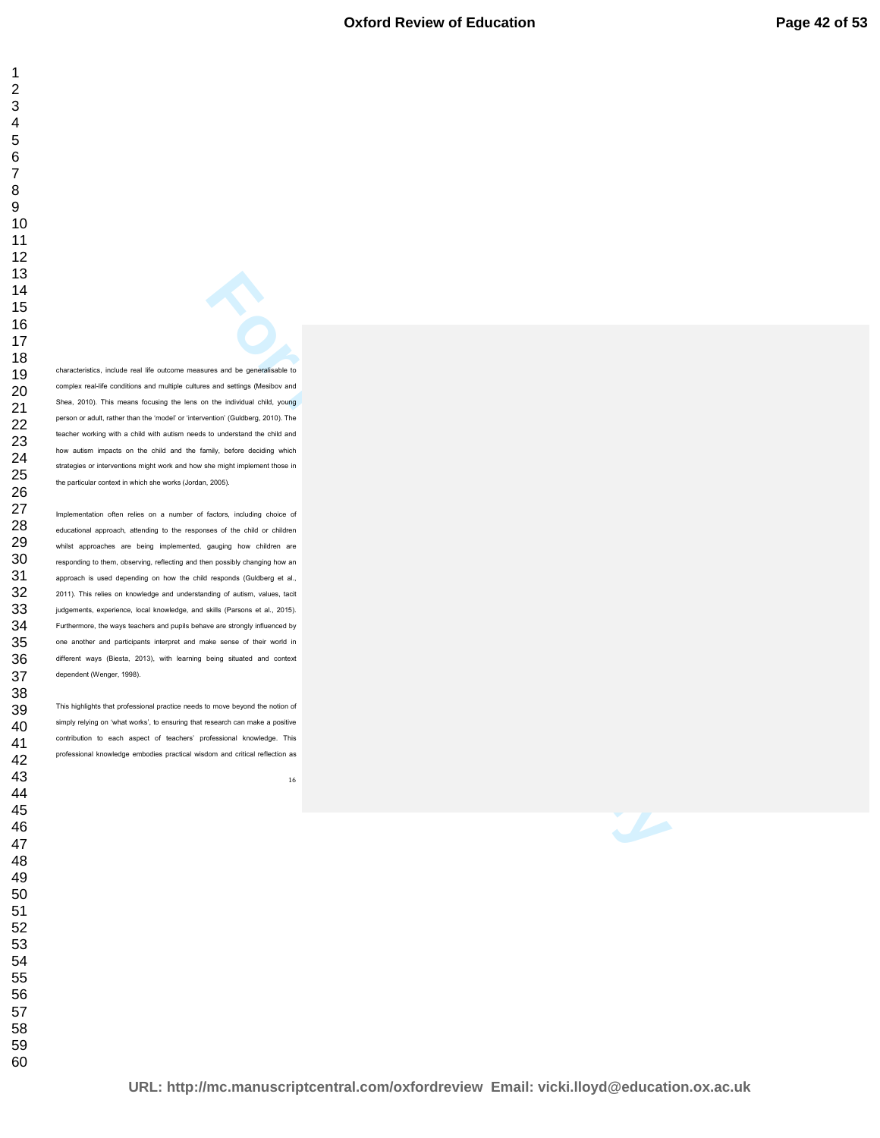characteristics, include real life outcome measures and be generalisable to complex real-life conditions and multiple cultures and settings (Mesibov and Shea, 2010). This means focusing the lens on the individual child, young person or adult, rather than the 'model' or 'intervention' (Guldberg, 2010). The teacher working with a child with autism needs to understand the child and how autism impacts on the child and the family, before deciding which strategies or interventions might work and how she might implement those in the particular context in which she works (Jordan, 2005).

**For Performance Construction** in the performance of the performance of the performance of the performance of the constraints of the constraints of the constraints of the constraints of the constraints of the constraints o Implementation often relies on a number of factors, including choice of educational approach, attending to the responses of the child or children whilst approaches are being implemented, gauging how children are responding to them, observing, reflecting and then possibly changing how an approach is used depending on how the child responds (Guldberg et al., 2011). This relies on knowledge and understanding of autism, values, tacit judgements, experience, local knowledge, and skills (Parsons et al., 2015). Furthermore, the ways teachers and pupils behave are strongly influenced by one another and participants interpret and make sense of their world in different ways (Biesta, 2013), with learning being situated and context dependent (Wenger, 1998).

This highlights that professional practice needs to move beyond the notion of simply relying on 'what works', to ensuring that research can make a positive contribution to each aspect of teachers' professional knowledge. This professional knowledge embodies practical wisdom and critical reflection as

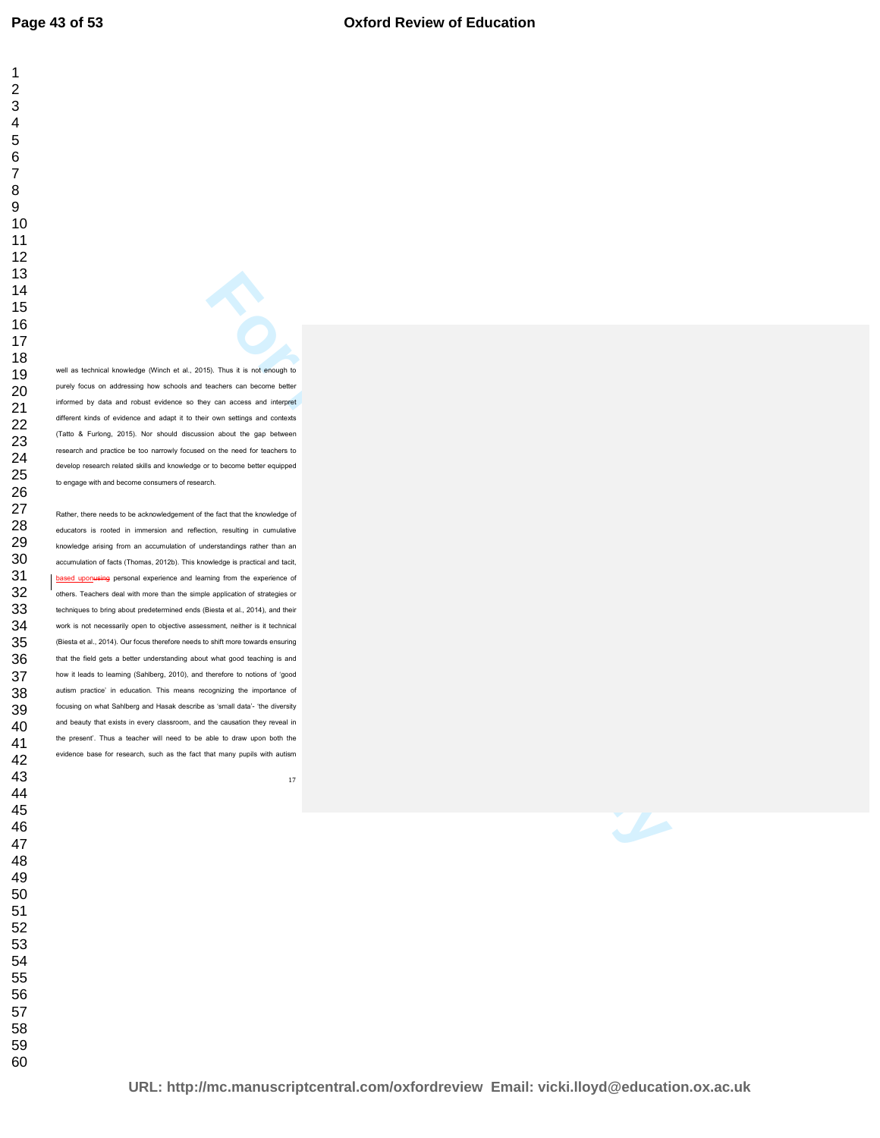well as technical knowledge (Winch et al., 2015). Thus it is not enough to purely focus on addressing how schools and teachers can become better informed by data and robust evidence so they can access and interpret different kinds of evidence and adapt it to their own settings and contexts (Tatto & Furlong, 2015). Nor should discussion about the gap between research and practice be too narrowly focused on the need for teachers to develop research related skills and knowledge or to become better equipped to engage with and become consumers of research.

**For Peer Review on American** and the performance of the state of the state of the state of the state of the state of the state of the state of the state of the state of the state of the state of the state of the state of Rather, there needs to be acknowledgement of the fact that the knowledge of educators is rooted in immersion and reflection, resulting in cumulative knowledge arising from an accumulation of understandings rather than an accumulation of facts (Thomas, 2012b). This knowledge is practical and tacit, based uponusing personal experience and learning from the experience of others. Teachers deal with more than the simple application of strategies or techniques to bring about predetermined ends (Biesta et al., 2014), and their work is not necessarily open to objective assessment, neither is it technical (Biesta et al., 2014). Our focus therefore needs to shift more towards ensuring that the field gets a better understanding about what good teaching is and how it leads to learning (Sahlberg, 2010), and therefore to notions of 'good autism practice' in education. This means recognizing the importance of focusing on what Sahlberg and Hasak describe as 'small data'- 'the diversity and beauty that exists in every classroom, and the causation they reveal in the present'. Thus a teacher will need to be able to draw upon both the evidence base for research, such as the fact that many pupils with autism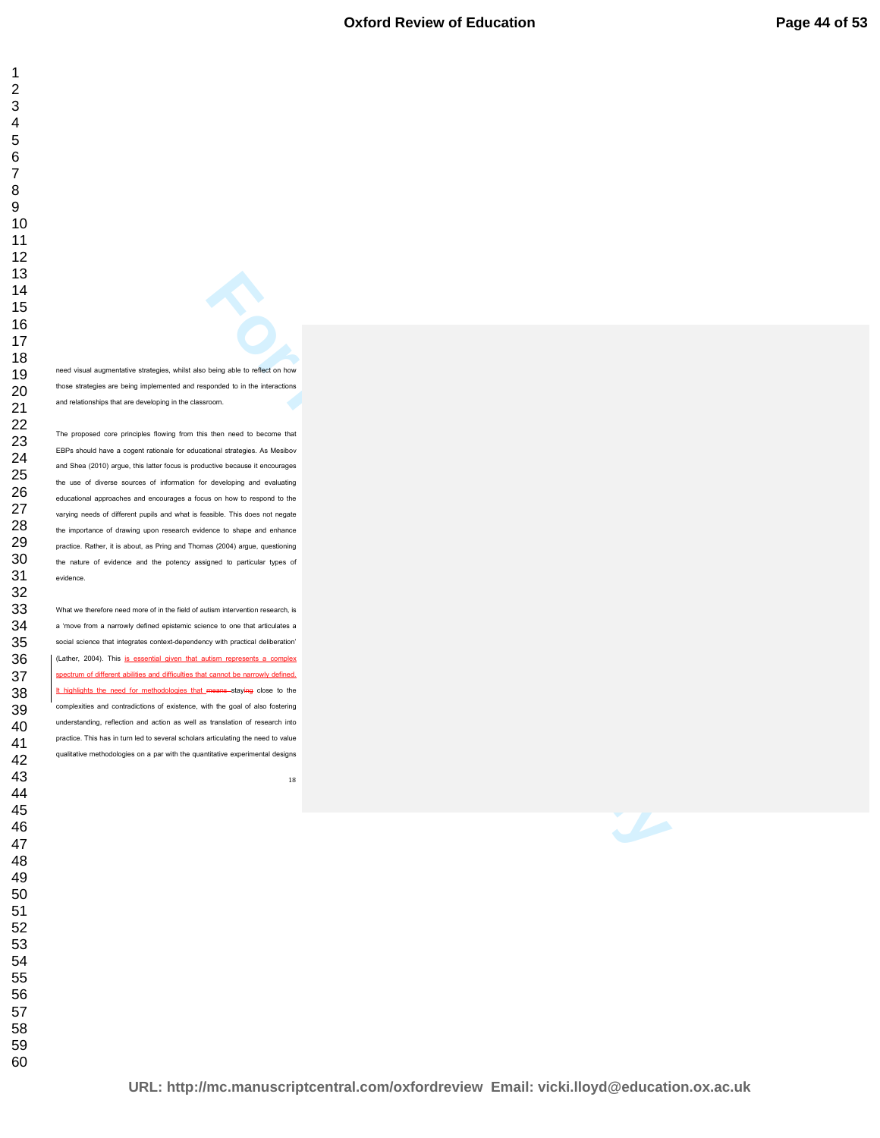need visual augmentative strategies, whilst also being able to reflect on how those strategies are being implemented and responded to in the interactions and relationships that are developing in the classroom.

**For Performance Constrainers**<br> **For Performance Constrainers**<br> **For Performance Constrainers**<br> **For Performance Constrainers**<br> **For Performance Constrainers**<br> **For Performance Constrainers**<br> **For Performance Constrainers** The proposed core principles flowing from this then need to become that EBPs should have a cogent rationale for educational strategies. As Mesibov and Shea (2010) argue, this latter focus is productive because it encourages the use of diverse sources of information for developing and evaluating educational approaches and encourages a focus on how to respond to the varying needs of different pupils and what is feasible. This does not negate the importance of drawing upon research evidence to shape and enhance practice. Rather, it is about, as Pring and Thomas (2004) argue, questioning the nature of evidence and the potency assigned to particular types of evidence.

What we therefore need more of in the field of autism intervention research, is a 'move from a narrowly defined epistemic science to one that articulates a social science that integrates context-dependency with practical deliberation' (Lather, 2004). This is essential given that autism represents a complex spectrum of different abilities and difficulties that cannot be narrowly defined. It highlights the need for methodologies that means staying close to the complexities and contradictions of existence, with the goal of also fostering understanding, reflection and action as well as translation of research into practice. This has in turn led to several scholars articulating the need to value qualitative methodologies on a par with the quantitative experimental designs

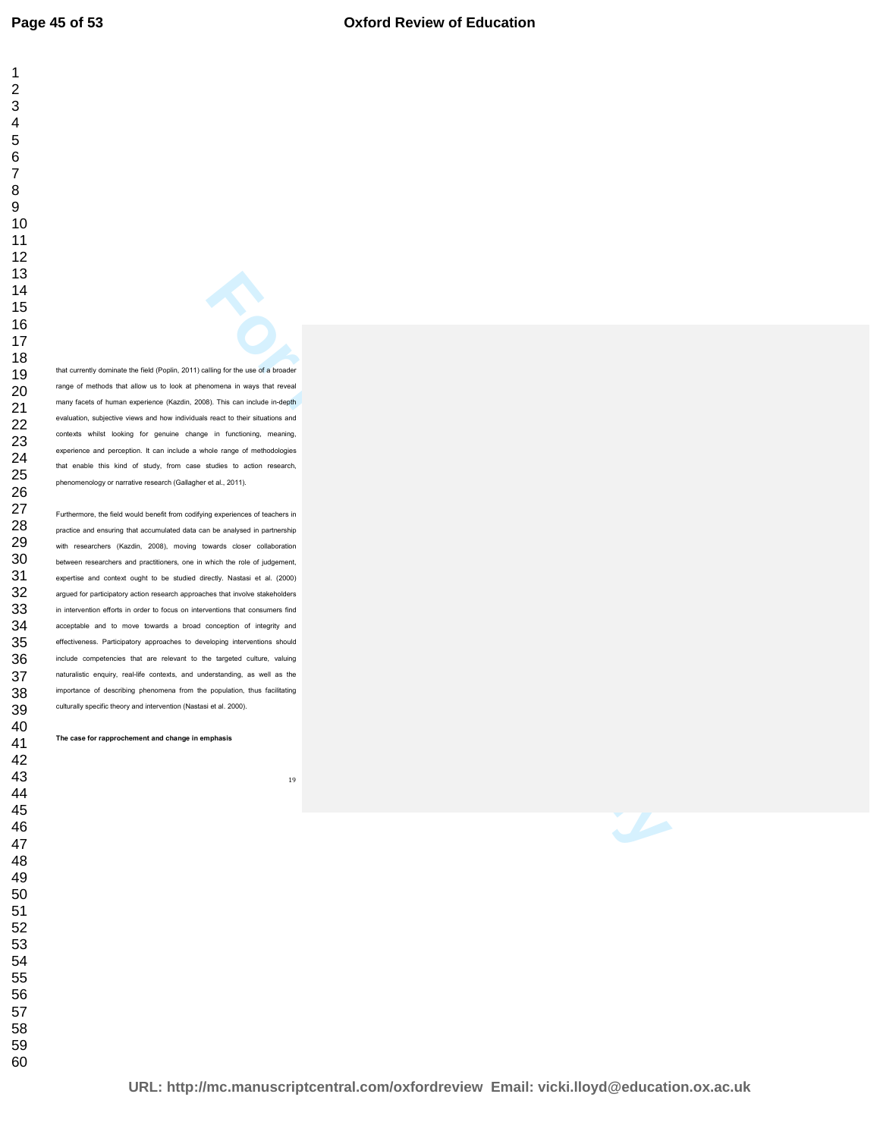that currently dominate the field (Poplin, 2011) calling for the use of a broader range of methods that allow us to look at phenomena in ways that reveal many facets of human experience (Kazdin, 2008). This can include in-depth evaluation, subjective views and how individuals react to their situations and contexts whilst looking for genuine change in functioning, meaning, experience and perception. It can include a whole range of methodologies that enable this kind of study, from case studies to action research, phenomenology or narrative research (Gallagher et al., 2011).

**For Performance Constrainers**<br>**For Performance Constrainers and Constrainers and Constrainers and Constrainers and Constrainers are the Constrainers and Constrainers are produced by the constrainers are constrained by the** Furthermore, the field would benefit from codifying experiences of teachers in practice and ensuring that accumulated data can be analysed in partnership with researchers (Kazdin, 2008), moving towards closer collaboration between researchers and practitioners, one in which the role of judgement, expertise and context ought to be studied directly. Nastasi et al. (2000) argued for participatory action research approaches that involve stakeholders in intervention efforts in order to focus on interventions that consumers find acceptable and to move towards a broad conception of integrity and effectiveness. Participatory approaches to developing interventions should include competencies that are relevant to the targeted culture, valuing naturalistic enquiry, real-life contexts, and understanding, as well as the importance of describing phenomena from the population, thus facilitating culturally specific theory and intervention (Nastasi et al. 2000).

**The case for rapprochement and change in emphasis**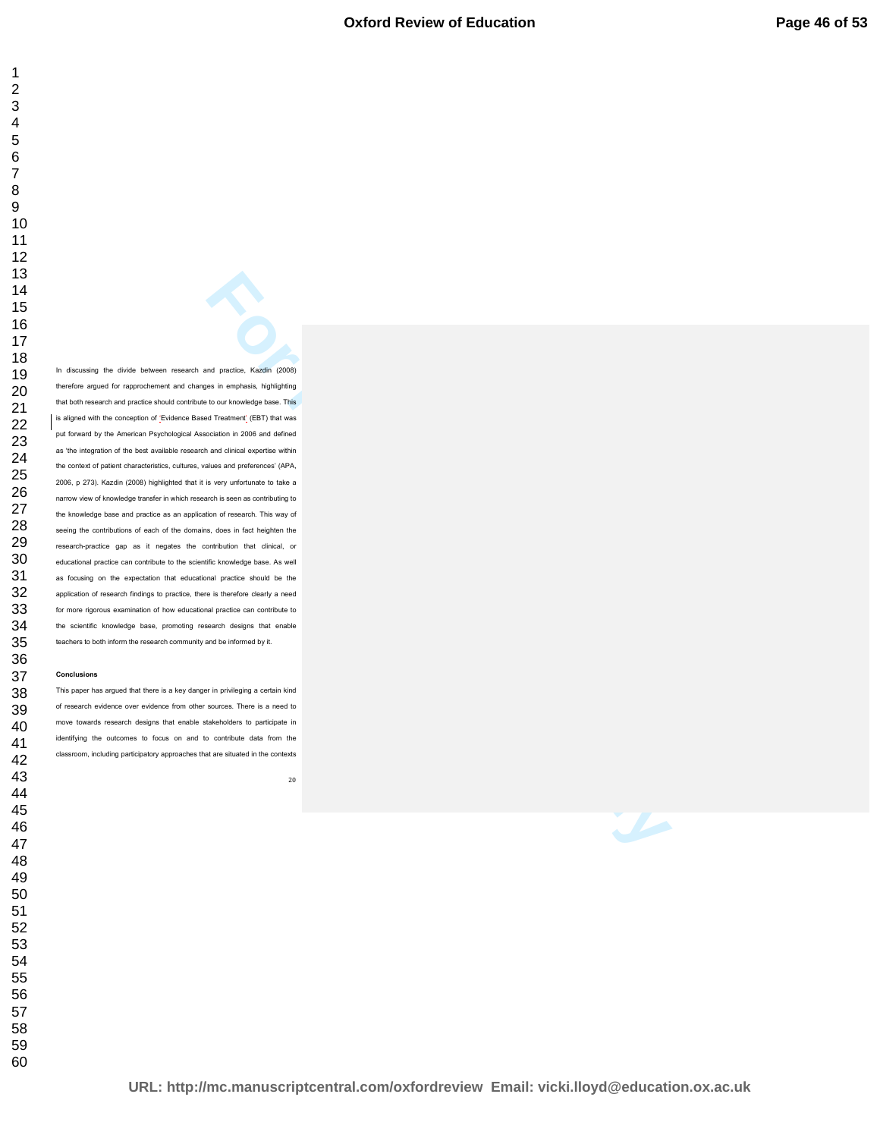**For Peer Review of School (2008)**<br>
Bus A review and Peer Review of Review Only and School (2008)<br> **For Peer Review Only and School (2009)**<br> **For Peer Review Only and School (2009)**<br> **For Peer Review Only and School (2009)** In discussing the divide between research and practice, Kazdin (2008) therefore argued for rapprochement and changes in emphasis, highlighting that both research and practice should contribute to our knowledge base. This is aligned with the conception of 'Evidence Based Treatment' (EBT) that was put forward by the American Psychological Association in 2006 and defined as 'the integration of the best available research and clinical expertise within the context of patient characteristics, cultures, values and preferences' (APA, 2006, p 273). Kazdin (2008) highlighted that it is very unfortunate to take a narrow view of knowledge transfer in which research is seen as contributing to the knowledge base and practice as an application of research. This way of seeing the contributions of each of the domains, does in fact heighten the research-practice gap as it negates the contribution that clinical, or educational practice can contribute to the scientific knowledge base. As well as focusing on the expectation that educational practice should be the application of research findings to practice, there is therefore clearly a need for more rigorous examination of how educational practice can contribute to the scientific knowledge base, promoting research designs that enable teachers to both inform the research community and be informed by it.

#### **Conclusions**

This paper has argued that there is a key danger in privileging a certain kind of research evidence over evidence from other sources. There is a need to move towards research designs that enable stakeholders to participate in identifying the outcomes to focus on and to contribute data from the classroom, including participatory approaches that are situated in the contexts

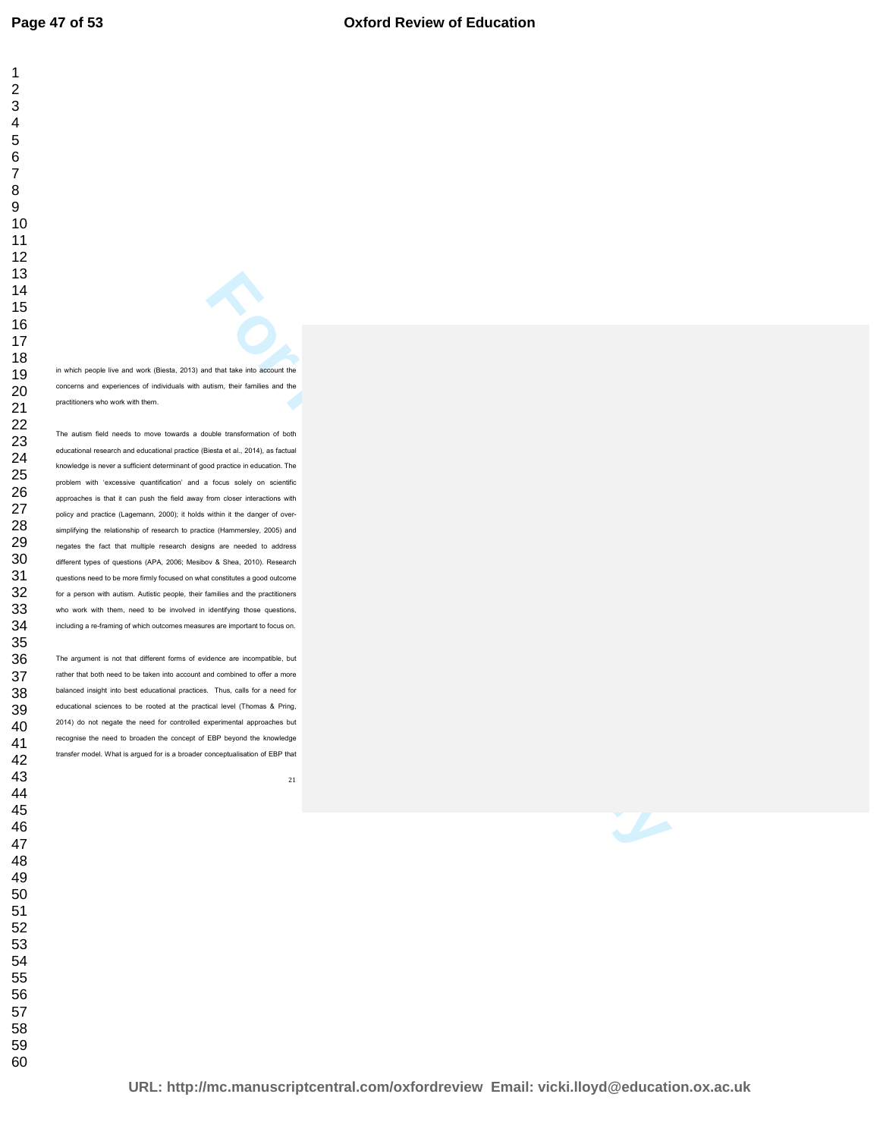in which people live and work (Biesta, 2013) and that take into account the concerns and experiences of individuals with autism, their families and the practitioners who work with them.

**For Per Review Account the Second Conduct Conduct Conduct Conduct Conduct Conduct Conduct Conduct Conduct Conduct Conduct Conduct Conduct Conduct Conduct Conduct Conduct Conduct Conduct Conduct Conduct Conduct Conduct Con** The autism field needs to move towards a double transformation of both educational research and educational practice (Biesta et al., 2014), as factual knowledge is never a sufficient determinant of good practice in education. The problem with 'excessive quantification' and a focus solely on scientific approaches is that it can push the field away from closer interactions with policy and practice (Lagemann, 2000); it holds within it the danger of oversimplifying the relationship of research to practice (Hammersley, 2005) and negates the fact that multiple research designs are needed to address different types of questions (APA, 2006; Mesibov & Shea, 2010). Research questions need to be more firmly focused on what constitutes a good outcome for a person with autism. Autistic people, their families and the practitioners who work with them, need to be involved in identifying those questions, including a re-framing of which outcomes measures are important to focus on.

The argument is not that different forms of evidence are incompatible, but rather that both need to be taken into account and combined to offer a more balanced insight into best educational practices. Thus, calls for a need for educational sciences to be rooted at the practical level (Thomas & Pring, 2014) do not negate the need for controlled experimental approaches but recognise the need to broaden the concept of EBP beyond the knowledge transfer model. What is argued for is a broader conceptualisation of EBP that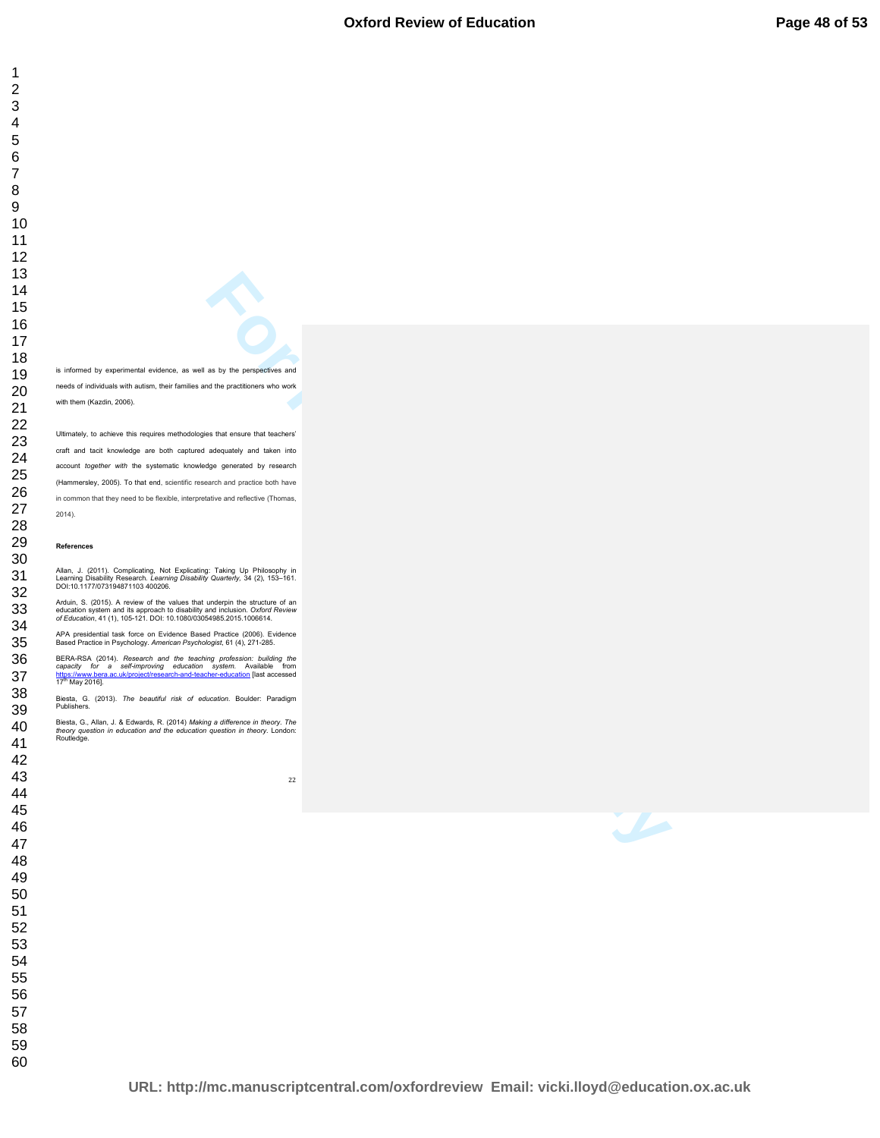is informed by experimental evidence, as well as by the perspectives and needs of individuals with autism, their families and the practitioners who work with them (Kazdin, 2006).

**For Per Review Only and Construction** and the perceptions and the perceptions who work<br>
and the procedure who work<br>
es that order that is below to<br>
the constantly and is below the below<br>
the constantly and is below that<br> Ultimately, to achieve this requires methodologies that ensure that teachers' craft and tacit knowledge are both captured adequately and taken into account *together with* the systematic knowledge generated by research (Hammersley, 2005). To that end, scientific research and practice both have in common that they need to be flexible, interpretative and reflective (Thomas, 2014).

#### **References**

Allan, J. (2011). Complicating, Not Explicating: Taking Up Philosophy in<br>Learning Disability Research. *Learning Disability Quarterly,* 34 (2), 153–161.<br>DOI:10.1177/073194871103 400206.

Arduin, S. (2015). A review of the values that underpin the structure of an<br>education system and its approach to disability and inclusion. Oxford Review<br>of Education, 41 (1), 105-121. DOI: 10.1080/03054985.2015.1006614.

APA presidential task force on Evidence Based Practice (2006). Evidence Based Practice in Psychology. *American Psychologist*, 61 (4), 271-285.

BERA-RSA (2014). *Research and the teaching profession: building the*<br>capacity for a self-improving education system. Available from<br>https://www.bera.ac.uk/project/research-and-teacher-education [last accessed https://www.bera<br>17<sup>th</sup> May 2016].

Biesta, G. (2013). *The beautiful risk of education.* Boulder: Paradigm Publishers.

Biesta, G., Allan, J. & Edwards, R. (2014) *Making a difference in theory. The theory question in education and the education question in theory*. London: Routledge.

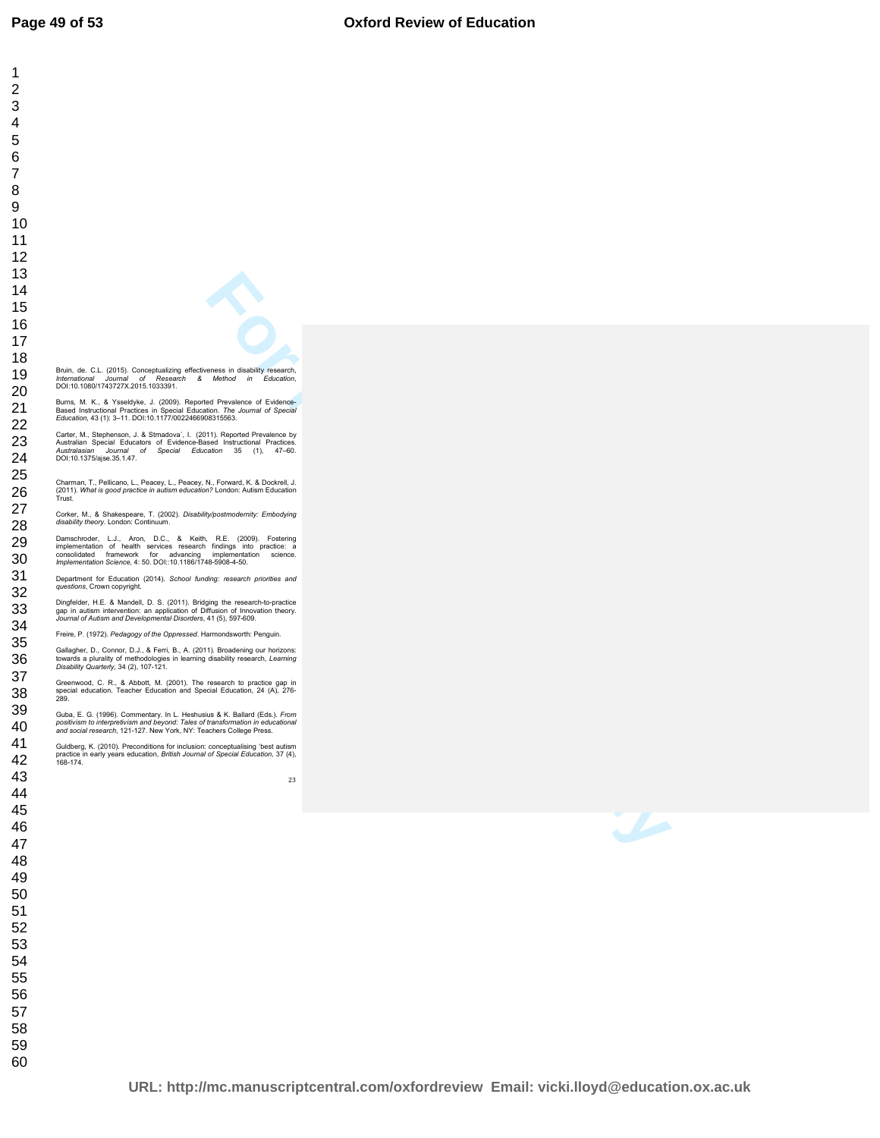**For Persons and Constraints of European Constraints and Constraints and Constraints and Constraints and Constraints and Constraints and Constraints and Constraints and Constraints and Constraints and Constraints and Const**  Bruin, de. C.L. (2015). Conceptualizing effectiveness in disability research,<br>*International Journal of Research & Method in Education,*<br>DOI:10.1080/1743727X.2015.1033391. Burns, M. K., & Ysseldyke, J. (2009). Reported Prevalence of Evidence-<br>Based Instructional Practices in Special Education. *The Journal of Special*<br>*Education,* 43 (1): 3–11. DOI:10.1177/0022466908315563. Carter, M., Stephenson, J. & Strnadova´, I. (2011). Reported Prevalence by<br>Australian Special Educators of Evidence-Based Instructional Practices.<br>*Australasian Journal of Special Education* 35 (1), 47–60.<br>DOI:10.1375/ajse Charman, T., Pellicano, L., Peacey, L., Peacey, N., Forward, K. & Dockrell, J.<br>(2011). *What is good practice in autism education?* London: Autism Education<br>Trust. Corker, M., & Shakespeare, T. (2002). *Disability/postmodernity: Embodying disability theory*. London: Continuum. Damschroder, L.J., Aron, D.C., & Keith, R.E. (2009). Fostering<br>implementation of health services research findings into practice: a<br>consolidated framework for advancing implementation science.<br>*Implementation Science,* 4:5 Department for Education (2014). *School funding: research priorities and questions*, Crown copyright. Dingfelder, H.E. & Mandell, D. S. (2011). Bridging the research-to-practice<br>gap in autism intervention: an application of Diffusion of Innovation theory.<br>*Journal of Autism and Developmental Disorders*, 41 (5), 597-609. Freire, P. (1972). *Pedagogy of the Oppressed*. Harmondsworth: Penguin. Gallagher, D., Connor, D.J., & Ferri, B., A. (2011). Broadening our horizons:<br>towards a plurality of methodologies in learning disability research, *Learning*<br>*Disability Quarterly,* 34 (2), 107-121. Greenwood, C. R., & Abbott, M. (2001). The research to practice gap in special education. Teacher Education and Special Education, 24 (A), 276- 289. Guba, E. G. (1996). Commentary. In L. Heshusius & K. Ballard (Eds.). *From positivism to interpretivism and beyond: Tales of transformation in educational and social research*, 121-127. New York, NY: Teachers College Press. Guldberg, K. (2010). Preconditions for inclusion: conceptualising 'best autism<br>practice in early years education, *British Journal of Special Education,* 37 (4),<br>168-174*.*  

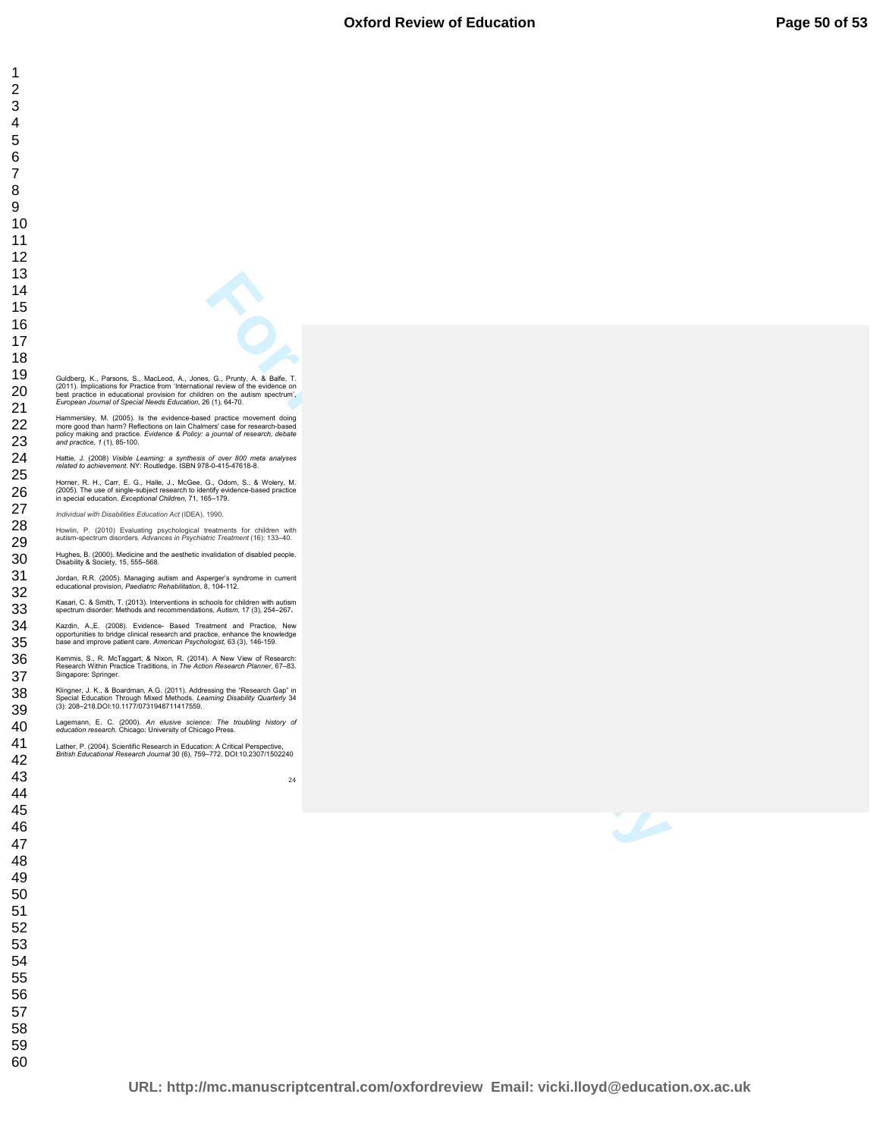**For Peer Review Only 4. A final Transport of A final Transport of A final Transport of A final Transport of A final Transport of A final Transport of A final Transport of A final Transport of A final Transport of A final** 

| $\overline{ }$       |
|----------------------|
|                      |
|                      |
|                      |
|                      |
|                      |
|                      |
|                      |
|                      |
|                      |
|                      |
|                      |
|                      |
|                      |
|                      |
|                      |
|                      |
|                      |
|                      |
|                      |
|                      |
|                      |
|                      |
|                      |
|                      |
|                      |
|                      |
|                      |
|                      |
|                      |
|                      |
|                      |
|                      |
|                      |
|                      |
|                      |
|                      |
|                      |
|                      |
|                      |
|                      |
|                      |
|                      |
|                      |
|                      |
|                      |
|                      |
|                      |
|                      |
|                      |
|                      |
|                      |
|                      |
|                      |
|                      |
|                      |
|                      |
|                      |
| .<br>4               |
| 41                   |
|                      |
| 42<br>$\overline{ }$ |
| 43                   |
|                      |
| 44                   |
| 45                   |
|                      |
| 46                   |
| 47                   |
|                      |
| 48                   |
|                      |
| 49                   |
| 50                   |
|                      |
| 51                   |
| 52                   |
|                      |
| 53<br>Ś              |
| 54                   |
|                      |
| 55                   |
| 56                   |
|                      |
| 57                   |
| 58                   |
|                      |
| 59                   |
| 60                   |
|                      |

Singapore: Springer.

Guidberg, K., Parsons, S., MacLeod, A., Jones, G., Prunty, A. & Balfe, T.<br>(2011). Implications for Practice from 'International review of the evidence on<br>best practice in educational provision for children on the autism sp

Hammersley, M. (2005). Is the evidence-based practice movement doing<br>more good than harm? Reflections on lain Chalmers' case for research-based<br>policy making and practice. Evidence & Policy: a journal of research, debate<br>a

Hattie, J. (2008) *Visible Learning: a synthesis of over 800 meta analyses related to achievement.* NY: Routledge. ISBN 978-0-415-47618-8. Horner, R. H., Carr, E. G., Halle, J., McGee, G., Odom, S., & Wolery, M.<br>(2005). The use of single-subject research to identify evidence-based practice<br>in special education. *Exceptional Children*, 71, 165–179.

Howlin, P. (2010) Evaluating psychological treatments for children with autism-spectrum disorders. *Advances in Psychiatric Treatment* (16): 133–40. Hughes, B. (2000). Medicine and the aesthetic invalidation of disabled people. Disability & Society, 15, 555–568. Jordan, R.R. (2005). Managing autism and Asperger's syndrome in current educational provision, *Paediatric Rehabilitation*, 8, 104-112. Kasari, C. & Smith, T. (2013). Interventions in schools for children with autism spectrum disorder: Methods and recommendations, *Autism*, 17 (3), 254–267**.**  Kazdin, A.,E. (2008). Evidence- Based Treatment and Practice, New<br>opportunities to bridge clinical research and practice, enhance the knowledge<br>base and improve patient care. *American Psychologist*, 63 (3), 146-159. Kemmis, S., R. McTaggart, & Nixon, R. (2014). A New View of Research: Research Within Practice Traditions, in *The Action Research Planner*, 67–83.

Klingner, J. K., & Boardman, A.G. (2011). Addressing the "Research Gap" in<br>Special Education Through Mixed Methods. *Learning Disability Quarterly* 34<br>(3): 208–218.DOI:10.1177/0731948711417559. Lagemann, E. C. (2000). *An elusive science: The troubling history of education research*. Chicago: University of Chicago Press. Lather, P. (2004). Scientific Research in Education: A Critical Perspective, *British Educational Research Journal* 30 (6), 759–772. DOI:10.2307/1502240

*Individual with Disabilities Education Act* (IDEA), 1990.

**URL: http://mc.manuscriptcentral.com/oxfordreview Email: vicki.lloyd@education.ox.ac.uk**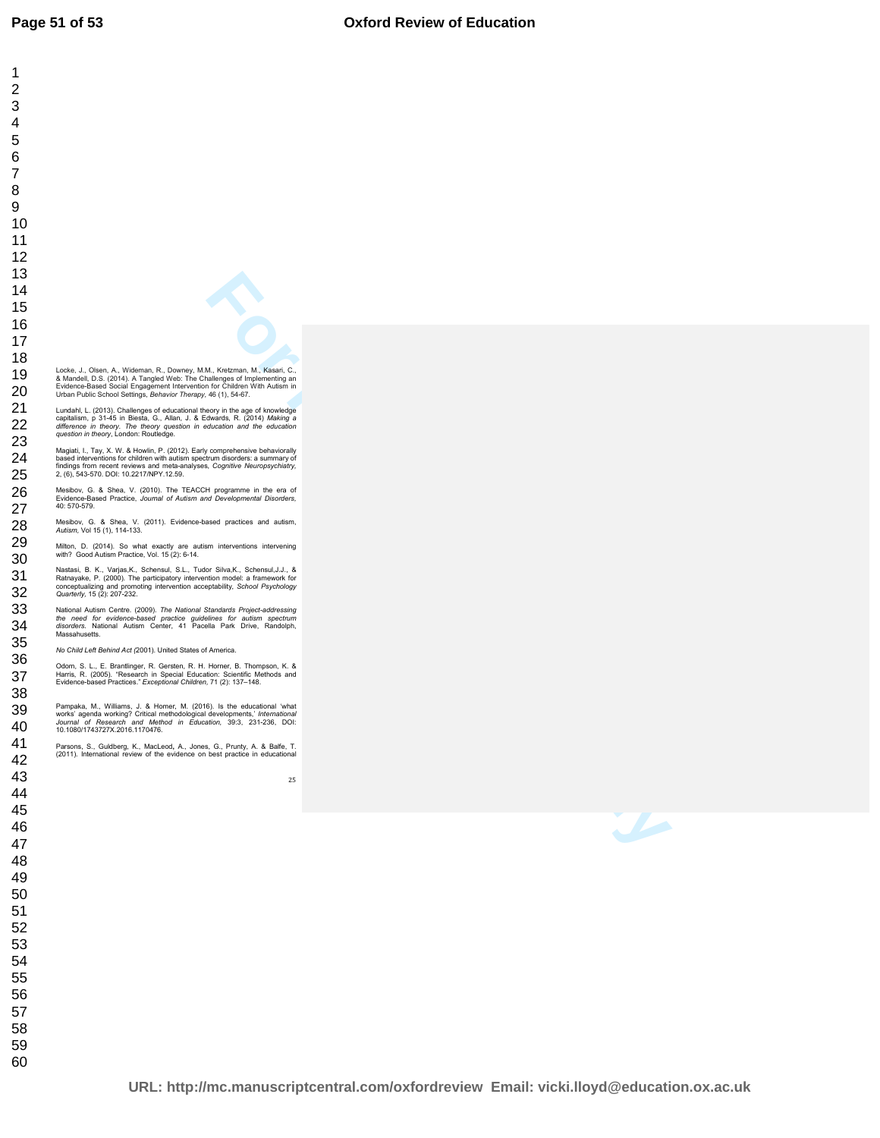**For Persons of Science Constraints**<br> **For Persons of Persons of Science Constraints**<br> **For Persons of Persons of Persons of Persons of Persons of Persons of Persons of Persons of Persons of Persons of Persons of Persons o**  Locke, J., Olsen, A., Wideman, R., Downey, M.M., Kretzman, M., Kasari, C.,<br>& Mandell, D.S. (2014). A Tangled Web: The Challenges of Implementing an<br>Evidence-Based Social Engagement Intervention for Children With Autism in<br> Lundahl, L. (2013). Challenges of educational theory in the age of knowledge<br>capitalism, p 31-45 in Biesta, G., Allan, J. & Edwards, R. (2014) *Making a<br>difference in theory. The theory question in education and the educat* Magiati, I., Tay, X. W. & Howlin, P. (2012). Early comprehensive behaviorally<br>based interventions for children with autism spectrum disorders: a summary of<br>findings from recent reviews and meta-analyses, *Cognitive Neurops* Mesibov, G. & Shea, V. (2010). The TEACCH programme in the era of Evidence-Based Practice, *Journal of Autism and Developmental Disorders,* 40: 570-579. Mesibov, G. & Shea, V. (2011). Evidence-based practices and autism, *Autism,* Vol 15 (1), 114-133. Milton, D. (2014). So what exactly are autism interventions intervening with? Good Autism Practice, Vol. 15 (2): 6-14. Nastasi, B. K., Varjas,K., Schensul, S.L., Tudor Silva,K., Schensul,J.J., &<br>Ratnayake, P. (2000). The participatory intervention model: a framework for<br>conceptualizing and promoting intervention acceptability, *School Psyc Quarterly,* 15 (2): 207-232. National Autism Centre. (2009). *The National Standards Project-addressing*<br>*the need for evidence-based practice guidelines for autism spectrum<br>disorders. National Autism Center, 41 Pacella Park Drive, Randolph,<br>Massahuse No Child Left Behind Act (*2001). United States of America. Odom, S. L., E. Brantlinger, R. Gersten, R. H. Horner, B. Thompson, K. &<br>Harris, R. (2005). "Research in Special Education: Scientific Methods and<br>Evidence-based Practices." *Exceptional Children,* 71 (2): 137–148. Pampaka, M., Williams, J. & Homer, M. (2016). Is the educational 'what<br>works' agenda working? Critical methodological developments, *International*<br>Journal of Research and Method in Education, 39:3, 231-236, DOI:<br>10.1080/1 Parsons, S., Guldberg, K., MacLeod**,** A., Jones, G., Prunty, A. & Balfe, T. (2011). International review of the evidence on best practice in educational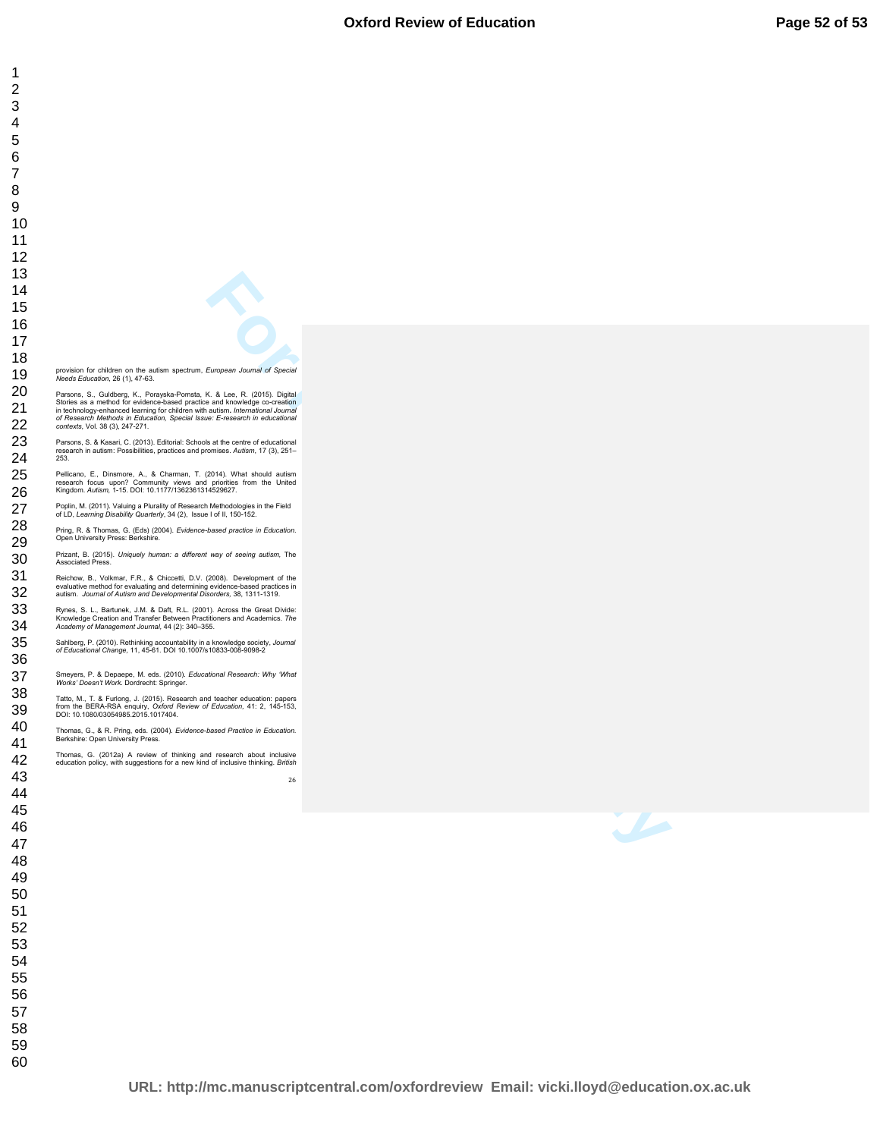| 1                                                                                                                                                                         |
|---------------------------------------------------------------------------------------------------------------------------------------------------------------------------|
| $\overline{c}$                                                                                                                                                            |
| 3                                                                                                                                                                         |
| 4                                                                                                                                                                         |
| 5                                                                                                                                                                         |
| 6                                                                                                                                                                         |
| 7                                                                                                                                                                         |
| 8                                                                                                                                                                         |
| 9                                                                                                                                                                         |
|                                                                                                                                                                           |
| 10                                                                                                                                                                        |
| 11                                                                                                                                                                        |
| 12                                                                                                                                                                        |
| 13                                                                                                                                                                        |
| 14                                                                                                                                                                        |
| 15                                                                                                                                                                        |
| 16                                                                                                                                                                        |
|                                                                                                                                                                           |
| 17                                                                                                                                                                        |
| 18                                                                                                                                                                        |
| provision for children on the autism spectrum, European Journal of Special<br>19<br>Needs Education, 26 (1), 47-63.                                                       |
| 20<br>Parsons, S., Guldberg, K., Porayska-Pomsta, K. & Lee, R. (2015). Digital                                                                                            |
| Stories as a method for evidence-based practice and knowledge co-creation<br>21<br>in technology-enhanced learning for children with autism. International Journal        |
| of Research Methods in Education, Special Issue: E-research in educational                                                                                                |
| 22<br>contexts, Vol. 38 (3), 247-271.                                                                                                                                     |
| 23<br>Parsons, S. & Kasari, C. (2013). Editorial: Schools at the centre of educational<br>research in autism: Possibilities, practices and promises. Autism, 17 (3), 251- |
| 24<br>253.                                                                                                                                                                |
| 25<br>Pellicano, E., Dinsmore, A., & Charman, T. (2014). What should autism                                                                                               |
| research focus upon? Community views and priorities from the United<br>26<br>Kingdom. Autism, 1-15. DOI: 10.1177/1362361314529627.                                        |
| Poplin, M. (2011). Valuing a Plurality of Research Methodologies in the Field                                                                                             |
| 27<br>of LD, Learning Disability Quarterly, 34 (2), Issue I of II, 150-152.                                                                                               |
| 28<br>Pring, R. & Thomas, G. (Eds) (2004). Evidence-based practice in Education.                                                                                          |
| Open University Press: Berkshire.<br>29                                                                                                                                   |
| Prizant, B. (2015). Uniquely human: a different way of seeing autism, The<br>30                                                                                           |
| Associated Press.                                                                                                                                                         |
| 31<br>Reichow, B., Volkmar, F.R., & Chiccetti, D.V. (2008). Development of the<br>evaluative method for evaluating and determining evidence-based practices in            |
| 32<br>autism. Journal of Autism and Developmental Disorders, 38, 1311-1319.                                                                                               |
| 33<br>Rynes, S. L., Bartunek, J.M. & Daft, R.L. (2001). Across the Great Divide:                                                                                          |
| Knowledge Creation and Transfer Between Practitioners and Academics. The<br>34<br>Academy of Management Journal, 44 (2): 340-355.                                         |
| 35<br>Sahlberg, P. (2010). Rethinking accountability in a knowledge society, Journal                                                                                      |
| of Educational Change, 11, 45-61. DOI 10.1007/s10833-008-9098-2<br>36                                                                                                     |
|                                                                                                                                                                           |
| 37<br>Smeyers, P. & Depaepe, M. eds. (2010). Educational Research: Why 'What<br>Works' Doesn't Work. Dordrecht: Springer.                                                 |
| 38<br>Tatto, M., T. & Furlong, J. (2015). Research and teacher education: papers                                                                                          |
| from the BERA-RSA enquiry, Oxford Review of Education, 41: 2, 145-153,<br>39<br>DOI: 10.1080/03054985.2015.1017404.                                                       |
| 40                                                                                                                                                                        |
| Thomas, G., & R. Pring, eds. (2004). Evidence-based Practice in Education.<br>Berkshire: Open University Press.<br>41                                                     |
| Thomas, G. (2012a) A review of thinking and research about inclusive                                                                                                      |
| 42<br>education policy, with suggestions for a new kind of inclusive thinking. British                                                                                    |
| 43<br>26                                                                                                                                                                  |
|                                                                                                                                                                           |
|                                                                                                                                                                           |
| 44                                                                                                                                                                        |
| 45                                                                                                                                                                        |
|                                                                                                                                                                           |
| 46<br>47                                                                                                                                                                  |
|                                                                                                                                                                           |
| 48<br>49                                                                                                                                                                  |
|                                                                                                                                                                           |
| 50                                                                                                                                                                        |
| 51                                                                                                                                                                        |
| 52                                                                                                                                                                        |
| 53                                                                                                                                                                        |
|                                                                                                                                                                           |
| 54                                                                                                                                                                        |
| 55                                                                                                                                                                        |
| 56                                                                                                                                                                        |
| 57                                                                                                                                                                        |
| 58                                                                                                                                                                        |
| 59                                                                                                                                                                        |
| 60                                                                                                                                                                        |